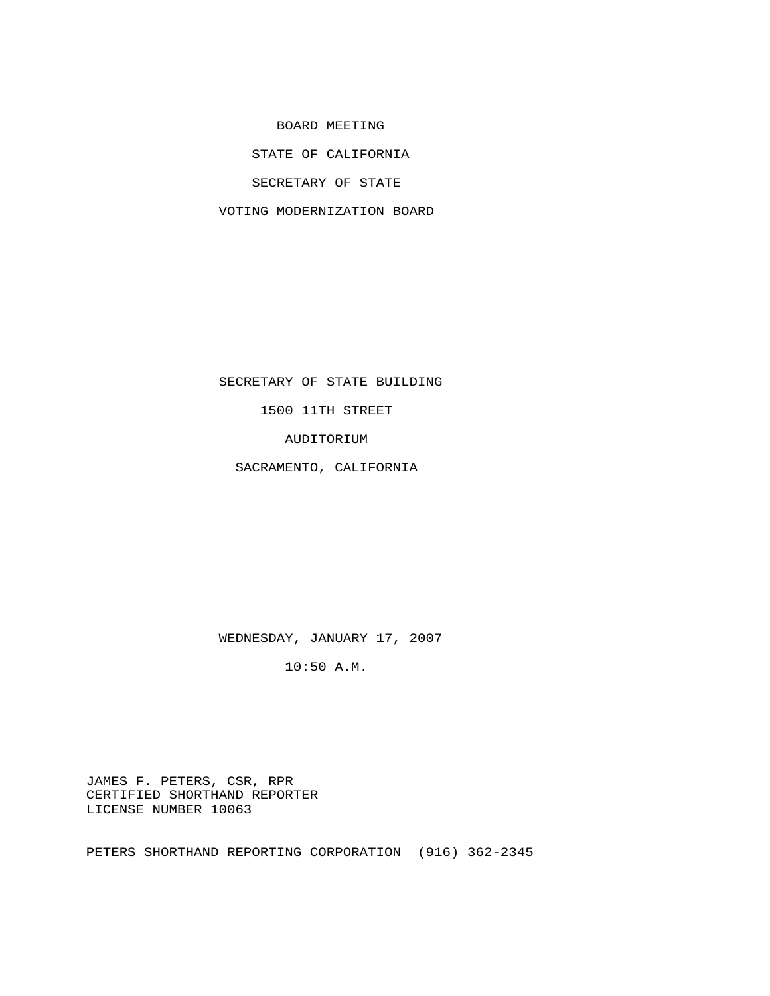BOARD MEETING

STATE OF CALIFORNIA

SECRETARY OF STATE

VOTING MODERNIZATION BOARD

 SECRETARY OF STATE BUILDING 1500 11TH STREET

AUDITORIUM

SACRAMENTO, CALIFORNIA

WEDNESDAY, JANUARY 17, 2007

10:50 A.M.

 JAMES F. PETERS, CSR, RPR CERTIFIED SHORTHAND REPORTER LICENSE NUMBER 10063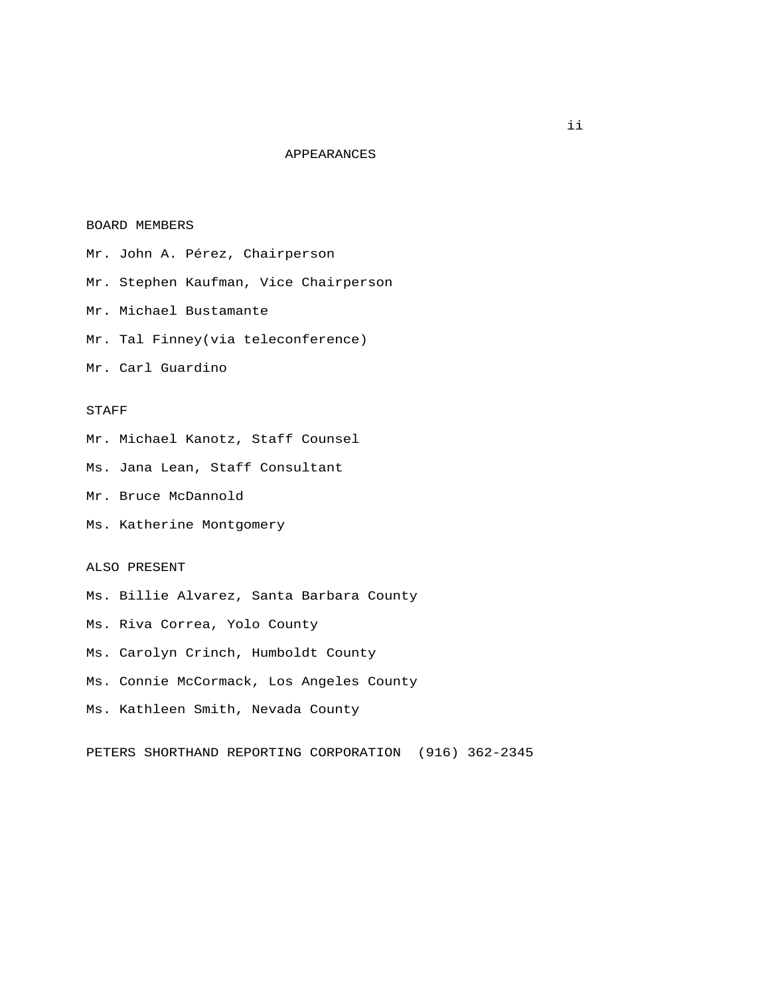## APPEARANCES

## BOARD MEMBERS

 Mr. John A. Pérez, Chairperson Mr. Stephen Kaufman, Vice Chairperson Mr. Michael Bustamante Mr. Tal Finney(via teleconference) Mr. Carl Guardino

## STAFF

Mr. Michael Kanotz, Staff Counsel

Ms. Jana Lean, Staff Consultant

Mr. Bruce McDannold

Ms. Katherine Montgomery

## ALSO PRESENT

 Ms. Billie Alvarez, Santa Barbara County Ms. Riva Correa, Yolo County Ms. Carolyn Crinch, Humboldt County Ms. Connie McCormack, Los Angeles County Ms. Kathleen Smith, Nevada County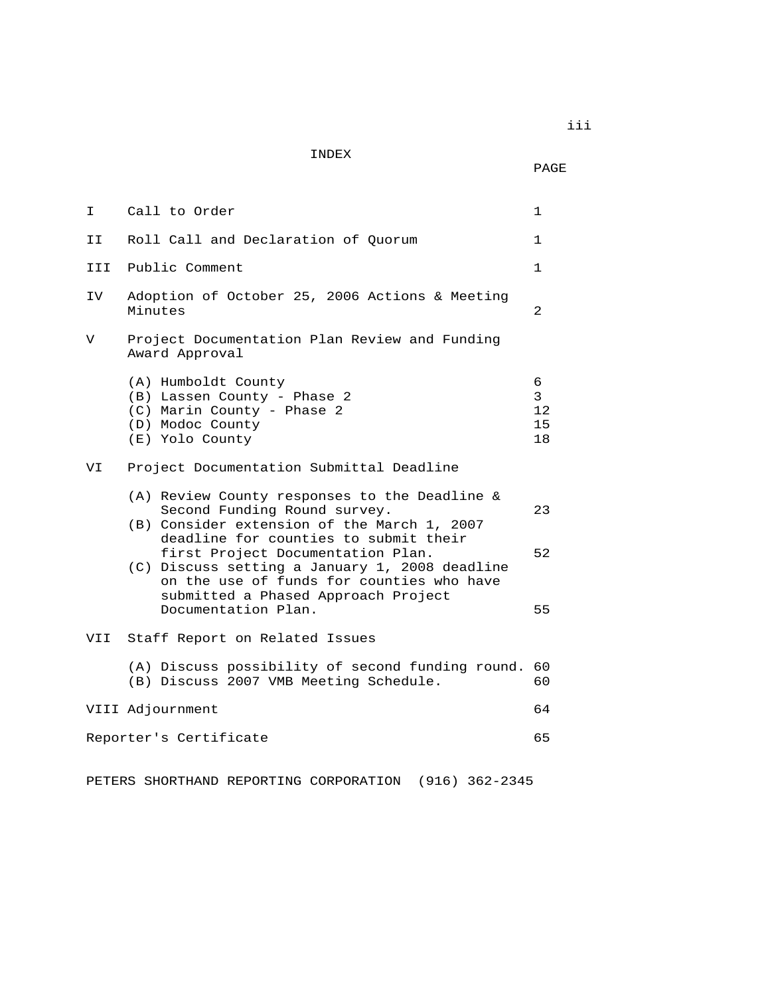INDEX

PAGE

| I.  | Call to Order                                                                                                                                                                                              | $\mathbf{1}$                        |
|-----|------------------------------------------------------------------------------------------------------------------------------------------------------------------------------------------------------------|-------------------------------------|
| II  | Roll Call and Declaration of Quorum                                                                                                                                                                        | $\mathbf{1}$                        |
| III | Public Comment                                                                                                                                                                                             | $\mathbf{1}$                        |
| IV  | Adoption of October 25, 2006 Actions & Meeting<br>Minutes                                                                                                                                                  | 2                                   |
| V   | Project Documentation Plan Review and Funding<br>Award Approval                                                                                                                                            |                                     |
|     | (A) Humboldt County<br>(B) Lassen County - Phase 2<br>(C) Marin County - Phase 2<br>(D) Modoc County<br>(E) Yolo County                                                                                    | 6<br>$\mathbf{3}$<br>12<br>15<br>18 |
| VI  | Project Documentation Submittal Deadline                                                                                                                                                                   |                                     |
|     | (A) Review County responses to the Deadline &<br>Second Funding Round survey.<br>(B) Consider extension of the March 1, 2007<br>deadline for counties to submit their<br>first Project Documentation Plan. | 23<br>52                            |
|     | (C) Discuss setting a January 1, 2008 deadline<br>on the use of funds for counties who have<br>submitted a Phased Approach Project<br>Documentation Plan.                                                  | 55                                  |
| VII | Staff Report on Related Issues                                                                                                                                                                             |                                     |
|     | (A) Discuss possibility of second funding round.<br>(B) Discuss 2007 VMB Meeting Schedule.                                                                                                                 | 60<br>60                            |
|     | VIII Adjournment                                                                                                                                                                                           | 64                                  |
|     | Reporter's Certificate                                                                                                                                                                                     | 65                                  |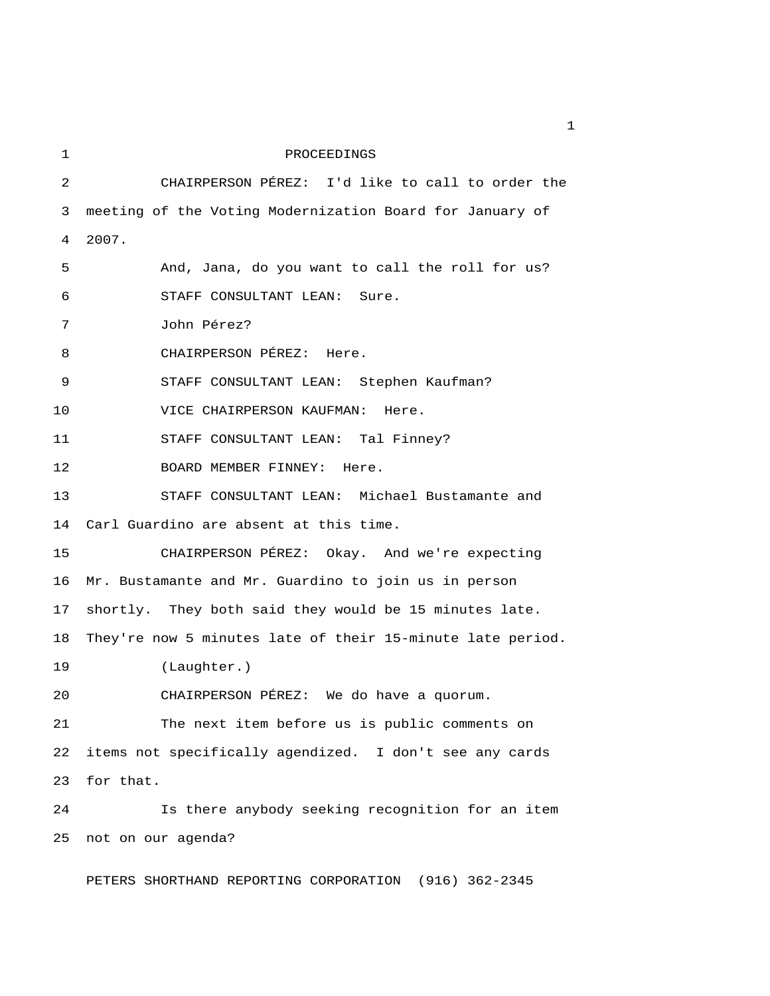1 PROCEEDINGS 2 CHAIRPERSON PÉREZ: I'd like to call to order the 3 meeting of the Voting Modernization Board for January of 4 2007. 5 And, Jana, do you want to call the roll for us? 6 STAFF CONSULTANT LEAN: Sure. 7 John Pérez? 8 CHAIRPERSON PÉREZ: Here. 9 STAFF CONSULTANT LEAN: Stephen Kaufman? 10 VICE CHAIRPERSON KAUFMAN: Here. 11 STAFF CONSULTANT LEAN: Tal Finney? 12 BOARD MEMBER FINNEY: Here. 13 STAFF CONSULTANT LEAN: Michael Bustamante and 14 Carl Guardino are absent at this time. 15 CHAIRPERSON PÉREZ: Okay. And we're expecting 16 Mr. Bustamante and Mr. Guardino to join us in person 17 shortly. They both said they would be 15 minutes late. 18 They're now 5 minutes late of their 15-minute late period. 19 (Laughter.) 20 CHAIRPERSON PÉREZ: We do have a quorum. 21 The next item before us is public comments on 22 items not specifically agendized. I don't see any cards 23 for that. 24 Is there anybody seeking recognition for an item 25 not on our agenda? PETERS SHORTHAND REPORTING CORPORATION (916) 362-2345

 $\mathbf{1}$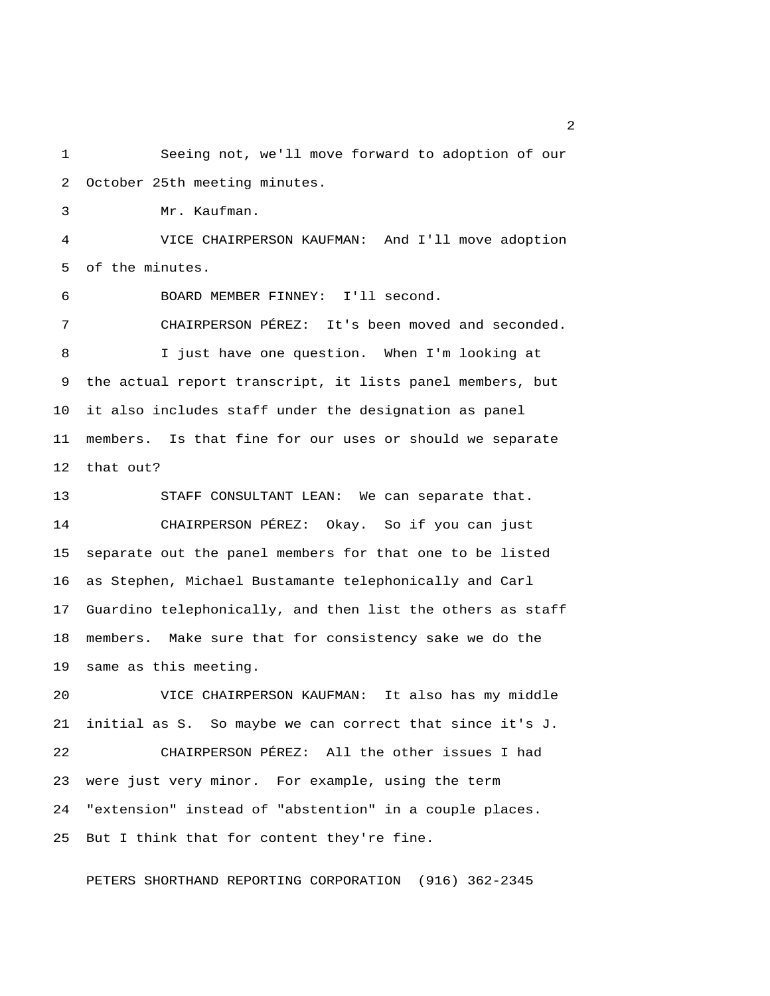1 Seeing not, we'll move forward to adoption of our 2 October 25th meeting minutes.

3 Mr. Kaufman.

 4 VICE CHAIRPERSON KAUFMAN: And I'll move adoption 5 of the minutes.

6 BOARD MEMBER FINNEY: I'll second.

 7 CHAIRPERSON PÉREZ: It's been moved and seconded. 8 I just have one question. When I'm looking at 9 the actual report transcript, it lists panel members, but 10 it also includes staff under the designation as panel 11 members. Is that fine for our uses or should we separate 12 that out?

13 STAFF CONSULTANT LEAN: We can separate that. 14 CHAIRPERSON PÉREZ: Okay. So if you can just 15 separate out the panel members for that one to be listed 16 as Stephen, Michael Bustamante telephonically and Carl 17 Guardino telephonically, and then list the others as staff 18 members. Make sure that for consistency sake we do the 19 same as this meeting.

20 VICE CHAIRPERSON KAUFMAN: It also has my middle 21 initial as S. So maybe we can correct that since it's J. 22 CHAIRPERSON PÉREZ: All the other issues I had 23 were just very minor. For example, using the term 24 "extension" instead of "abstention" in a couple places. 25 But I think that for content they're fine.

PETERS SHORTHAND REPORTING CORPORATION (916) 362-2345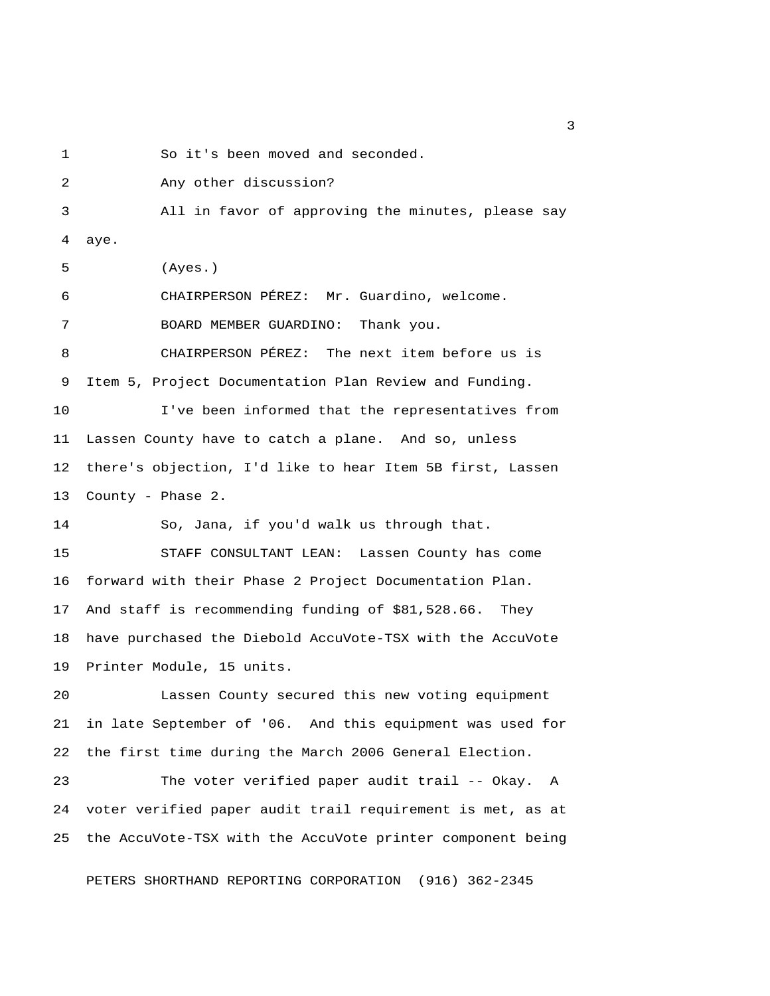1 So it's been moved and seconded.

 2 Any other discussion? 3 All in favor of approving the minutes, please say 4 aye. 5 (Ayes.) 6 CHAIRPERSON PÉREZ: Mr. Guardino, welcome. 7 BOARD MEMBER GUARDINO: Thank you. 8 CHAIRPERSON PÉREZ: The next item before us is 9 Item 5, Project Documentation Plan Review and Funding. 10 I've been informed that the representatives from 11 Lassen County have to catch a plane. And so, unless 12 there's objection, I'd like to hear Item 5B first, Lassen 13 County - Phase 2. 14 So, Jana, if you'd walk us through that. 15 STAFF CONSULTANT LEAN: Lassen County has come 16 forward with their Phase 2 Project Documentation Plan. 17 And staff is recommending funding of \$81,528.66. They 18 have purchased the Diebold AccuVote-TSX with the AccuVote 19 Printer Module, 15 units. 20 Lassen County secured this new voting equipment 21 in late September of '06. And this equipment was used for 22 the first time during the March 2006 General Election. 23 The voter verified paper audit trail -- Okay. A 24 voter verified paper audit trail requirement is met, as at 25 the AccuVote-TSX with the AccuVote printer component being PETERS SHORTHAND REPORTING CORPORATION (916) 362-2345

 $\overline{\mathbf{3}}$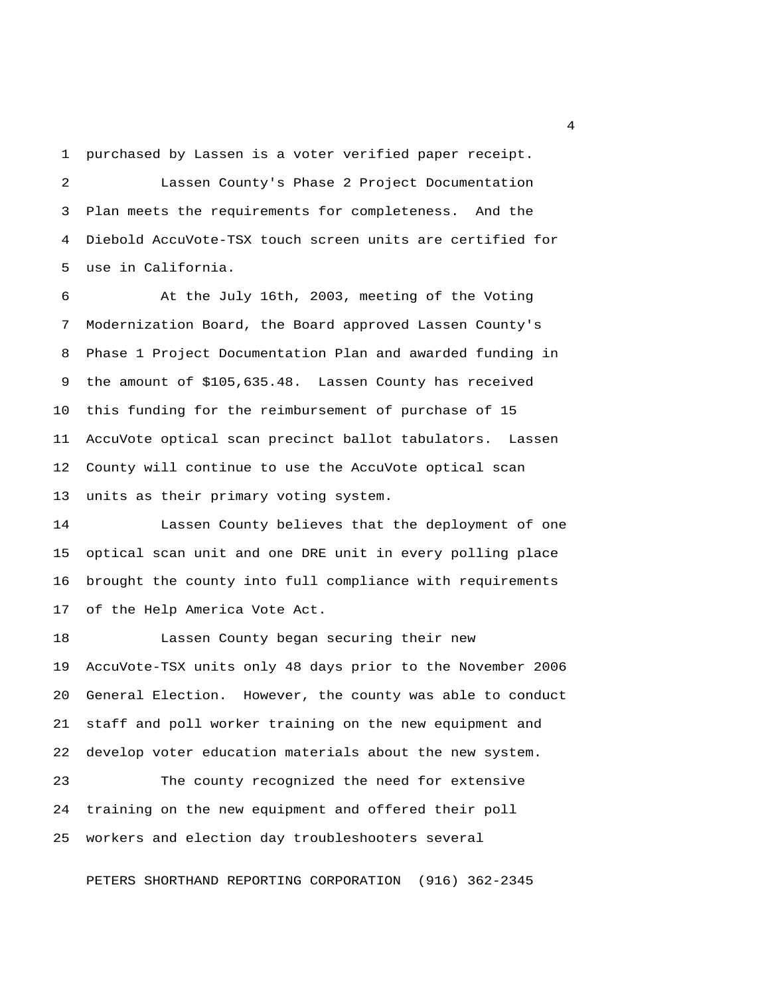1 purchased by Lassen is a voter verified paper receipt.

 2 Lassen County's Phase 2 Project Documentation 3 Plan meets the requirements for completeness. And the 4 Diebold AccuVote-TSX touch screen units are certified for 5 use in California.

 6 At the July 16th, 2003, meeting of the Voting 7 Modernization Board, the Board approved Lassen County's 8 Phase 1 Project Documentation Plan and awarded funding in 9 the amount of \$105,635.48. Lassen County has received 10 this funding for the reimbursement of purchase of 15 11 AccuVote optical scan precinct ballot tabulators. Lassen 12 County will continue to use the AccuVote optical scan 13 units as their primary voting system.

14 Lassen County believes that the deployment of one 15 optical scan unit and one DRE unit in every polling place 16 brought the county into full compliance with requirements 17 of the Help America Vote Act.

18 Lassen County began securing their new 19 AccuVote-TSX units only 48 days prior to the November 2006 20 General Election. However, the county was able to conduct 21 staff and poll worker training on the new equipment and 22 develop voter education materials about the new system.

23 The county recognized the need for extensive 24 training on the new equipment and offered their poll 25 workers and election day troubleshooters several

PETERS SHORTHAND REPORTING CORPORATION (916) 362-2345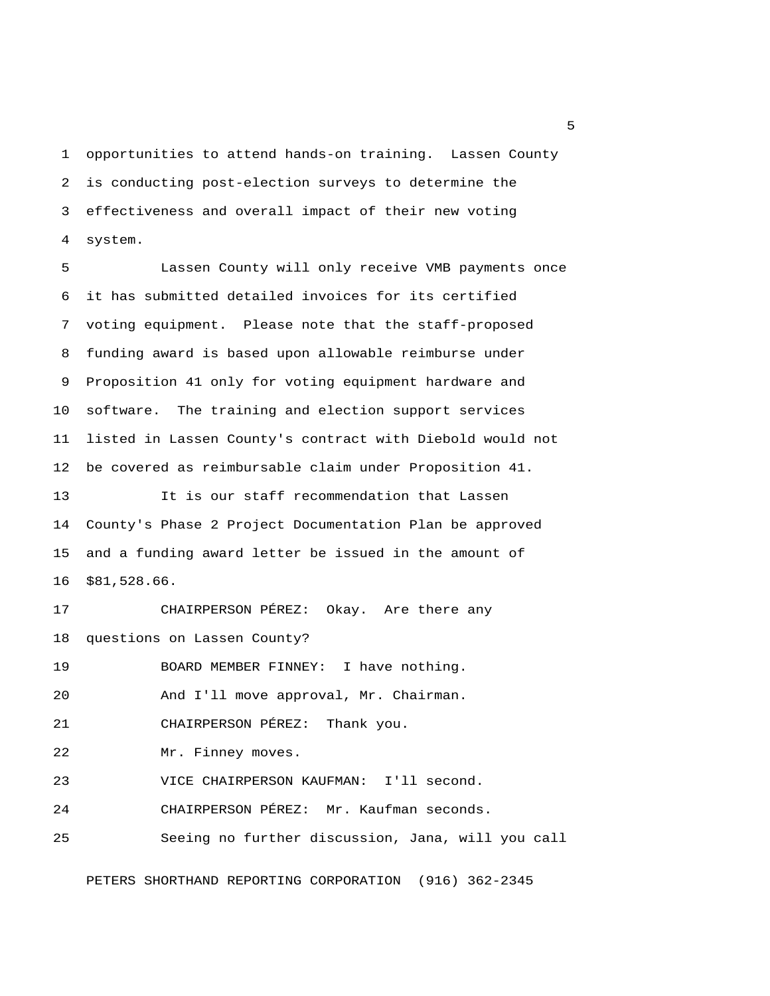1 opportunities to attend hands-on training. Lassen County 2 is conducting post-election surveys to determine the 3 effectiveness and overall impact of their new voting 4 system.

 5 Lassen County will only receive VMB payments once 6 it has submitted detailed invoices for its certified 7 voting equipment. Please note that the staff-proposed 8 funding award is based upon allowable reimburse under 9 Proposition 41 only for voting equipment hardware and 10 software. The training and election support services 11 listed in Lassen County's contract with Diebold would not 12 be covered as reimbursable claim under Proposition 41. 13 It is our staff recommendation that Lassen 14 County's Phase 2 Project Documentation Plan be approved 15 and a funding award letter be issued in the amount of 16 \$81,528.66.

17 CHAIRPERSON PÉREZ: Okay. Are there any 18 questions on Lassen County? 19 BOARD MEMBER FINNEY: I have nothing. 20 And I'll move approval, Mr. Chairman. 21 CHAIRPERSON PÉREZ: Thank you.

22 Mr. Finney moves.

23 VICE CHAIRPERSON KAUFMAN: I'll second.

24 CHAIRPERSON PÉREZ: Mr. Kaufman seconds.

25 Seeing no further discussion, Jana, will you call

PETERS SHORTHAND REPORTING CORPORATION (916) 362-2345

 $\sim$  5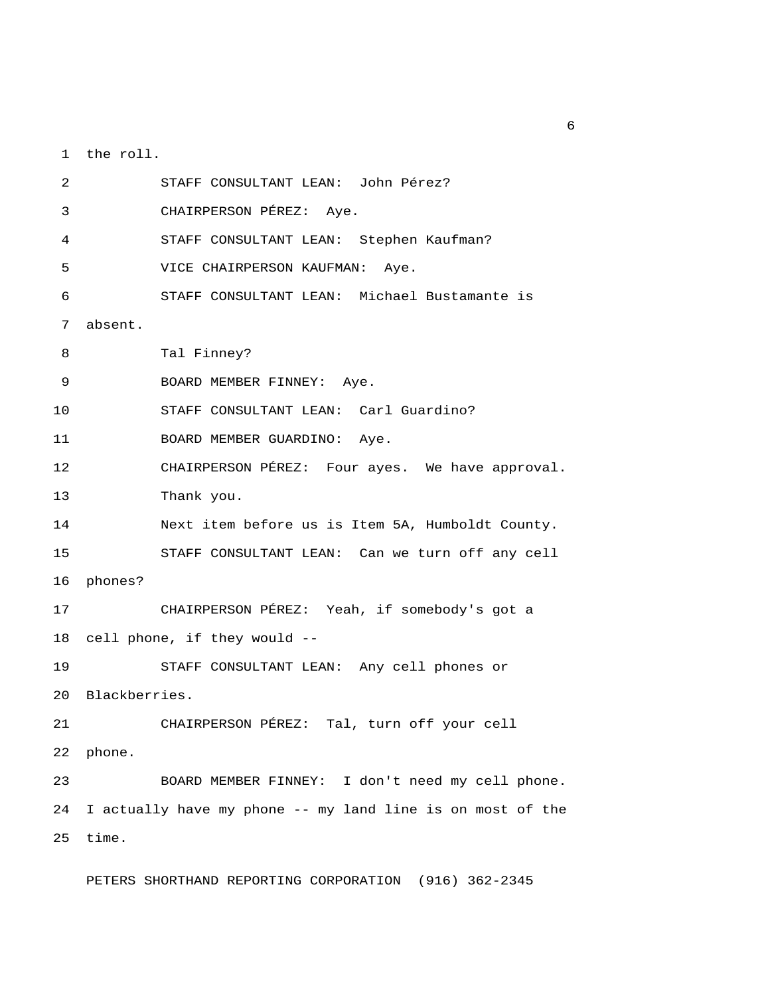1 the roll.

 2 STAFF CONSULTANT LEAN: John Pérez? 3 CHAIRPERSON PÉREZ: Aye. 4 STAFF CONSULTANT LEAN: Stephen Kaufman? 5 VICE CHAIRPERSON KAUFMAN: Aye. 6 STAFF CONSULTANT LEAN: Michael Bustamante is 7 absent. 8 Tal Finney? 9 BOARD MEMBER FINNEY: Aye. 10 STAFF CONSULTANT LEAN: Carl Guardino? 11 BOARD MEMBER GUARDINO: Aye. 12 CHAIRPERSON PÉREZ: Four ayes. We have approval. 13 Thank you. 14 Next item before us is Item 5A, Humboldt County. 15 STAFF CONSULTANT LEAN: Can we turn off any cell 16 phones? 17 CHAIRPERSON PÉREZ: Yeah, if somebody's got a 18 cell phone, if they would -- 19 STAFF CONSULTANT LEAN: Any cell phones or 20 Blackberries. 21 CHAIRPERSON PÉREZ: Tal, turn off your cell 22 phone. 23 BOARD MEMBER FINNEY: I don't need my cell phone. 24 I actually have my phone -- my land line is on most of the 25 time.

PETERS SHORTHAND REPORTING CORPORATION (916) 362-2345

 $6<sup>6</sup>$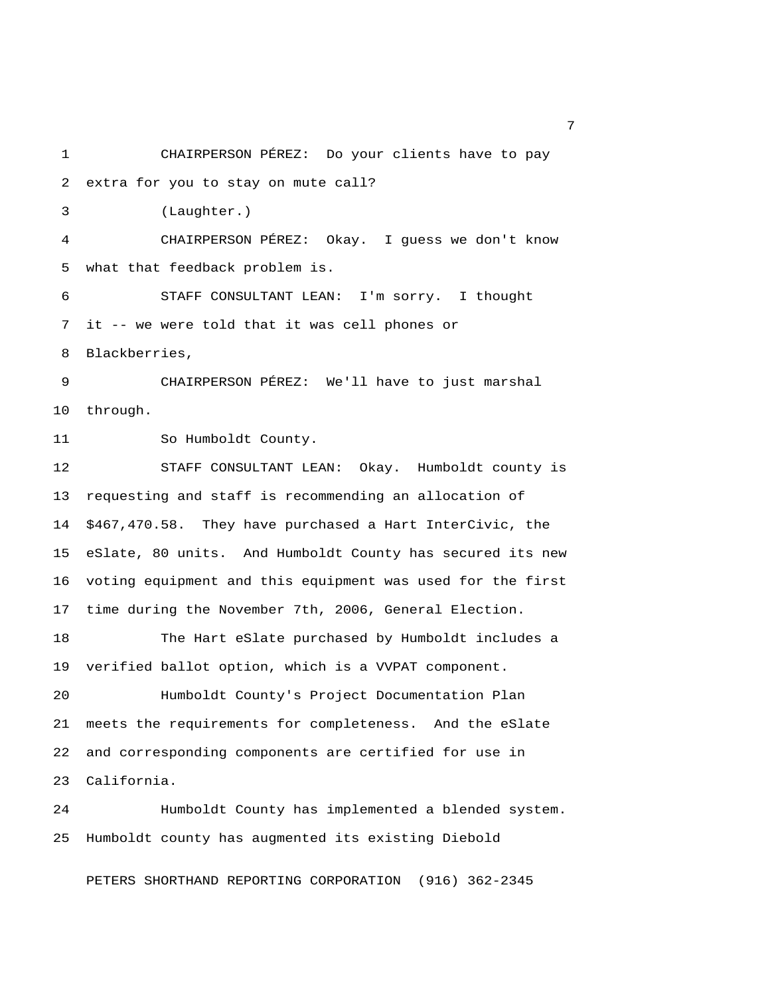1 CHAIRPERSON PÉREZ: Do your clients have to pay 2 extra for you to stay on mute call? 3 (Laughter.) 4 CHAIRPERSON PÉREZ: Okay. I guess we don't know 5 what that feedback problem is. 6 STAFF CONSULTANT LEAN: I'm sorry. I thought 7 it -- we were told that it was cell phones or 8 Blackberries, 9 CHAIRPERSON PÉREZ: We'll have to just marshal 10 through. 11 So Humboldt County. 12 STAFF CONSULTANT LEAN: Okay. Humboldt county is 13 requesting and staff is recommending an allocation of 14 \$467,470.58. They have purchased a Hart InterCivic, the 15 eSlate, 80 units. And Humboldt County has secured its new 16 voting equipment and this equipment was used for the first 17 time during the November 7th, 2006, General Election. 18 The Hart eSlate purchased by Humboldt includes a 19 verified ballot option, which is a VVPAT component. 20 Humboldt County's Project Documentation Plan 21 meets the requirements for completeness. And the eSlate 22 and corresponding components are certified for use in 23 California. 24 Humboldt County has implemented a blended system. 25 Humboldt county has augmented its existing Diebold

PETERS SHORTHAND REPORTING CORPORATION (916) 362-2345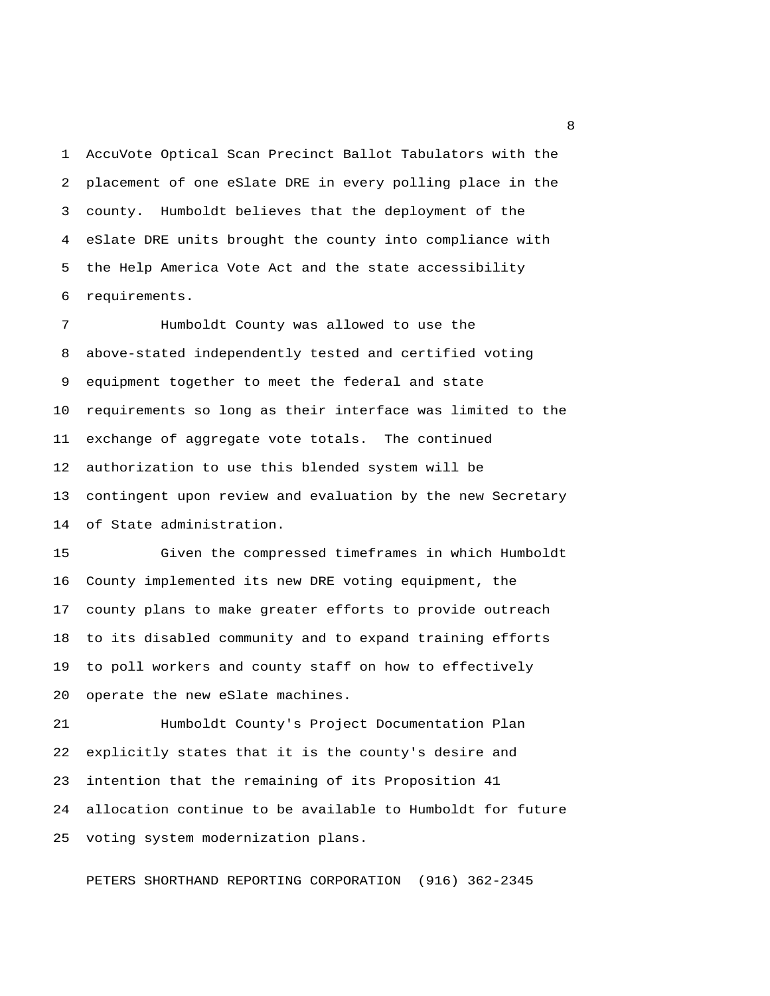1 AccuVote Optical Scan Precinct Ballot Tabulators with the 2 placement of one eSlate DRE in every polling place in the 3 county. Humboldt believes that the deployment of the 4 eSlate DRE units brought the county into compliance with 5 the Help America Vote Act and the state accessibility 6 requirements.

 7 Humboldt County was allowed to use the 8 above-stated independently tested and certified voting 9 equipment together to meet the federal and state 10 requirements so long as their interface was limited to the 11 exchange of aggregate vote totals. The continued 12 authorization to use this blended system will be 13 contingent upon review and evaluation by the new Secretary 14 of State administration.

15 Given the compressed timeframes in which Humboldt 16 County implemented its new DRE voting equipment, the 17 county plans to make greater efforts to provide outreach 18 to its disabled community and to expand training efforts 19 to poll workers and county staff on how to effectively 20 operate the new eSlate machines.

21 Humboldt County's Project Documentation Plan 22 explicitly states that it is the county's desire and 23 intention that the remaining of its Proposition 41 24 allocation continue to be available to Humboldt for future 25 voting system modernization plans.

PETERS SHORTHAND REPORTING CORPORATION (916) 362-2345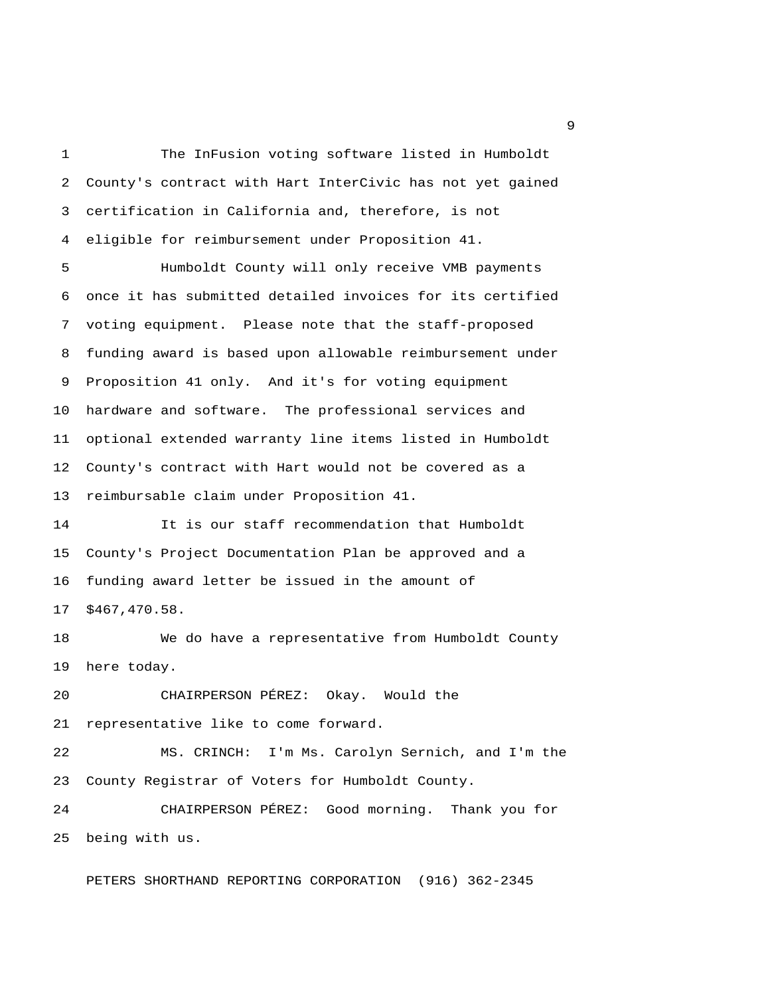1 The InFusion voting software listed in Humboldt 2 County's contract with Hart InterCivic has not yet gained 3 certification in California and, therefore, is not 4 eligible for reimbursement under Proposition 41.

 5 Humboldt County will only receive VMB payments 6 once it has submitted detailed invoices for its certified 7 voting equipment. Please note that the staff-proposed 8 funding award is based upon allowable reimbursement under 9 Proposition 41 only. And it's for voting equipment 10 hardware and software. The professional services and 11 optional extended warranty line items listed in Humboldt 12 County's contract with Hart would not be covered as a 13 reimbursable claim under Proposition 41.

14 It is our staff recommendation that Humboldt 15 County's Project Documentation Plan be approved and a 16 funding award letter be issued in the amount of 17 \$467,470.58.

18 We do have a representative from Humboldt County 19 here today.

20 CHAIRPERSON PÉREZ: Okay. Would the 21 representative like to come forward.

22 MS. CRINCH: I'm Ms. Carolyn Sernich, and I'm the 23 County Registrar of Voters for Humboldt County.

24 CHAIRPERSON PÉREZ: Good morning. Thank you for 25 being with us.

PETERS SHORTHAND REPORTING CORPORATION (916) 362-2345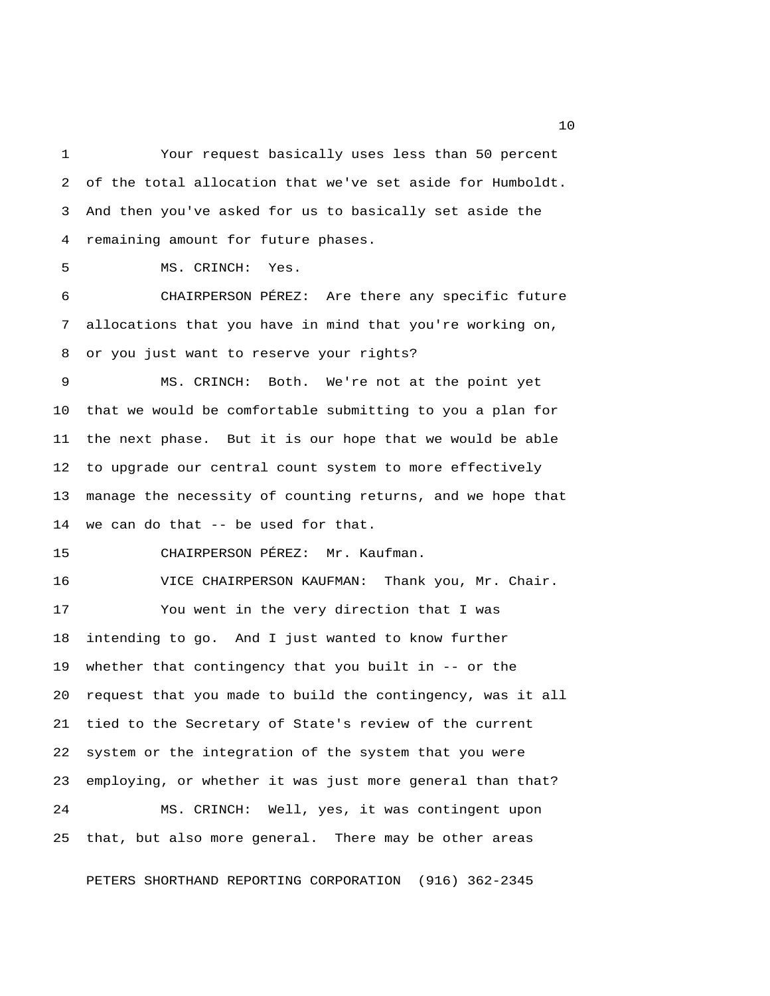1 Your request basically uses less than 50 percent 2 of the total allocation that we've set aside for Humboldt. 3 And then you've asked for us to basically set aside the 4 remaining amount for future phases. 5 MS. CRINCH: Yes.

 6 CHAIRPERSON PÉREZ: Are there any specific future 7 allocations that you have in mind that you're working on, 8 or you just want to reserve your rights?

 9 MS. CRINCH: Both. We're not at the point yet 10 that we would be comfortable submitting to you a plan for 11 the next phase. But it is our hope that we would be able 12 to upgrade our central count system to more effectively 13 manage the necessity of counting returns, and we hope that 14 we can do that -- be used for that.

15 CHAIRPERSON PÉREZ: Mr. Kaufman.

16 VICE CHAIRPERSON KAUFMAN: Thank you, Mr. Chair. 17 You went in the very direction that I was 18 intending to go. And I just wanted to know further 19 whether that contingency that you built in -- or the 20 request that you made to build the contingency, was it all 21 tied to the Secretary of State's review of the current 22 system or the integration of the system that you were 23 employing, or whether it was just more general than that? 24 MS. CRINCH: Well, yes, it was contingent upon 25 that, but also more general. There may be other areas

PETERS SHORTHAND REPORTING CORPORATION (916) 362-2345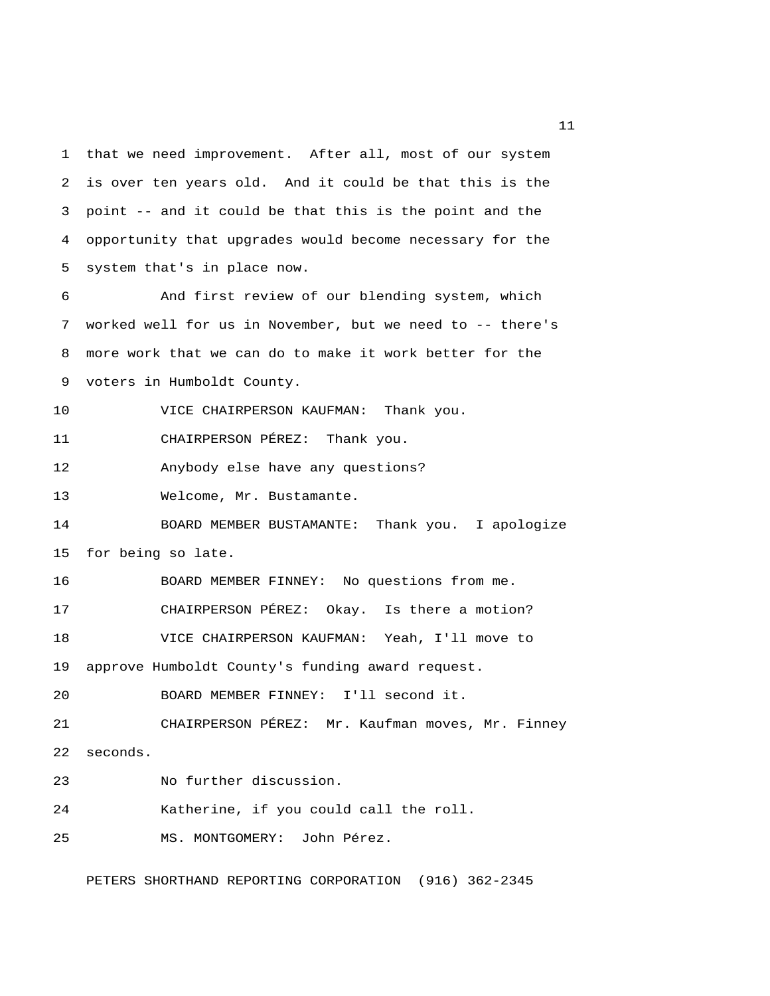1 that we need improvement. After all, most of our system 2 is over ten years old. And it could be that this is the 3 point -- and it could be that this is the point and the 4 opportunity that upgrades would become necessary for the 5 system that's in place now.

 6 And first review of our blending system, which 7 worked well for us in November, but we need to -- there's 8 more work that we can do to make it work better for the 9 voters in Humboldt County.

10 VICE CHAIRPERSON KAUFMAN: Thank you.

11 CHAIRPERSON PÉREZ: Thank you.

12 Anybody else have any questions?

13 Welcome, Mr. Bustamante.

14 BOARD MEMBER BUSTAMANTE: Thank you. I apologize 15 for being so late.

16 BOARD MEMBER FINNEY: No questions from me.

17 CHAIRPERSON PÉREZ: Okay. Is there a motion?

18 VICE CHAIRPERSON KAUFMAN: Yeah, I'll move to

19 approve Humboldt County's funding award request.

20 BOARD MEMBER FINNEY: I'll second it.

21 CHAIRPERSON PÉREZ: Mr. Kaufman moves, Mr. Finney

22 seconds.

23 No further discussion.

24 Katherine, if you could call the roll.

25 MS. MONTGOMERY: John Pérez.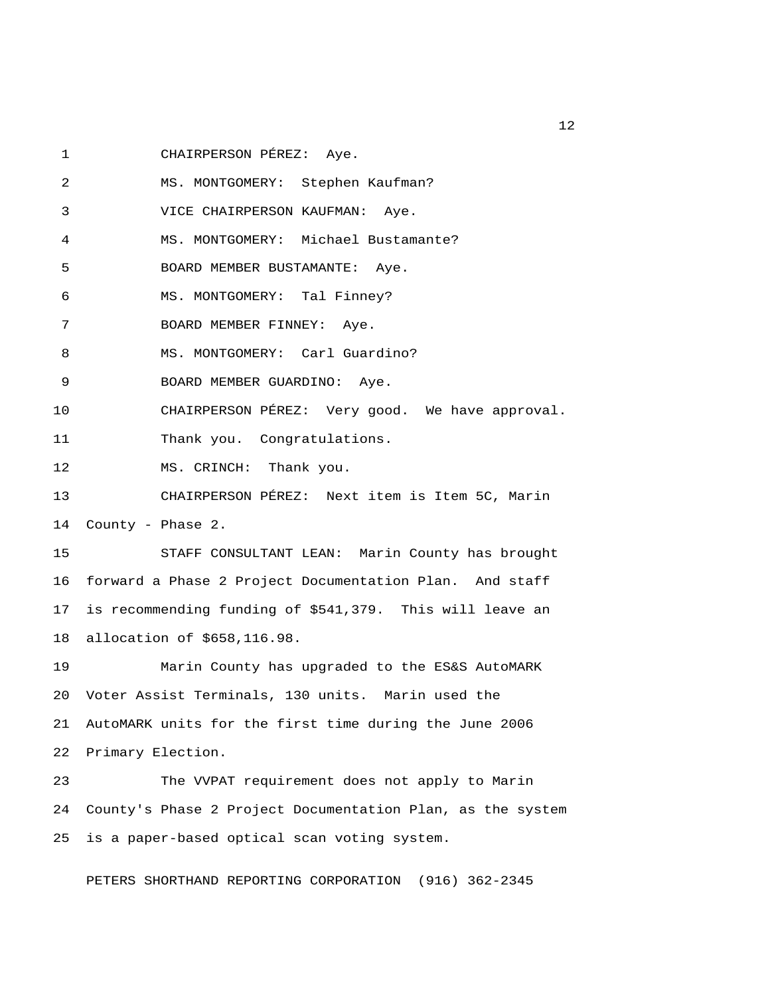1 CHAIRPERSON PÉREZ: Aye.

 2 MS. MONTGOMERY: Stephen Kaufman? 3 VICE CHAIRPERSON KAUFMAN: Aye. 4 MS. MONTGOMERY: Michael Bustamante? 5 BOARD MEMBER BUSTAMANTE: Aye. 6 MS. MONTGOMERY: Tal Finney? 7 BOARD MEMBER FINNEY: Aye. 8 MS. MONTGOMERY: Carl Guardino? 9 BOARD MEMBER GUARDINO: Aye. 10 CHAIRPERSON PÉREZ: Very good. We have approval. 11 Thank you. Congratulations. 12 MS. CRINCH: Thank you. 13 CHAIRPERSON PÉREZ: Next item is Item 5C, Marin 14 County - Phase 2. 15 STAFF CONSULTANT LEAN: Marin County has brought 16 forward a Phase 2 Project Documentation Plan. And staff 17 is recommending funding of \$541,379. This will leave an 18 allocation of \$658,116.98. 19 Marin County has upgraded to the ES&S AutoMARK 20 Voter Assist Terminals, 130 units. Marin used the 21 AutoMARK units for the first time during the June 2006 22 Primary Election.

23 The VVPAT requirement does not apply to Marin 24 County's Phase 2 Project Documentation Plan, as the system 25 is a paper-based optical scan voting system.

PETERS SHORTHAND REPORTING CORPORATION (916) 362-2345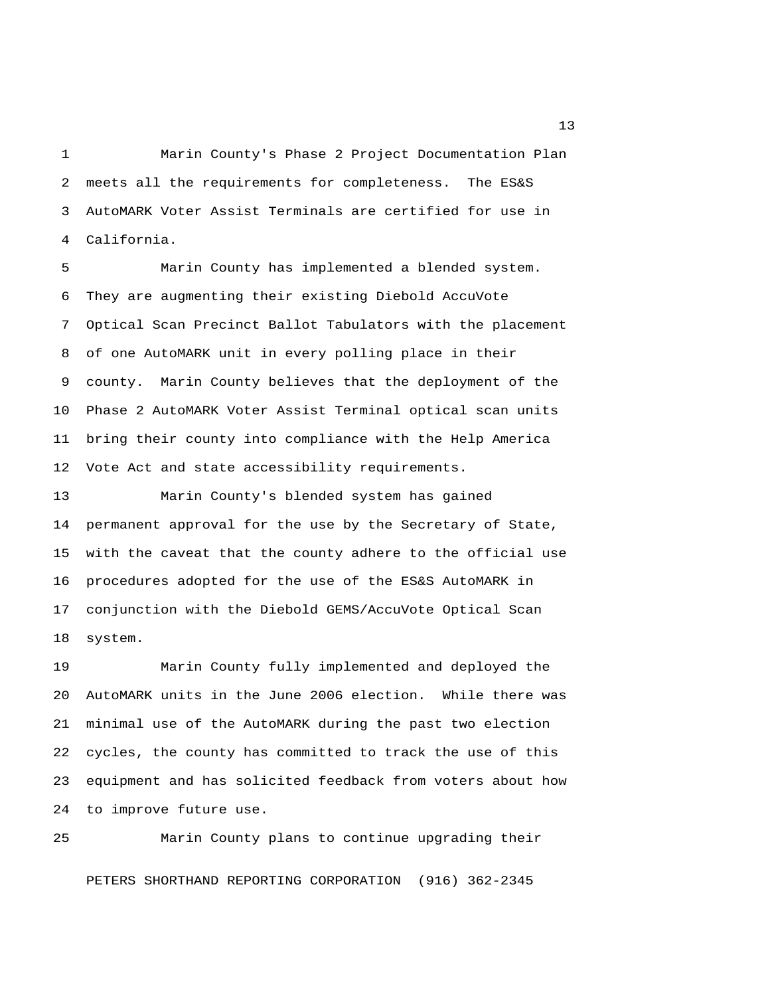1 Marin County's Phase 2 Project Documentation Plan 2 meets all the requirements for completeness. The ES&S 3 AutoMARK Voter Assist Terminals are certified for use in 4 California.

 5 Marin County has implemented a blended system. 6 They are augmenting their existing Diebold AccuVote 7 Optical Scan Precinct Ballot Tabulators with the placement 8 of one AutoMARK unit in every polling place in their 9 county. Marin County believes that the deployment of the 10 Phase 2 AutoMARK Voter Assist Terminal optical scan units 11 bring their county into compliance with the Help America 12 Vote Act and state accessibility requirements.

13 Marin County's blended system has gained 14 permanent approval for the use by the Secretary of State, 15 with the caveat that the county adhere to the official use 16 procedures adopted for the use of the ES&S AutoMARK in 17 conjunction with the Diebold GEMS/AccuVote Optical Scan 18 system.

19 Marin County fully implemented and deployed the 20 AutoMARK units in the June 2006 election. While there was 21 minimal use of the AutoMARK during the past two election 22 cycles, the county has committed to track the use of this 23 equipment and has solicited feedback from voters about how 24 to improve future use.

25 Marin County plans to continue upgrading their PETERS SHORTHAND REPORTING CORPORATION (916) 362-2345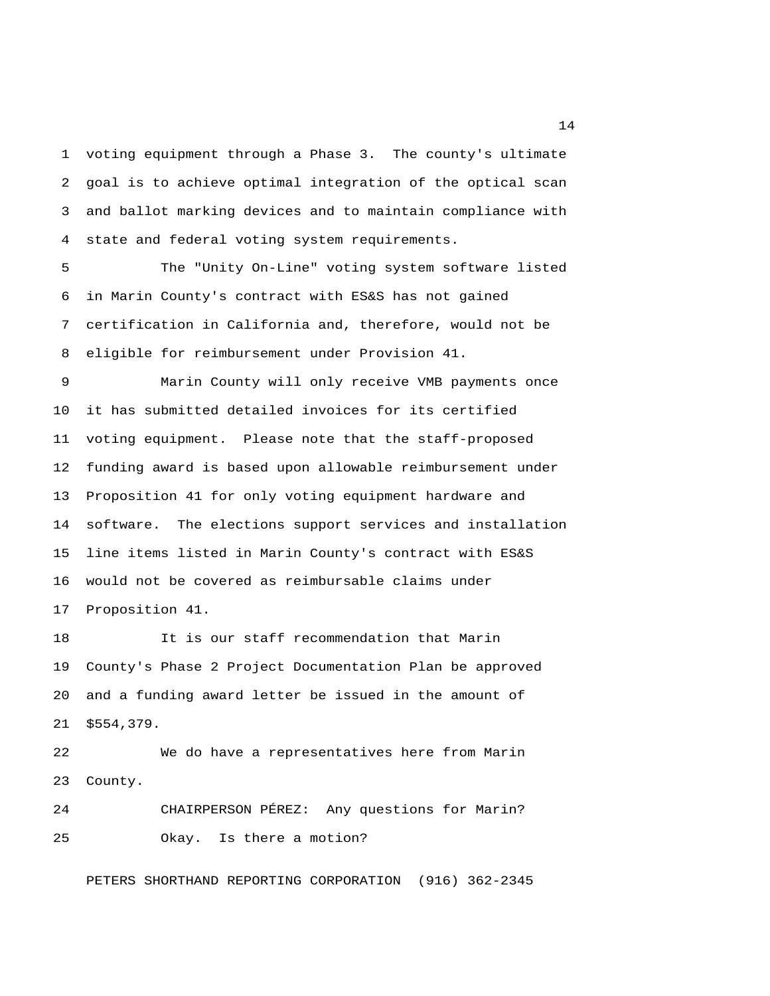1 voting equipment through a Phase 3. The county's ultimate 2 goal is to achieve optimal integration of the optical scan 3 and ballot marking devices and to maintain compliance with 4 state and federal voting system requirements.

 5 The "Unity On-Line" voting system software listed 6 in Marin County's contract with ES&S has not gained 7 certification in California and, therefore, would not be 8 eligible for reimbursement under Provision 41.

 9 Marin County will only receive VMB payments once 10 it has submitted detailed invoices for its certified 11 voting equipment. Please note that the staff-proposed 12 funding award is based upon allowable reimbursement under 13 Proposition 41 for only voting equipment hardware and 14 software. The elections support services and installation 15 line items listed in Marin County's contract with ES&S 16 would not be covered as reimbursable claims under 17 Proposition 41.

18 It is our staff recommendation that Marin 19 County's Phase 2 Project Documentation Plan be approved 20 and a funding award letter be issued in the amount of 21 \$554,379.

22 We do have a representatives here from Marin 23 County.

24 CHAIRPERSON PÉREZ: Any questions for Marin? 25 Okay. Is there a motion?

PETERS SHORTHAND REPORTING CORPORATION (916) 362-2345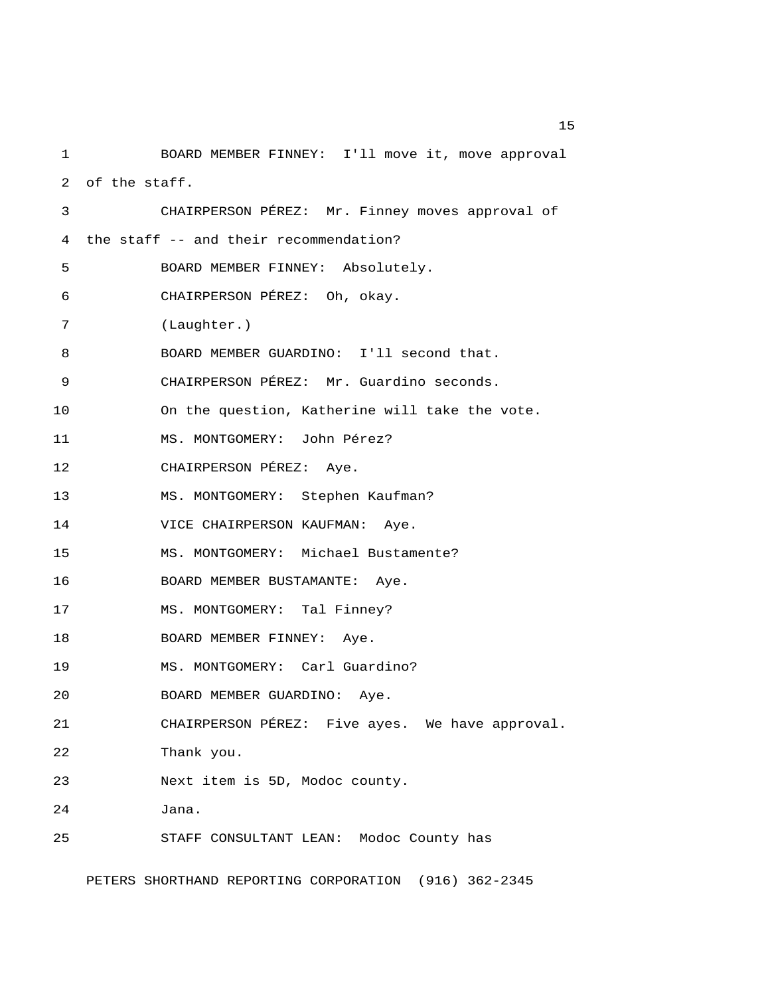1 BOARD MEMBER FINNEY: I'll move it, move approval 2 of the staff. 3 CHAIRPERSON PÉREZ: Mr. Finney moves approval of 4 the staff -- and their recommendation? 5 BOARD MEMBER FINNEY: Absolutely. 6 CHAIRPERSON PÉREZ: Oh, okay. 7 (Laughter.) 8 BOARD MEMBER GUARDINO: I'll second that. 9 CHAIRPERSON PÉREZ: Mr. Guardino seconds. 10 On the question, Katherine will take the vote. 11 MS. MONTGOMERY: John Pérez? 12 CHAIRPERSON PÉREZ: Aye. 13 MS. MONTGOMERY: Stephen Kaufman? 14 VICE CHAIRPERSON KAUFMAN: Aye. 15 MS. MONTGOMERY: Michael Bustamente? 16 BOARD MEMBER BUSTAMANTE: Aye. 17 MS. MONTGOMERY: Tal Finney? 18 BOARD MEMBER FINNEY: Aye. 19 MS. MONTGOMERY: Carl Guardino? 20 BOARD MEMBER GUARDINO: Aye. 21 CHAIRPERSON PÉREZ: Five ayes. We have approval. 22 Thank you. 23 Next item is 5D, Modoc county. 24 Jana. 25 STAFF CONSULTANT LEAN: Modoc County has

PETERS SHORTHAND REPORTING CORPORATION (916) 362-2345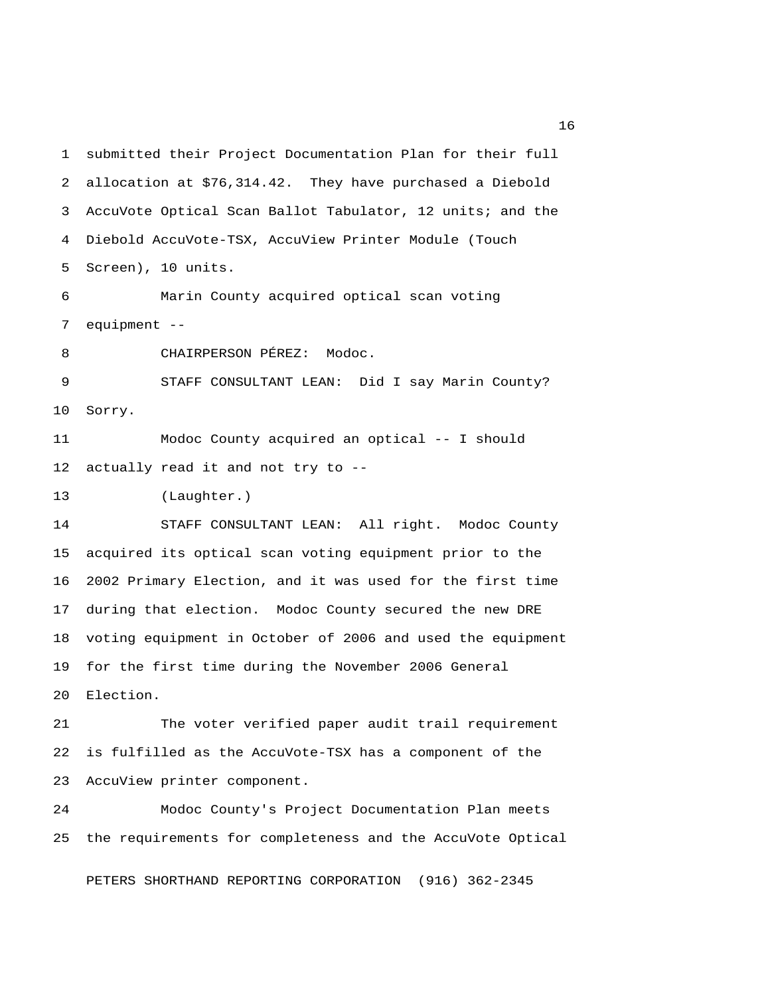1 submitted their Project Documentation Plan for their full 2 allocation at \$76,314.42. They have purchased a Diebold 3 AccuVote Optical Scan Ballot Tabulator, 12 units; and the 4 Diebold AccuVote-TSX, AccuView Printer Module (Touch 5 Screen), 10 units. 6 Marin County acquired optical scan voting 7 equipment -- 8 CHAIRPERSON PÉREZ: Modoc. 9 STAFF CONSULTANT LEAN: Did I say Marin County? 10 Sorry. 11 Modoc County acquired an optical -- I should 12 actually read it and not try to -- 13 (Laughter.) 14 STAFF CONSULTANT LEAN: All right. Modoc County 15 acquired its optical scan voting equipment prior to the 16 2002 Primary Election, and it was used for the first time 17 during that election. Modoc County secured the new DRE 18 voting equipment in October of 2006 and used the equipment 19 for the first time during the November 2006 General 20 Election. 21 The voter verified paper audit trail requirement 22 is fulfilled as the AccuVote-TSX has a component of the

23 AccuView printer component.

24 Modoc County's Project Documentation Plan meets 25 the requirements for completeness and the AccuVote Optical

PETERS SHORTHAND REPORTING CORPORATION (916) 362-2345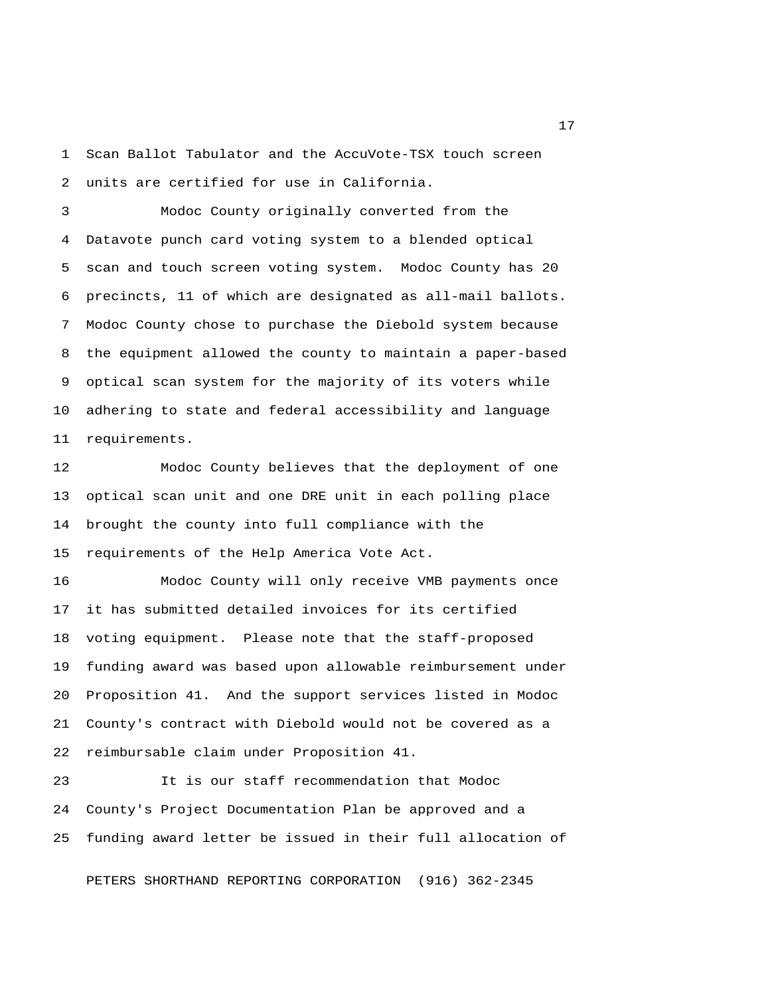1 Scan Ballot Tabulator and the AccuVote-TSX touch screen 2 units are certified for use in California.

 3 Modoc County originally converted from the 4 Datavote punch card voting system to a blended optical 5 scan and touch screen voting system. Modoc County has 20 6 precincts, 11 of which are designated as all-mail ballots. 7 Modoc County chose to purchase the Diebold system because 8 the equipment allowed the county to maintain a paper-based 9 optical scan system for the majority of its voters while 10 adhering to state and federal accessibility and language 11 requirements.

12 Modoc County believes that the deployment of one 13 optical scan unit and one DRE unit in each polling place 14 brought the county into full compliance with the 15 requirements of the Help America Vote Act.

16 Modoc County will only receive VMB payments once 17 it has submitted detailed invoices for its certified 18 voting equipment. Please note that the staff-proposed 19 funding award was based upon allowable reimbursement under 20 Proposition 41. And the support services listed in Modoc 21 County's contract with Diebold would not be covered as a 22 reimbursable claim under Proposition 41.

23 It is our staff recommendation that Modoc 24 County's Project Documentation Plan be approved and a 25 funding award letter be issued in their full allocation of

PETERS SHORTHAND REPORTING CORPORATION (916) 362-2345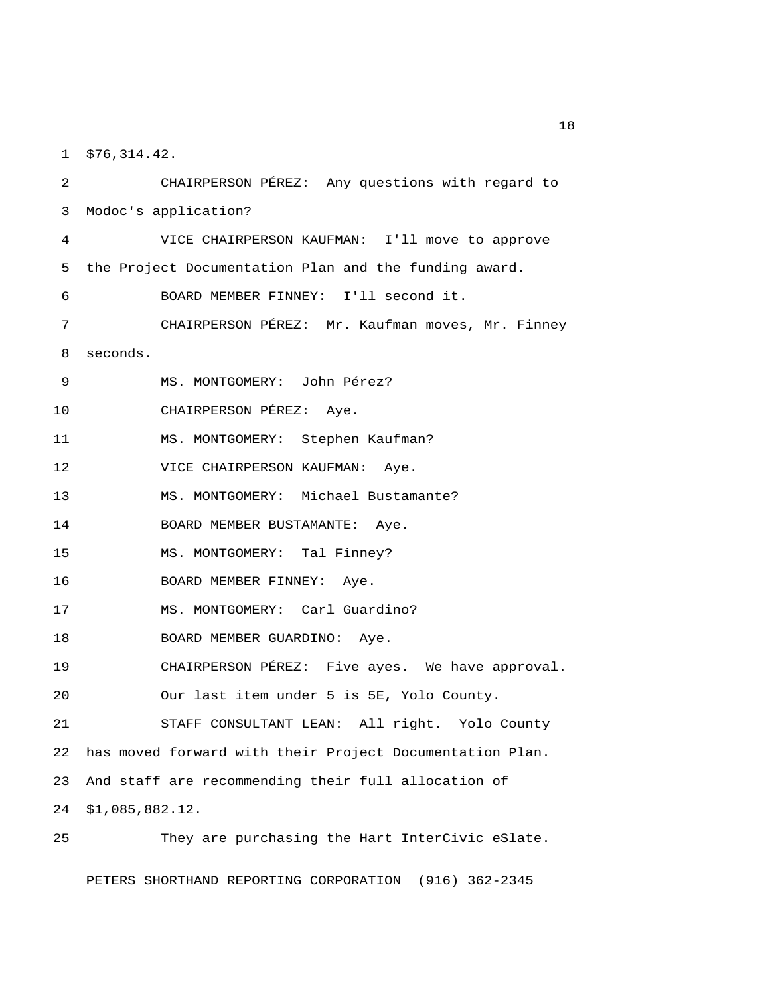1 \$76,314.42.

 2 CHAIRPERSON PÉREZ: Any questions with regard to 3 Modoc's application? 4 VICE CHAIRPERSON KAUFMAN: I'll move to approve 5 the Project Documentation Plan and the funding award. 6 BOARD MEMBER FINNEY: I'll second it. 7 CHAIRPERSON PÉREZ: Mr. Kaufman moves, Mr. Finney 8 seconds. 9 MS. MONTGOMERY: John Pérez? 10 CHAIRPERSON PÉREZ: Aye. 11 MS. MONTGOMERY: Stephen Kaufman? 12 VICE CHAIRPERSON KAUFMAN: Aye. 13 MS. MONTGOMERY: Michael Bustamante? 14 BOARD MEMBER BUSTAMANTE: Aye. 15 MS. MONTGOMERY: Tal Finney? 16 BOARD MEMBER FINNEY: Aye. 17 MS. MONTGOMERY: Carl Guardino? 18 BOARD MEMBER GUARDINO: Aye. 19 CHAIRPERSON PÉREZ: Five ayes. We have approval. 20 Our last item under 5 is 5E, Yolo County. 21 STAFF CONSULTANT LEAN: All right. Yolo County 22 has moved forward with their Project Documentation Plan. 23 And staff are recommending their full allocation of 24 \$1,085,882.12. 25 They are purchasing the Hart InterCivic eSlate.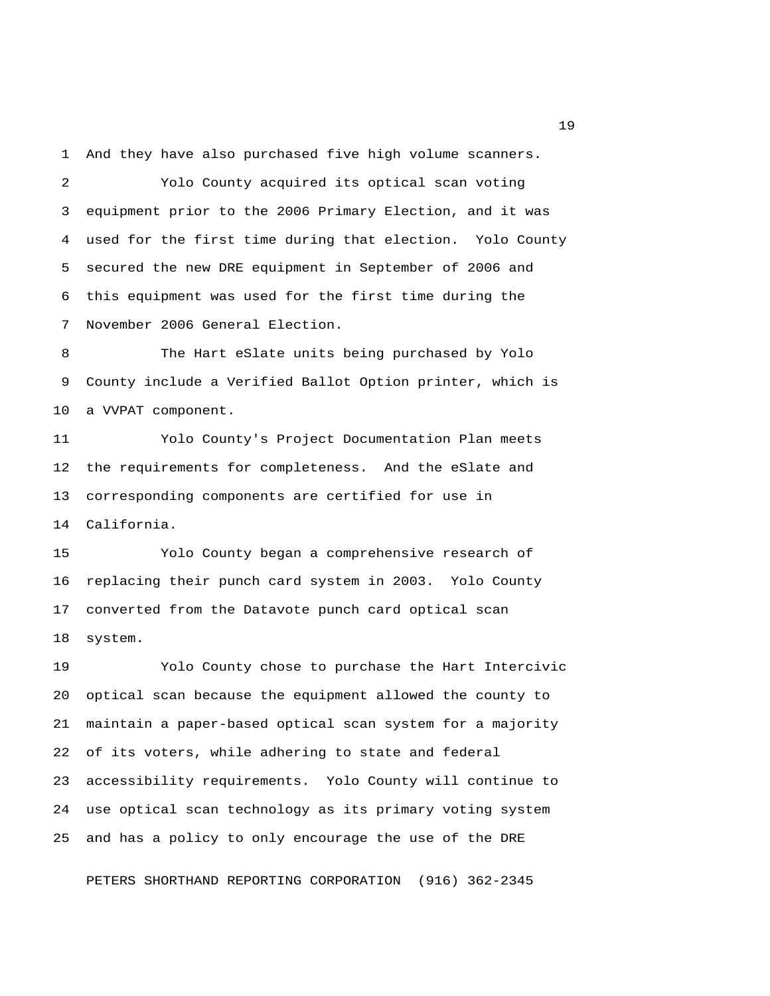1 And they have also purchased five high volume scanners.

 2 Yolo County acquired its optical scan voting 3 equipment prior to the 2006 Primary Election, and it was 4 used for the first time during that election. Yolo County 5 secured the new DRE equipment in September of 2006 and 6 this equipment was used for the first time during the 7 November 2006 General Election.

 8 The Hart eSlate units being purchased by Yolo 9 County include a Verified Ballot Option printer, which is 10 a VVPAT component.

11 Yolo County's Project Documentation Plan meets 12 the requirements for completeness. And the eSlate and 13 corresponding components are certified for use in 14 California.

15 Yolo County began a comprehensive research of 16 replacing their punch card system in 2003. Yolo County 17 converted from the Datavote punch card optical scan 18 system.

19 Yolo County chose to purchase the Hart Intercivic 20 optical scan because the equipment allowed the county to 21 maintain a paper-based optical scan system for a majority 22 of its voters, while adhering to state and federal 23 accessibility requirements. Yolo County will continue to 24 use optical scan technology as its primary voting system 25 and has a policy to only encourage the use of the DRE

PETERS SHORTHAND REPORTING CORPORATION (916) 362-2345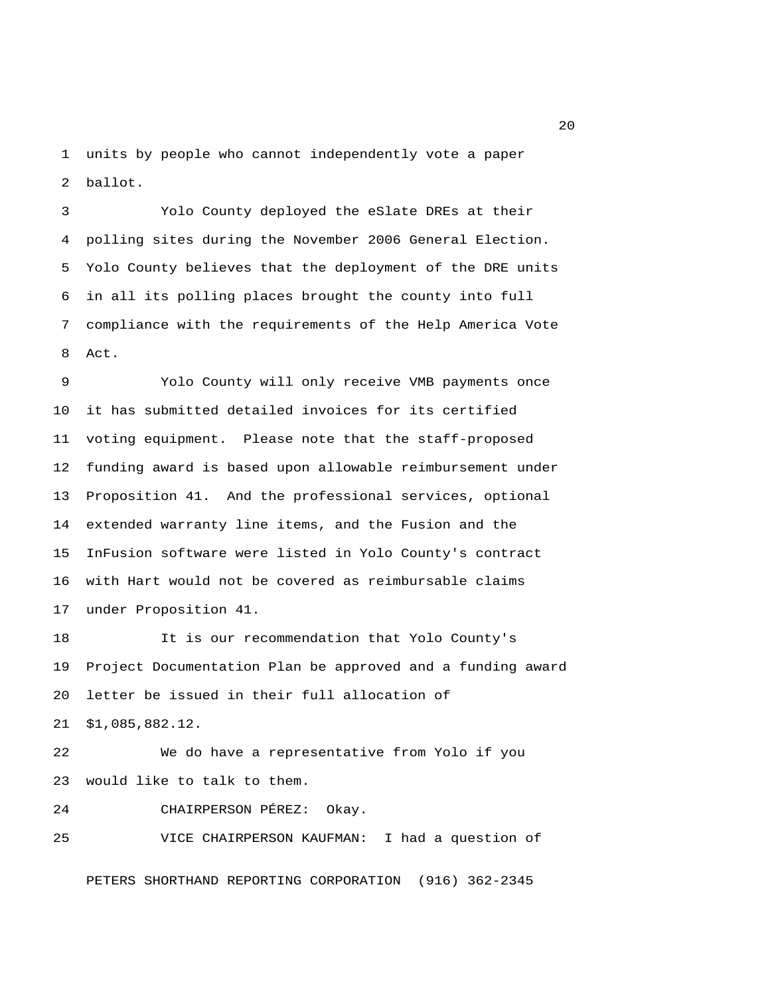1 units by people who cannot independently vote a paper 2 ballot.

 3 Yolo County deployed the eSlate DREs at their 4 polling sites during the November 2006 General Election. 5 Yolo County believes that the deployment of the DRE units 6 in all its polling places brought the county into full 7 compliance with the requirements of the Help America Vote 8 Act.

 9 Yolo County will only receive VMB payments once 10 it has submitted detailed invoices for its certified 11 voting equipment. Please note that the staff-proposed 12 funding award is based upon allowable reimbursement under 13 Proposition 41. And the professional services, optional 14 extended warranty line items, and the Fusion and the 15 InFusion software were listed in Yolo County's contract 16 with Hart would not be covered as reimbursable claims 17 under Proposition 41.

18 It is our recommendation that Yolo County's 19 Project Documentation Plan be approved and a funding award 20 letter be issued in their full allocation of 21 \$1,085,882.12.

22 We do have a representative from Yolo if you 23 would like to talk to them.

24 CHAIRPERSON PÉREZ: Okay.

25 VICE CHAIRPERSON KAUFMAN: I had a question of

PETERS SHORTHAND REPORTING CORPORATION (916) 362-2345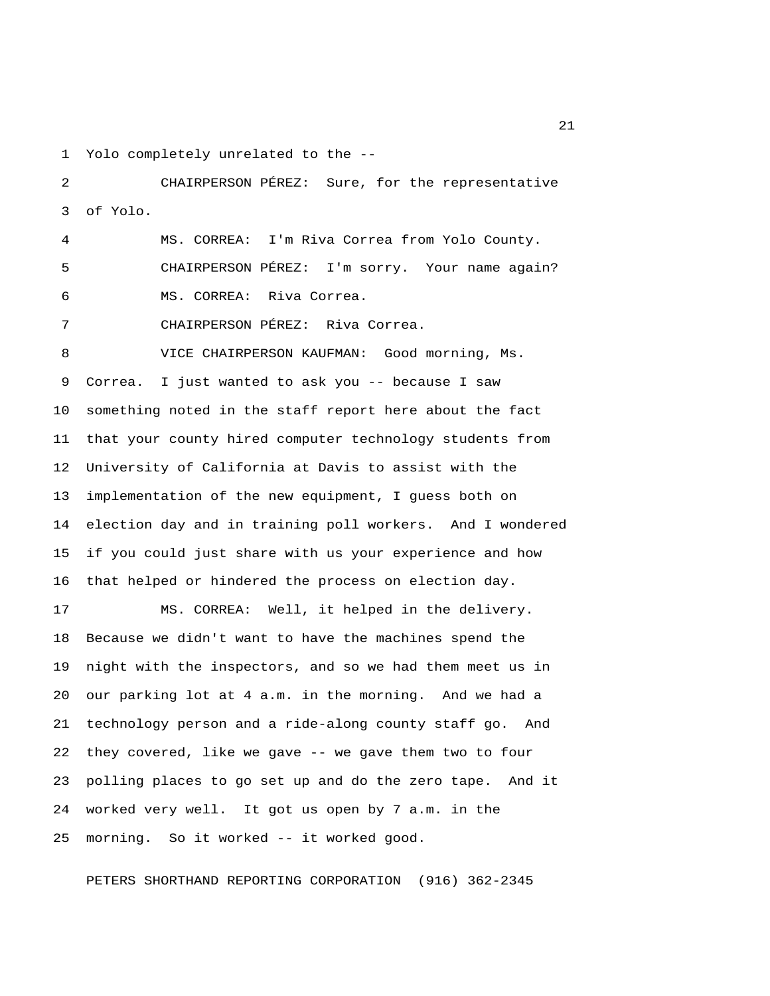1 Yolo completely unrelated to the --

 2 CHAIRPERSON PÉREZ: Sure, for the representative 3 of Yolo.

 4 MS. CORREA: I'm Riva Correa from Yolo County. 5 CHAIRPERSON PÉREZ: I'm sorry. Your name again? 6 MS. CORREA: Riva Correa.

7 CHAIRPERSON PÉREZ: Riva Correa.

 8 VICE CHAIRPERSON KAUFMAN: Good morning, Ms. 9 Correa. I just wanted to ask you -- because I saw 10 something noted in the staff report here about the fact 11 that your county hired computer technology students from 12 University of California at Davis to assist with the 13 implementation of the new equipment, I guess both on 14 election day and in training poll workers. And I wondered 15 if you could just share with us your experience and how 16 that helped or hindered the process on election day.

17 MS. CORREA: Well, it helped in the delivery. 18 Because we didn't want to have the machines spend the 19 night with the inspectors, and so we had them meet us in 20 our parking lot at 4 a.m. in the morning. And we had a 21 technology person and a ride-along county staff go. And 22 they covered, like we gave -- we gave them two to four 23 polling places to go set up and do the zero tape. And it 24 worked very well. It got us open by 7 a.m. in the 25 morning. So it worked -- it worked good.

PETERS SHORTHAND REPORTING CORPORATION (916) 362-2345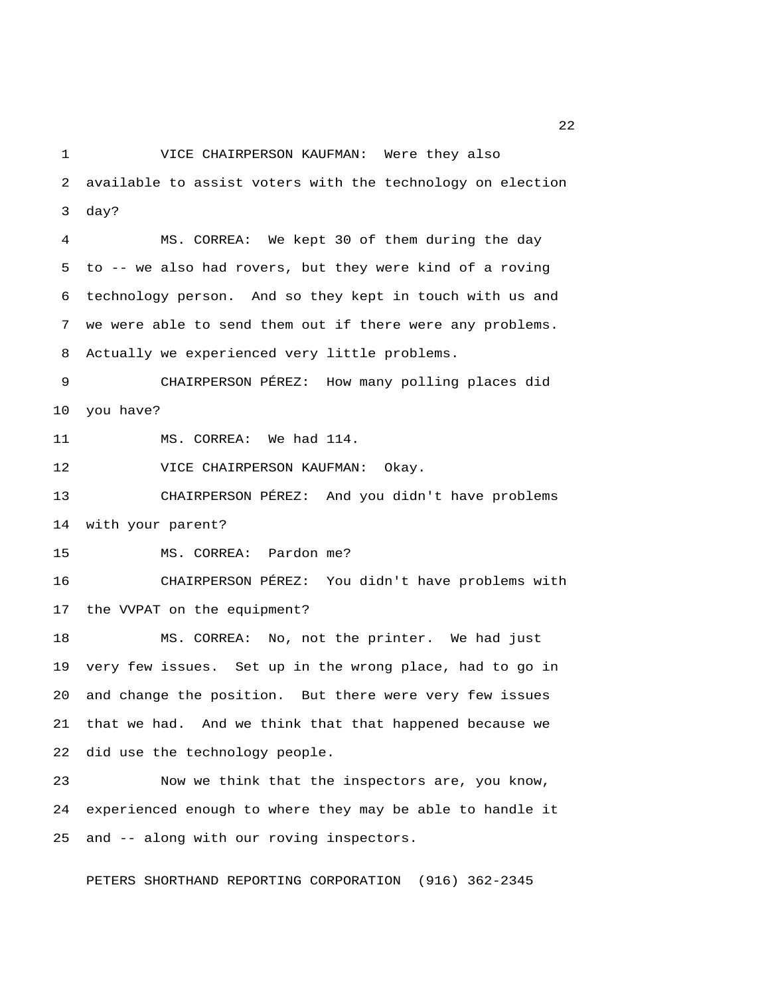1 VICE CHAIRPERSON KAUFMAN: Were they also 2 available to assist voters with the technology on election 3 day?

 4 MS. CORREA: We kept 30 of them during the day 5 to -- we also had rovers, but they were kind of a roving 6 technology person. And so they kept in touch with us and 7 we were able to send them out if there were any problems. 8 Actually we experienced very little problems.

 9 CHAIRPERSON PÉREZ: How many polling places did 10 you have?

11 MS. CORREA: We had 114.

12 VICE CHAIRPERSON KAUFMAN: Okay.

13 CHAIRPERSON PÉREZ: And you didn't have problems 14 with your parent?

15 MS. CORREA: Pardon me?

16 CHAIRPERSON PÉREZ: You didn't have problems with 17 the VVPAT on the equipment?

18 MS. CORREA: No, not the printer. We had just 19 very few issues. Set up in the wrong place, had to go in 20 and change the position. But there were very few issues 21 that we had. And we think that that happened because we 22 did use the technology people.

23 Now we think that the inspectors are, you know, 24 experienced enough to where they may be able to handle it 25 and -- along with our roving inspectors.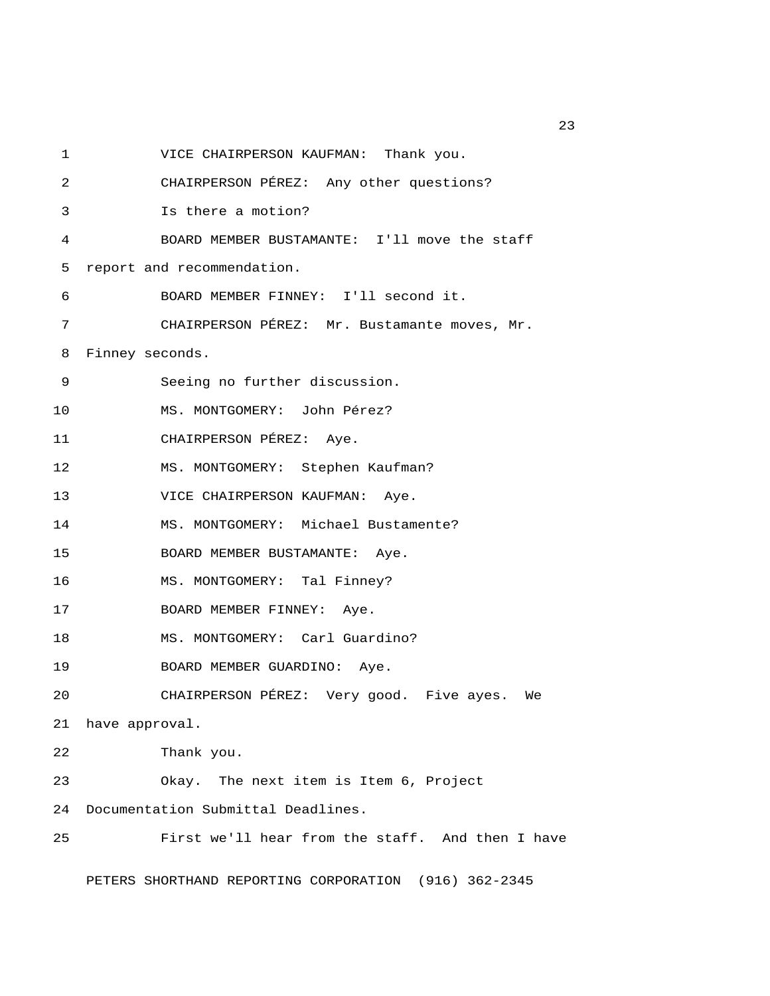1 VICE CHAIRPERSON KAUFMAN: Thank you. 2 CHAIRPERSON PÉREZ: Any other questions? 3 Is there a motion? 4 BOARD MEMBER BUSTAMANTE: I'll move the staff 5 report and recommendation. 6 BOARD MEMBER FINNEY: I'll second it. 7 CHAIRPERSON PÉREZ: Mr. Bustamante moves, Mr. 8 Finney seconds. 9 Seeing no further discussion. 10 MS. MONTGOMERY: John Pérez? 11 CHAIRPERSON PÉREZ: Aye. 12 MS. MONTGOMERY: Stephen Kaufman? 13 VICE CHAIRPERSON KAUFMAN: Aye. 14 MS. MONTGOMERY: Michael Bustamente? 15 BOARD MEMBER BUSTAMANTE: Aye. 16 MS. MONTGOMERY: Tal Finney? 17 BOARD MEMBER FINNEY: Aye. 18 MS. MONTGOMERY: Carl Guardino? 19 BOARD MEMBER GUARDINO: Aye. 20 CHAIRPERSON PÉREZ: Very good. Five ayes. We 21 have approval. 22 Thank you. 23 Okay. The next item is Item 6, Project 24 Documentation Submittal Deadlines. 25 First we'll hear from the staff. And then I have PETERS SHORTHAND REPORTING CORPORATION (916) 362-2345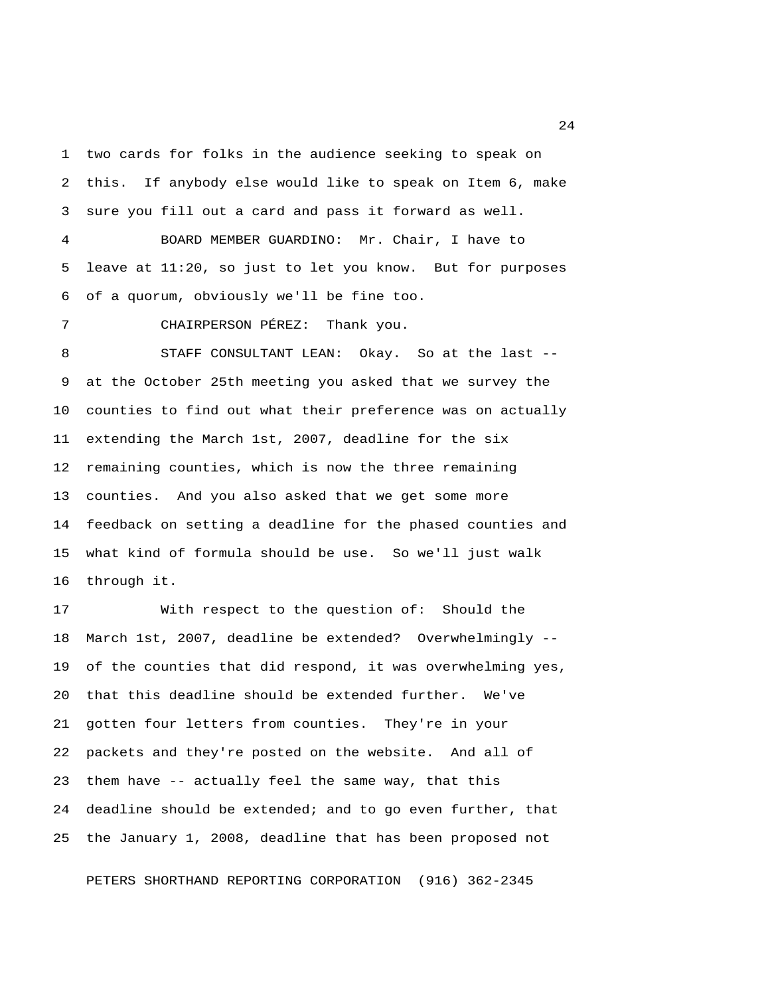1 two cards for folks in the audience seeking to speak on 2 this. If anybody else would like to speak on Item 6, make 3 sure you fill out a card and pass it forward as well.

 4 BOARD MEMBER GUARDINO: Mr. Chair, I have to 5 leave at 11:20, so just to let you know. But for purposes 6 of a quorum, obviously we'll be fine too.

7 CHAIRPERSON PÉREZ: Thank you.

 8 STAFF CONSULTANT LEAN: Okay. So at the last -- 9 at the October 25th meeting you asked that we survey the 10 counties to find out what their preference was on actually 11 extending the March 1st, 2007, deadline for the six 12 remaining counties, which is now the three remaining 13 counties. And you also asked that we get some more 14 feedback on setting a deadline for the phased counties and 15 what kind of formula should be use. So we'll just walk 16 through it.

17 With respect to the question of: Should the 18 March 1st, 2007, deadline be extended? Overwhelmingly -- 19 of the counties that did respond, it was overwhelming yes, 20 that this deadline should be extended further. We've 21 gotten four letters from counties. They're in your 22 packets and they're posted on the website. And all of 23 them have -- actually feel the same way, that this 24 deadline should be extended; and to go even further, that 25 the January 1, 2008, deadline that has been proposed not

PETERS SHORTHAND REPORTING CORPORATION (916) 362-2345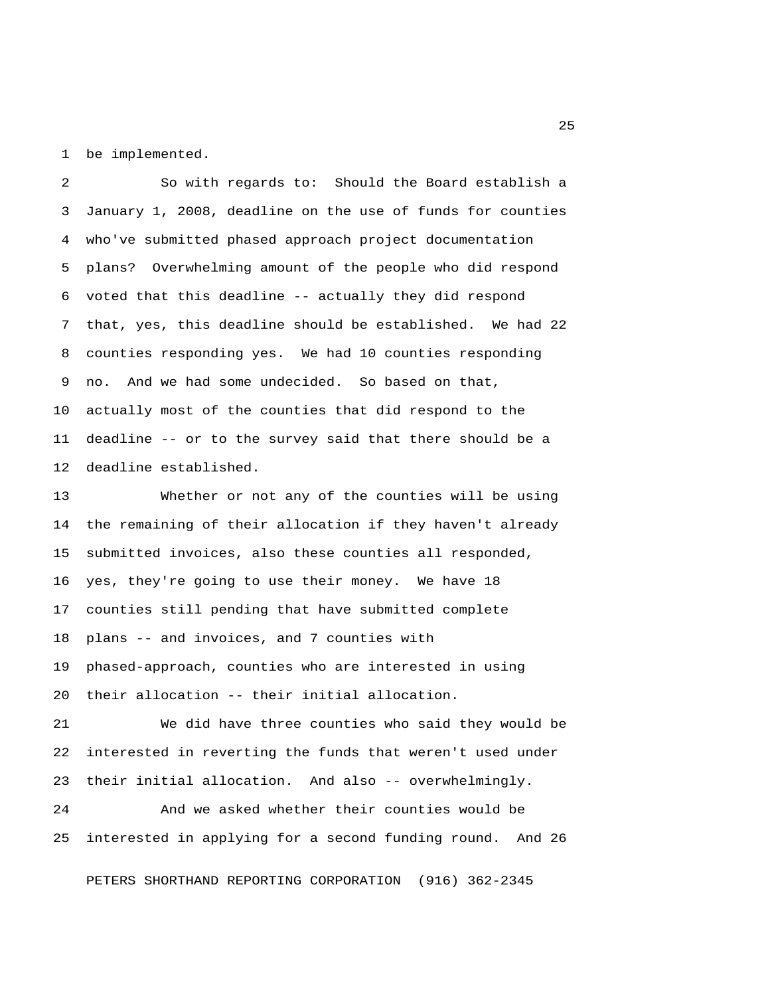1 be implemented.

 2 So with regards to: Should the Board establish a 3 January 1, 2008, deadline on the use of funds for counties 4 who've submitted phased approach project documentation 5 plans? Overwhelming amount of the people who did respond 6 voted that this deadline -- actually they did respond 7 that, yes, this deadline should be established. We had 22 8 counties responding yes. We had 10 counties responding 9 no. And we had some undecided. So based on that, 10 actually most of the counties that did respond to the 11 deadline -- or to the survey said that there should be a 12 deadline established.

13 Whether or not any of the counties will be using 14 the remaining of their allocation if they haven't already 15 submitted invoices, also these counties all responded, 16 yes, they're going to use their money. We have 18 17 counties still pending that have submitted complete 18 plans -- and invoices, and 7 counties with 19 phased-approach, counties who are interested in using 20 their allocation -- their initial allocation.

21 We did have three counties who said they would be 22 interested in reverting the funds that weren't used under 23 their initial allocation. And also -- overwhelmingly.

24 And we asked whether their counties would be 25 interested in applying for a second funding round. And 26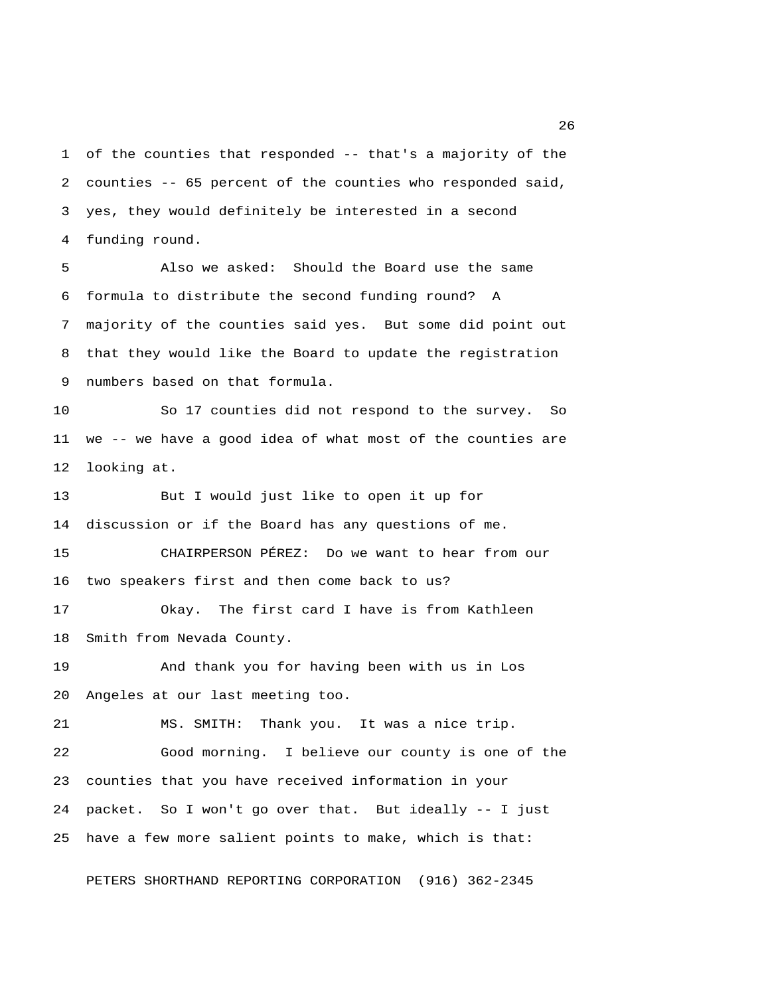1 of the counties that responded -- that's a majority of the 2 counties -- 65 percent of the counties who responded said, 3 yes, they would definitely be interested in a second 4 funding round.

 5 Also we asked: Should the Board use the same 6 formula to distribute the second funding round? A 7 majority of the counties said yes. But some did point out 8 that they would like the Board to update the registration 9 numbers based on that formula.

10 So 17 counties did not respond to the survey. So 11 we -- we have a good idea of what most of the counties are 12 looking at.

13 But I would just like to open it up for 14 discussion or if the Board has any questions of me. 15 CHAIRPERSON PÉREZ: Do we want to hear from our

16 two speakers first and then come back to us?

17 Okay. The first card I have is from Kathleen 18 Smith from Nevada County.

19 And thank you for having been with us in Los 20 Angeles at our last meeting too.

21 MS. SMITH: Thank you. It was a nice trip. 22 Good morning. I believe our county is one of the 23 counties that you have received information in your 24 packet. So I won't go over that. But ideally -- I just 25 have a few more salient points to make, which is that:

PETERS SHORTHAND REPORTING CORPORATION (916) 362-2345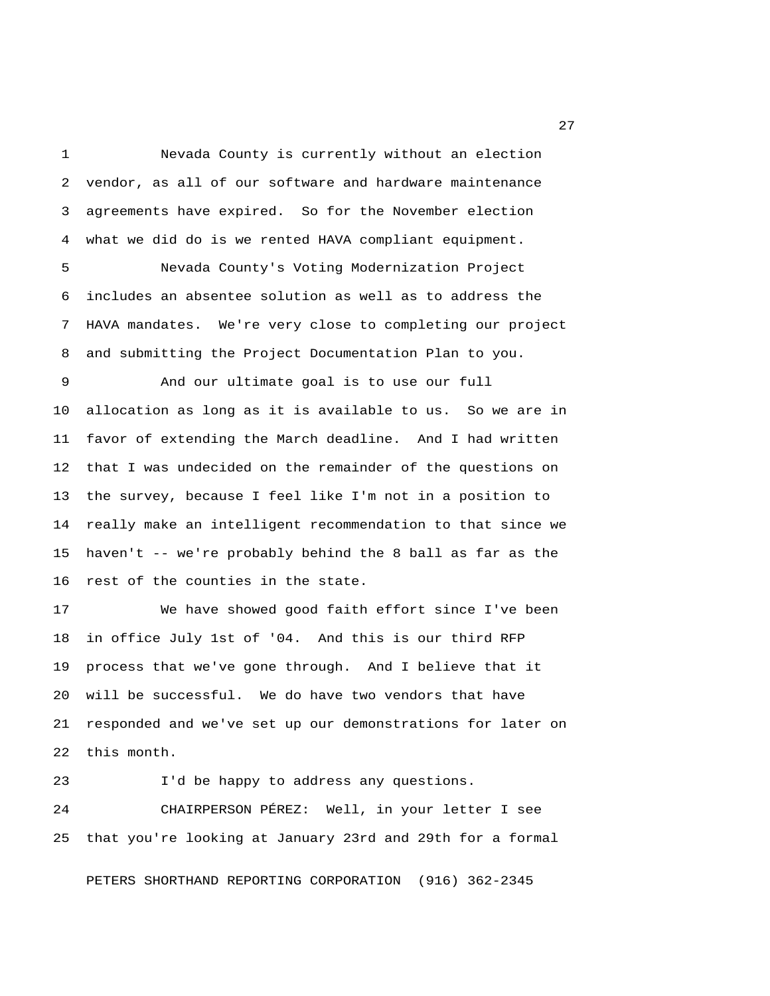1 Nevada County is currently without an election 2 vendor, as all of our software and hardware maintenance 3 agreements have expired. So for the November election 4 what we did do is we rented HAVA compliant equipment.

 5 Nevada County's Voting Modernization Project 6 includes an absentee solution as well as to address the 7 HAVA mandates. We're very close to completing our project 8 and submitting the Project Documentation Plan to you.

 9 And our ultimate goal is to use our full 10 allocation as long as it is available to us. So we are in 11 favor of extending the March deadline. And I had written 12 that I was undecided on the remainder of the questions on 13 the survey, because I feel like I'm not in a position to 14 really make an intelligent recommendation to that since we 15 haven't -- we're probably behind the 8 ball as far as the 16 rest of the counties in the state.

17 We have showed good faith effort since I've been 18 in office July 1st of '04. And this is our third RFP 19 process that we've gone through. And I believe that it 20 will be successful. We do have two vendors that have 21 responded and we've set up our demonstrations for later on 22 this month.

23 I'd be happy to address any questions. 24 CHAIRPERSON PÉREZ: Well, in your letter I see 25 that you're looking at January 23rd and 29th for a formal

PETERS SHORTHAND REPORTING CORPORATION (916) 362-2345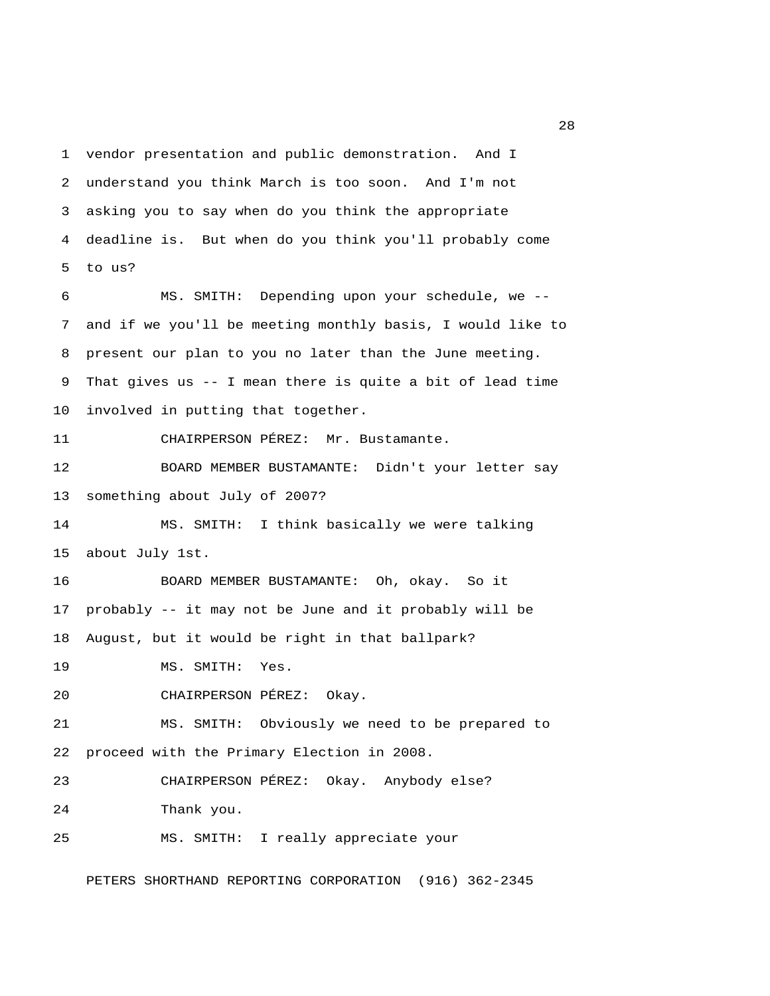1 vendor presentation and public demonstration. And I 2 understand you think March is too soon. And I'm not 3 asking you to say when do you think the appropriate 4 deadline is. But when do you think you'll probably come 5 to us? 6 MS. SMITH: Depending upon your schedule, we -- 7 and if we you'll be meeting monthly basis, I would like to 8 present our plan to you no later than the June meeting. 9 That gives us -- I mean there is quite a bit of lead time 10 involved in putting that together. 11 CHAIRPERSON PÉREZ: Mr. Bustamante. 12 BOARD MEMBER BUSTAMANTE: Didn't your letter say 13 something about July of 2007? 14 MS. SMITH: I think basically we were talking 15 about July 1st. 16 BOARD MEMBER BUSTAMANTE: Oh, okay. So it 17 probably -- it may not be June and it probably will be 18 August, but it would be right in that ballpark? 19 MS. SMITH: Yes. 20 CHAIRPERSON PÉREZ: Okay. 21 MS. SMITH: Obviously we need to be prepared to 22 proceed with the Primary Election in 2008. 23 CHAIRPERSON PÉREZ: Okay. Anybody else? 24 Thank you. 25 MS. SMITH: I really appreciate your

PETERS SHORTHAND REPORTING CORPORATION (916) 362-2345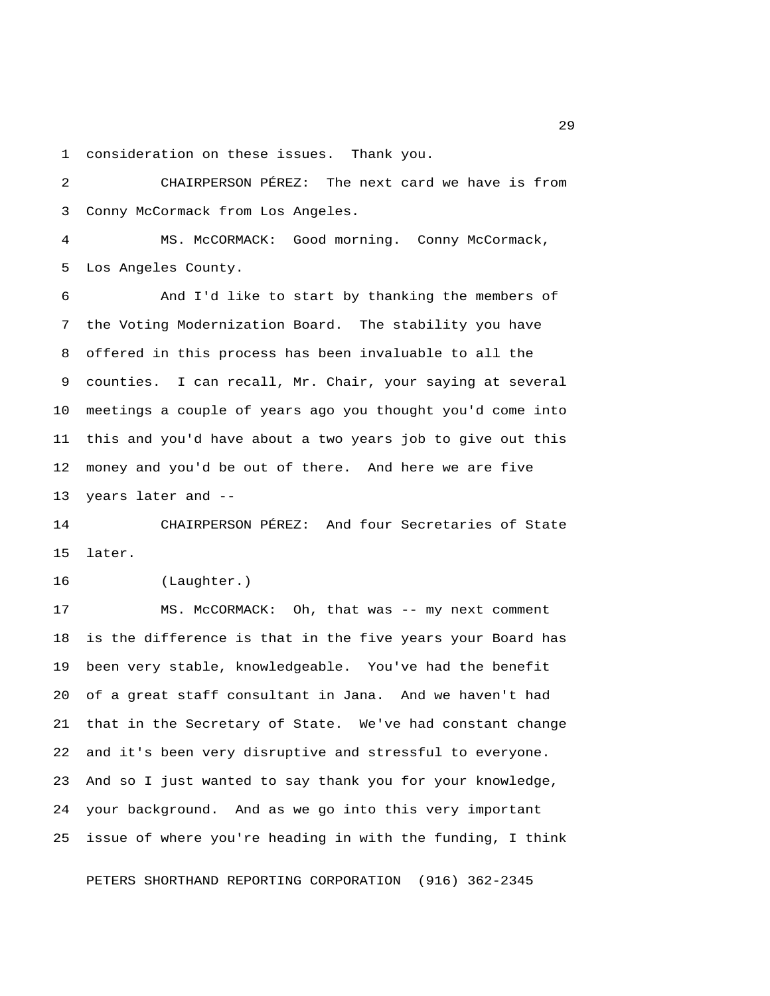1 consideration on these issues. Thank you.

 2 CHAIRPERSON PÉREZ: The next card we have is from 3 Conny McCormack from Los Angeles.

 4 MS. McCORMACK: Good morning. Conny McCormack, 5 Los Angeles County.

 6 And I'd like to start by thanking the members of 7 the Voting Modernization Board. The stability you have 8 offered in this process has been invaluable to all the 9 counties. I can recall, Mr. Chair, your saying at several 10 meetings a couple of years ago you thought you'd come into 11 this and you'd have about a two years job to give out this 12 money and you'd be out of there. And here we are five 13 years later and --

14 CHAIRPERSON PÉREZ: And four Secretaries of State 15 later.

16 (Laughter.)

17 MS. McCORMACK: Oh, that was -- my next comment 18 is the difference is that in the five years your Board has 19 been very stable, knowledgeable. You've had the benefit 20 of a great staff consultant in Jana. And we haven't had 21 that in the Secretary of State. We've had constant change 22 and it's been very disruptive and stressful to everyone. 23 And so I just wanted to say thank you for your knowledge, 24 your background. And as we go into this very important 25 issue of where you're heading in with the funding, I think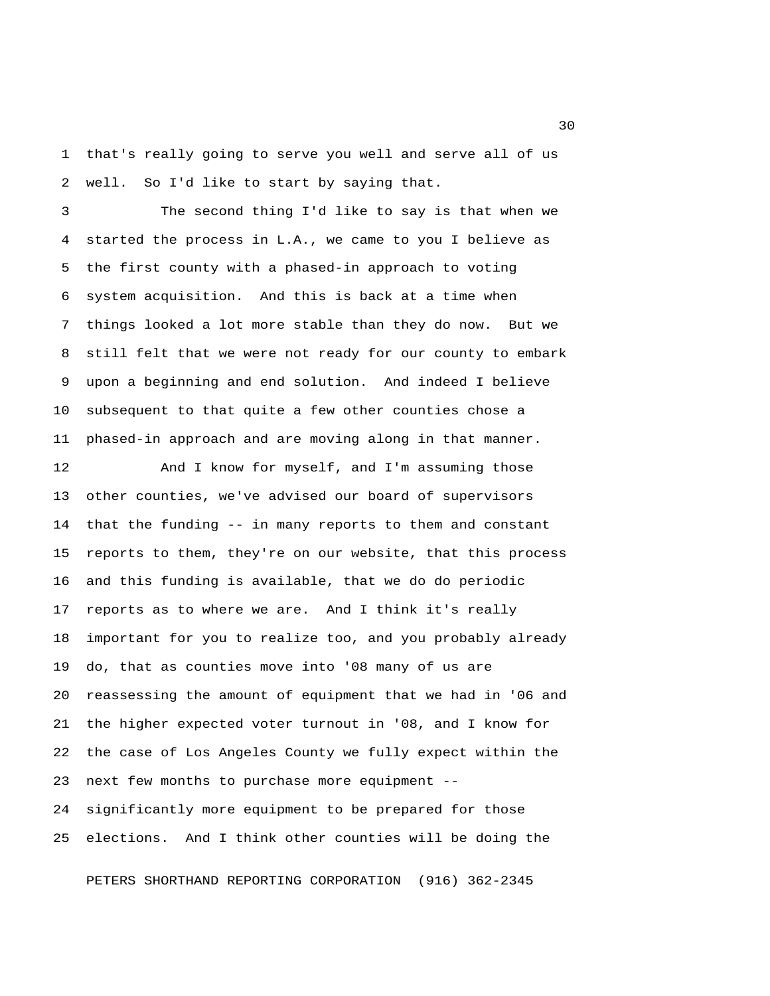1 that's really going to serve you well and serve all of us 2 well. So I'd like to start by saying that.

 3 The second thing I'd like to say is that when we 4 started the process in L.A., we came to you I believe as 5 the first county with a phased-in approach to voting 6 system acquisition. And this is back at a time when 7 things looked a lot more stable than they do now. But we 8 still felt that we were not ready for our county to embark 9 upon a beginning and end solution. And indeed I believe 10 subsequent to that quite a few other counties chose a 11 phased-in approach and are moving along in that manner.

12 And I know for myself, and I'm assuming those 13 other counties, we've advised our board of supervisors 14 that the funding -- in many reports to them and constant 15 reports to them, they're on our website, that this process 16 and this funding is available, that we do do periodic 17 reports as to where we are. And I think it's really 18 important for you to realize too, and you probably already 19 do, that as counties move into '08 many of us are 20 reassessing the amount of equipment that we had in '06 and 21 the higher expected voter turnout in '08, and I know for 22 the case of Los Angeles County we fully expect within the 23 next few months to purchase more equipment -- 24 significantly more equipment to be prepared for those 25 elections. And I think other counties will be doing the

PETERS SHORTHAND REPORTING CORPORATION (916) 362-2345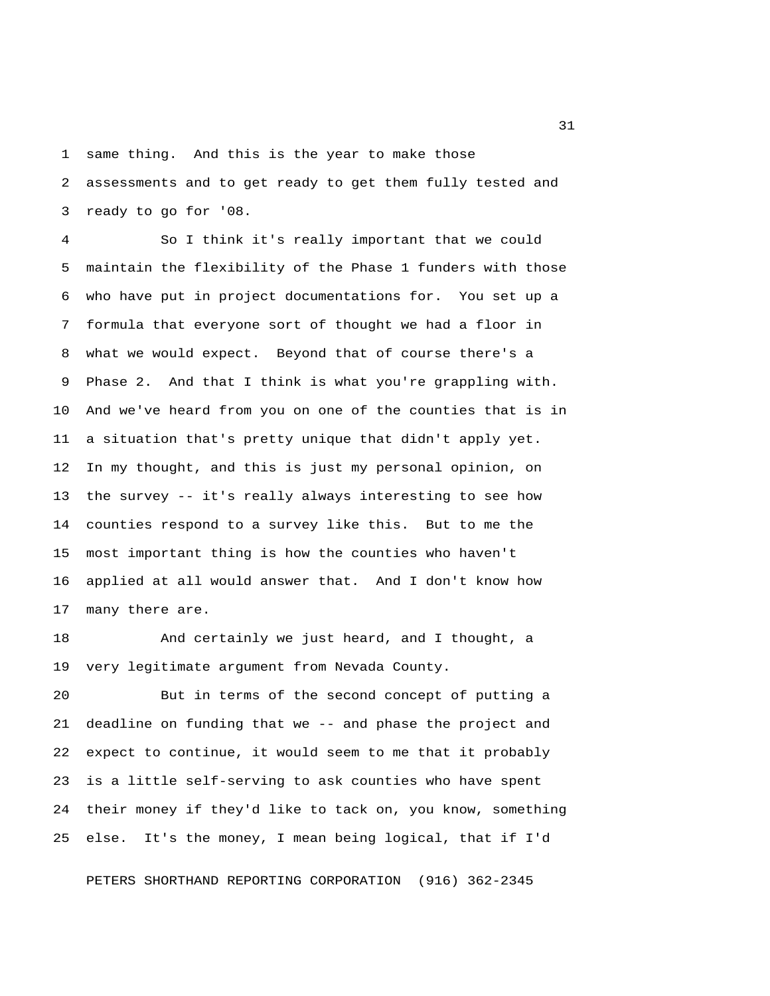1 same thing. And this is the year to make those 2 assessments and to get ready to get them fully tested and 3 ready to go for '08.

 4 So I think it's really important that we could 5 maintain the flexibility of the Phase 1 funders with those 6 who have put in project documentations for. You set up a 7 formula that everyone sort of thought we had a floor in 8 what we would expect. Beyond that of course there's a 9 Phase 2. And that I think is what you're grappling with. 10 And we've heard from you on one of the counties that is in 11 a situation that's pretty unique that didn't apply yet. 12 In my thought, and this is just my personal opinion, on 13 the survey -- it's really always interesting to see how 14 counties respond to a survey like this. But to me the 15 most important thing is how the counties who haven't 16 applied at all would answer that. And I don't know how 17 many there are.

18 And certainly we just heard, and I thought, a 19 very legitimate argument from Nevada County.

20 But in terms of the second concept of putting a 21 deadline on funding that we -- and phase the project and 22 expect to continue, it would seem to me that it probably 23 is a little self-serving to ask counties who have spent 24 their money if they'd like to tack on, you know, something 25 else. It's the money, I mean being logical, that if I'd

PETERS SHORTHAND REPORTING CORPORATION (916) 362-2345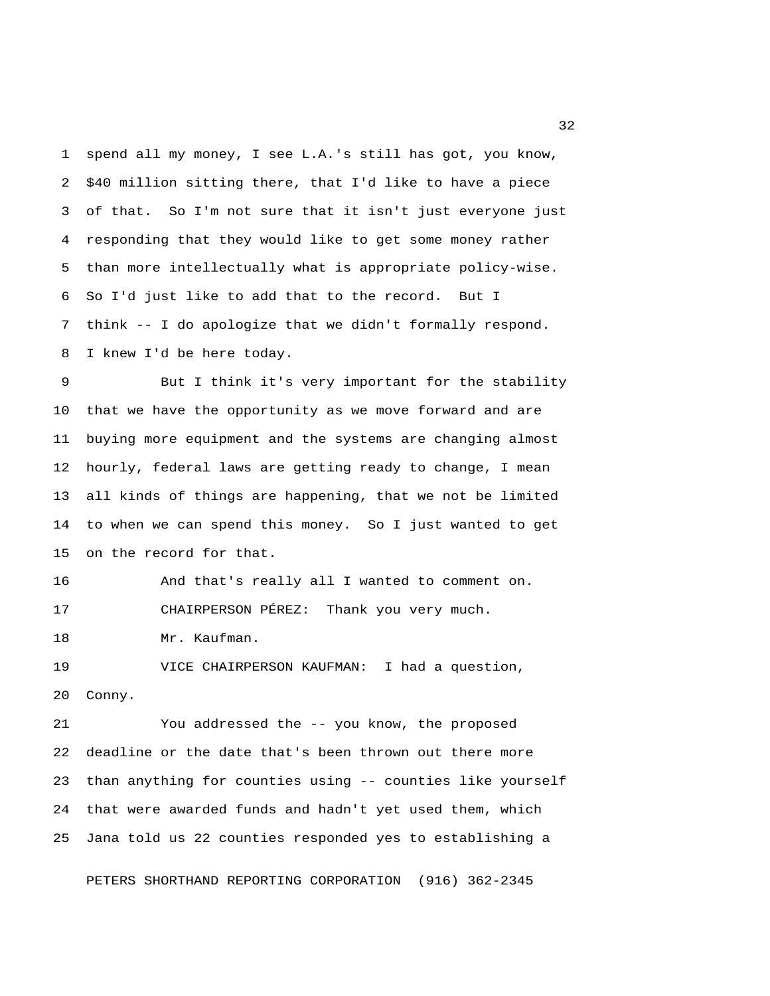1 spend all my money, I see L.A.'s still has got, you know, 2 \$40 million sitting there, that I'd like to have a piece 3 of that. So I'm not sure that it isn't just everyone just 4 responding that they would like to get some money rather 5 than more intellectually what is appropriate policy-wise. 6 So I'd just like to add that to the record. But I 7 think -- I do apologize that we didn't formally respond. 8 I knew I'd be here today.

 9 But I think it's very important for the stability 10 that we have the opportunity as we move forward and are 11 buying more equipment and the systems are changing almost 12 hourly, federal laws are getting ready to change, I mean 13 all kinds of things are happening, that we not be limited 14 to when we can spend this money. So I just wanted to get 15 on the record for that.

16 And that's really all I wanted to comment on. 17 CHAIRPERSON PÉREZ: Thank you very much.

18 Mr. Kaufman.

19 VICE CHAIRPERSON KAUFMAN: I had a question, 20 Conny.

21 You addressed the -- you know, the proposed 22 deadline or the date that's been thrown out there more 23 than anything for counties using -- counties like yourself 24 that were awarded funds and hadn't yet used them, which 25 Jana told us 22 counties responded yes to establishing a

PETERS SHORTHAND REPORTING CORPORATION (916) 362-2345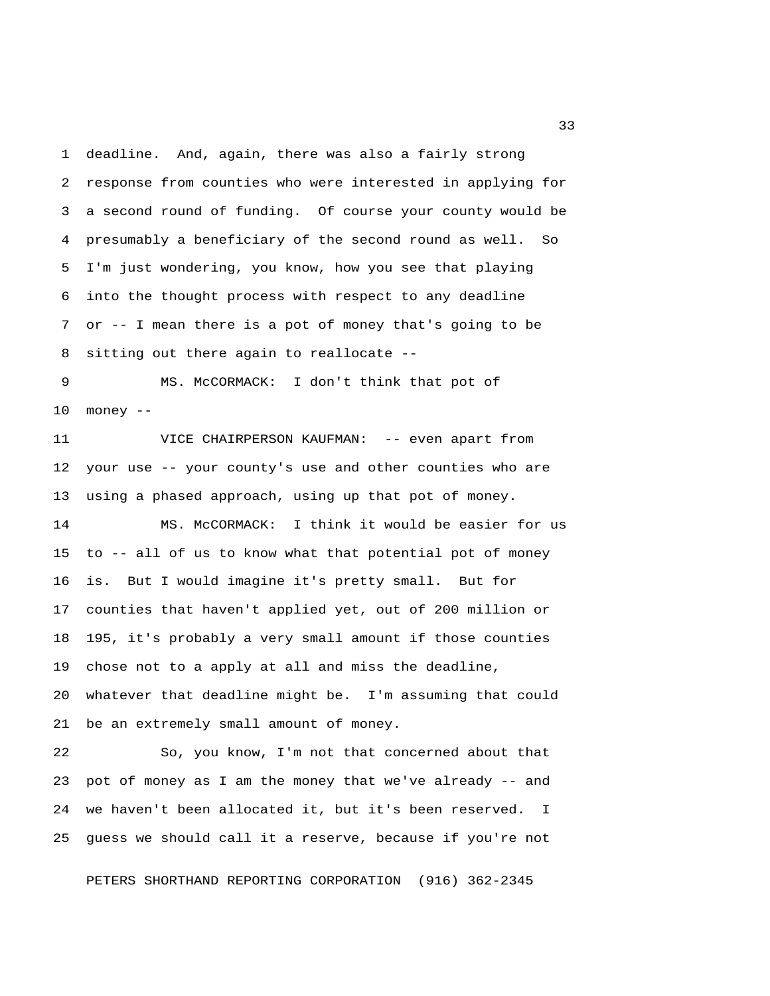1 deadline. And, again, there was also a fairly strong 2 response from counties who were interested in applying for 3 a second round of funding. Of course your county would be 4 presumably a beneficiary of the second round as well. So 5 I'm just wondering, you know, how you see that playing 6 into the thought process with respect to any deadline 7 or -- I mean there is a pot of money that's going to be 8 sitting out there again to reallocate --

 9 MS. McCORMACK: I don't think that pot of 10 money --

11 VICE CHAIRPERSON KAUFMAN: -- even apart from 12 your use -- your county's use and other counties who are 13 using a phased approach, using up that pot of money.

14 MS. McCORMACK: I think it would be easier for us 15 to -- all of us to know what that potential pot of money 16 is. But I would imagine it's pretty small. But for 17 counties that haven't applied yet, out of 200 million or 18 195, it's probably a very small amount if those counties 19 chose not to a apply at all and miss the deadline, 20 whatever that deadline might be. I'm assuming that could 21 be an extremely small amount of money.

22 So, you know, I'm not that concerned about that 23 pot of money as I am the money that we've already -- and 24 we haven't been allocated it, but it's been reserved. I 25 guess we should call it a reserve, because if you're not

PETERS SHORTHAND REPORTING CORPORATION (916) 362-2345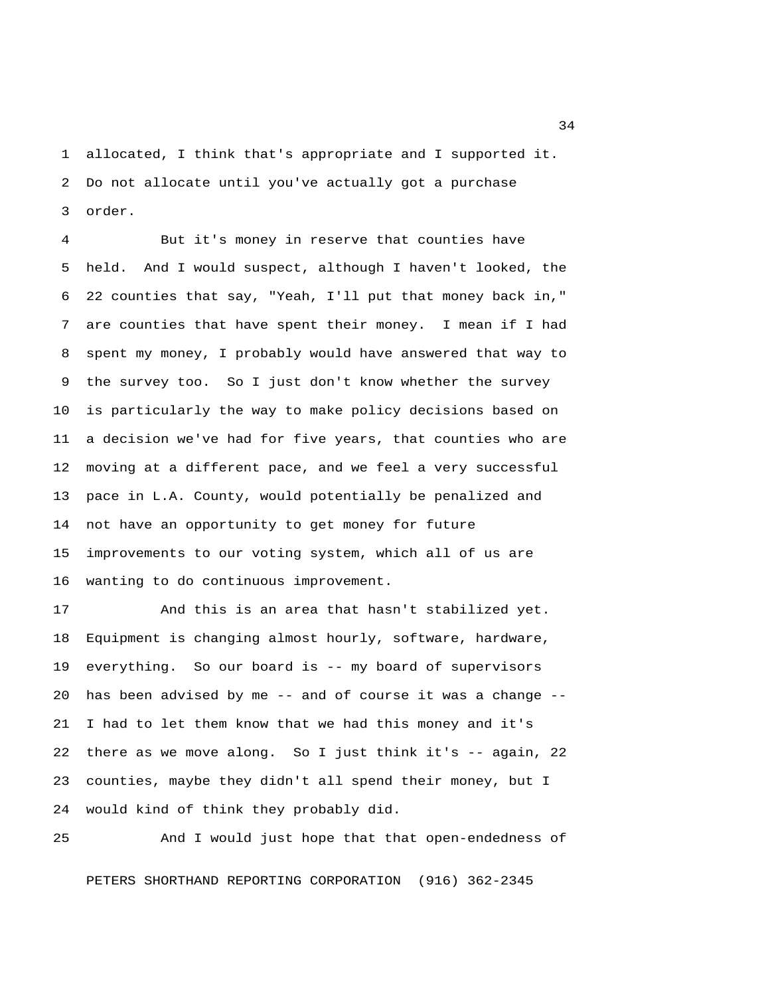1 allocated, I think that's appropriate and I supported it. 2 Do not allocate until you've actually got a purchase 3 order.

 4 But it's money in reserve that counties have 5 held. And I would suspect, although I haven't looked, the 6 22 counties that say, "Yeah, I'll put that money back in," 7 are counties that have spent their money. I mean if I had 8 spent my money, I probably would have answered that way to 9 the survey too. So I just don't know whether the survey 10 is particularly the way to make policy decisions based on 11 a decision we've had for five years, that counties who are 12 moving at a different pace, and we feel a very successful 13 pace in L.A. County, would potentially be penalized and 14 not have an opportunity to get money for future 15 improvements to our voting system, which all of us are 16 wanting to do continuous improvement.

17 And this is an area that hasn't stabilized yet. 18 Equipment is changing almost hourly, software, hardware, 19 everything. So our board is -- my board of supervisors 20 has been advised by me -- and of course it was a change -- 21 I had to let them know that we had this money and it's 22 there as we move along. So I just think it's -- again, 22 23 counties, maybe they didn't all spend their money, but I 24 would kind of think they probably did.

25 And I would just hope that that open-endedness of PETERS SHORTHAND REPORTING CORPORATION (916) 362-2345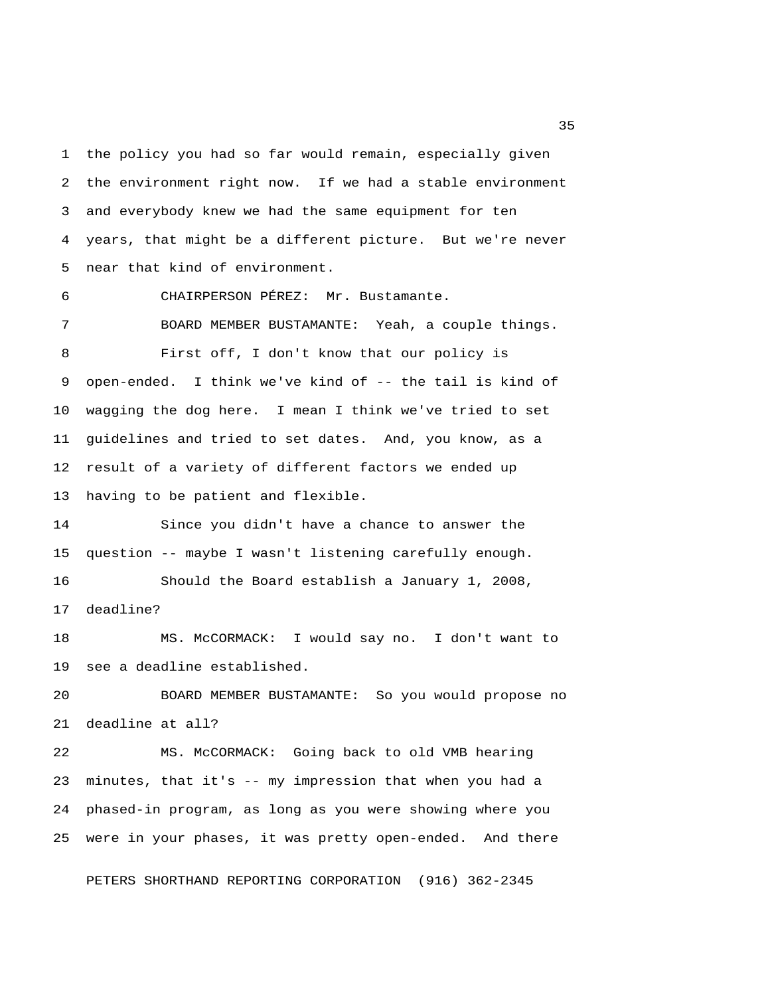1 the policy you had so far would remain, especially given 2 the environment right now. If we had a stable environment 3 and everybody knew we had the same equipment for ten 4 years, that might be a different picture. But we're never 5 near that kind of environment.

6 CHAIRPERSON PÉREZ: Mr. Bustamante.

 7 BOARD MEMBER BUSTAMANTE: Yeah, a couple things. 8 First off, I don't know that our policy is 9 open-ended. I think we've kind of -- the tail is kind of 10 wagging the dog here. I mean I think we've tried to set 11 guidelines and tried to set dates. And, you know, as a 12 result of a variety of different factors we ended up 13 having to be patient and flexible.

14 Since you didn't have a chance to answer the 15 question -- maybe I wasn't listening carefully enough. 16 Should the Board establish a January 1, 2008, 17 deadline?

18 MS. McCORMACK: I would say no. I don't want to 19 see a deadline established.

20 BOARD MEMBER BUSTAMANTE: So you would propose no 21 deadline at all?

22 MS. McCORMACK: Going back to old VMB hearing 23 minutes, that it's -- my impression that when you had a 24 phased-in program, as long as you were showing where you 25 were in your phases, it was pretty open-ended. And there

PETERS SHORTHAND REPORTING CORPORATION (916) 362-2345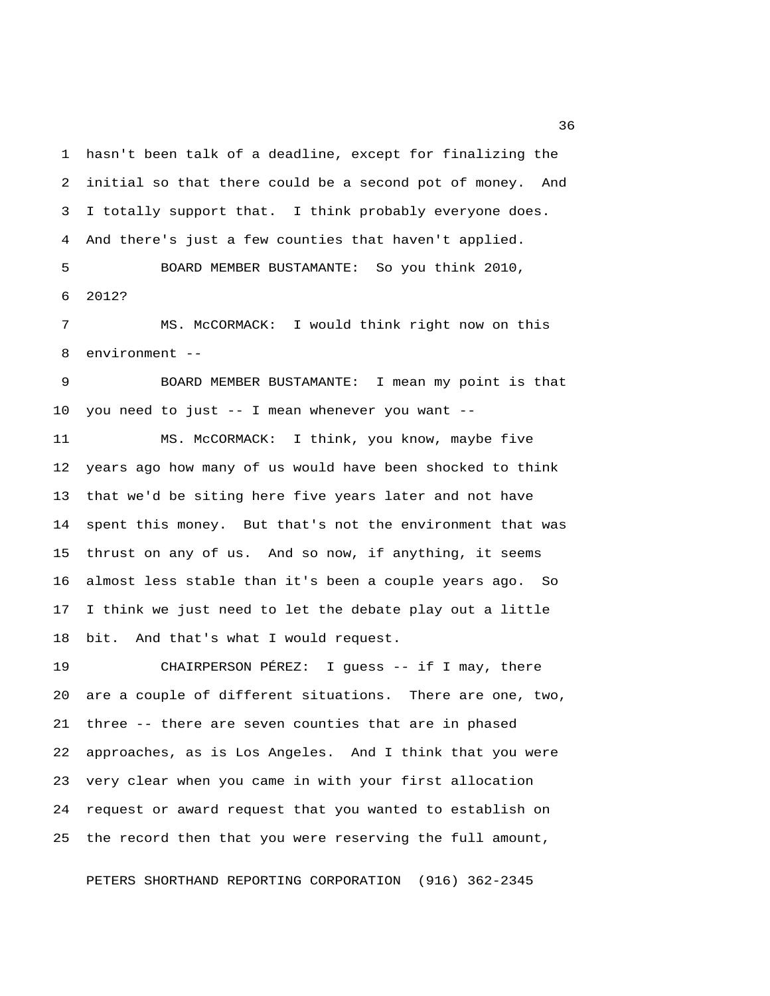1 hasn't been talk of a deadline, except for finalizing the 2 initial so that there could be a second pot of money. And 3 I totally support that. I think probably everyone does. 4 And there's just a few counties that haven't applied.

 5 BOARD MEMBER BUSTAMANTE: So you think 2010, 6 2012?

 7 MS. McCORMACK: I would think right now on this 8 environment --

 9 BOARD MEMBER BUSTAMANTE: I mean my point is that 10 you need to just -- I mean whenever you want --

11 MS. McCORMACK: I think, you know, maybe five 12 years ago how many of us would have been shocked to think 13 that we'd be siting here five years later and not have 14 spent this money. But that's not the environment that was 15 thrust on any of us. And so now, if anything, it seems 16 almost less stable than it's been a couple years ago. So 17 I think we just need to let the debate play out a little 18 bit. And that's what I would request.

19 CHAIRPERSON PÉREZ: I guess -- if I may, there 20 are a couple of different situations. There are one, two, 21 three -- there are seven counties that are in phased 22 approaches, as is Los Angeles. And I think that you were 23 very clear when you came in with your first allocation 24 request or award request that you wanted to establish on 25 the record then that you were reserving the full amount,

PETERS SHORTHAND REPORTING CORPORATION (916) 362-2345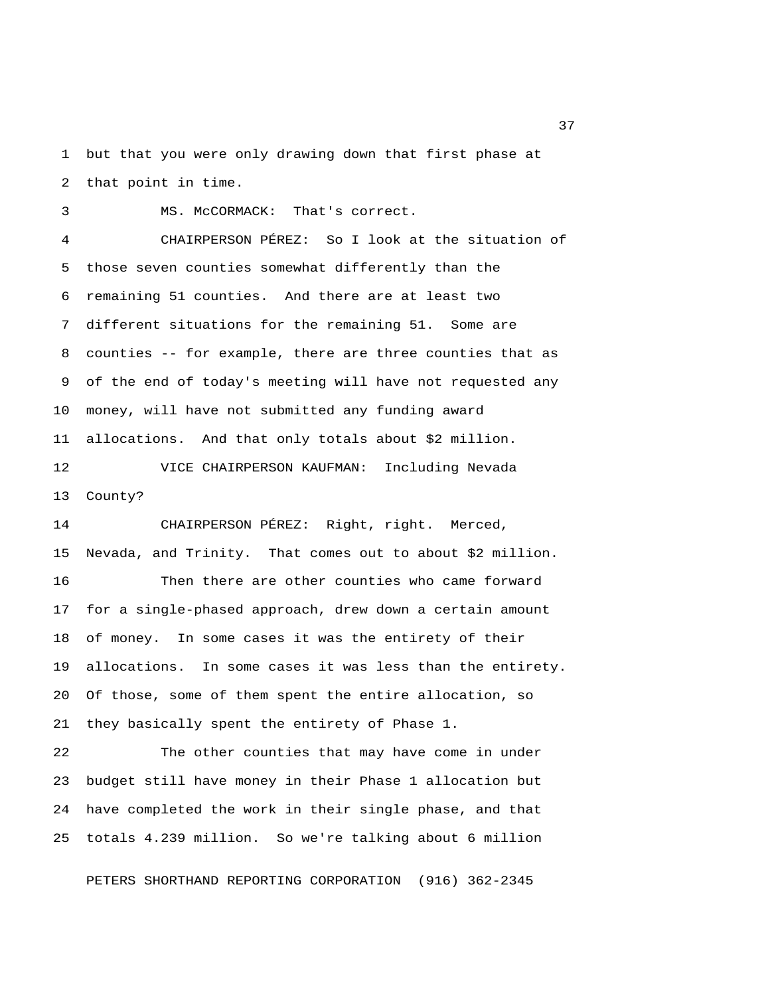1 but that you were only drawing down that first phase at 2 that point in time.

 3 MS. McCORMACK: That's correct. 4 CHAIRPERSON PÉREZ: So I look at the situation of 5 those seven counties somewhat differently than the 6 remaining 51 counties. And there are at least two 7 different situations for the remaining 51. Some are 8 counties -- for example, there are three counties that as 9 of the end of today's meeting will have not requested any 10 money, will have not submitted any funding award 11 allocations. And that only totals about \$2 million.

12 VICE CHAIRPERSON KAUFMAN: Including Nevada 13 County?

14 CHAIRPERSON PÉREZ: Right, right. Merced, 15 Nevada, and Trinity. That comes out to about \$2 million. 16 Then there are other counties who came forward 17 for a single-phased approach, drew down a certain amount 18 of money. In some cases it was the entirety of their 19 allocations. In some cases it was less than the entirety. 20 Of those, some of them spent the entire allocation, so 21 they basically spent the entirety of Phase 1.

22 The other counties that may have come in under 23 budget still have money in their Phase 1 allocation but 24 have completed the work in their single phase, and that 25 totals 4.239 million. So we're talking about 6 million

PETERS SHORTHAND REPORTING CORPORATION (916) 362-2345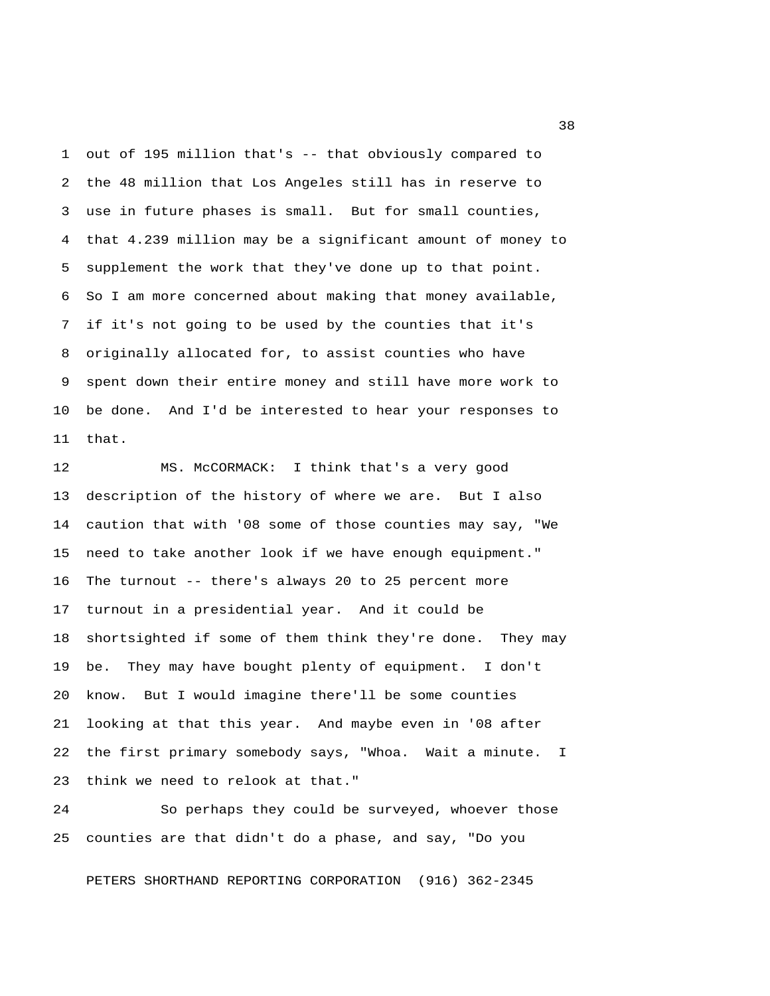1 out of 195 million that's -- that obviously compared to 2 the 48 million that Los Angeles still has in reserve to 3 use in future phases is small. But for small counties, 4 that 4.239 million may be a significant amount of money to 5 supplement the work that they've done up to that point. 6 So I am more concerned about making that money available, 7 if it's not going to be used by the counties that it's 8 originally allocated for, to assist counties who have 9 spent down their entire money and still have more work to 10 be done. And I'd be interested to hear your responses to 11 that.

12 MS. McCORMACK: I think that's a very good 13 description of the history of where we are. But I also 14 caution that with '08 some of those counties may say, "We 15 need to take another look if we have enough equipment." 16 The turnout -- there's always 20 to 25 percent more 17 turnout in a presidential year. And it could be 18 shortsighted if some of them think they're done. They may 19 be. They may have bought plenty of equipment. I don't 20 know. But I would imagine there'll be some counties 21 looking at that this year. And maybe even in '08 after 22 the first primary somebody says, "Whoa. Wait a minute. I 23 think we need to relook at that."

24 So perhaps they could be surveyed, whoever those 25 counties are that didn't do a phase, and say, "Do you

PETERS SHORTHAND REPORTING CORPORATION (916) 362-2345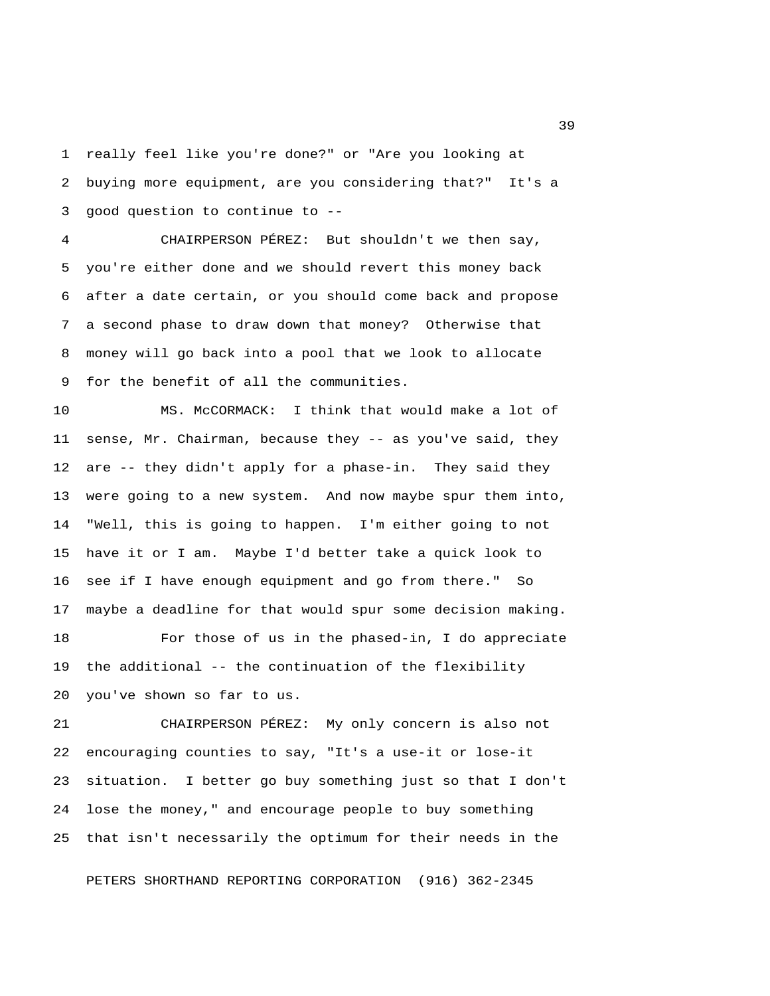1 really feel like you're done?" or "Are you looking at 2 buying more equipment, are you considering that?" It's a 3 good question to continue to --

 4 CHAIRPERSON PÉREZ: But shouldn't we then say, 5 you're either done and we should revert this money back 6 after a date certain, or you should come back and propose 7 a second phase to draw down that money? Otherwise that 8 money will go back into a pool that we look to allocate 9 for the benefit of all the communities.

10 MS. McCORMACK: I think that would make a lot of 11 sense, Mr. Chairman, because they -- as you've said, they 12 are -- they didn't apply for a phase-in. They said they 13 were going to a new system. And now maybe spur them into, 14 "Well, this is going to happen. I'm either going to not 15 have it or I am. Maybe I'd better take a quick look to 16 see if I have enough equipment and go from there." So 17 maybe a deadline for that would spur some decision making.

18 For those of us in the phased-in, I do appreciate 19 the additional -- the continuation of the flexibility 20 you've shown so far to us.

21 CHAIRPERSON PÉREZ: My only concern is also not 22 encouraging counties to say, "It's a use-it or lose-it 23 situation. I better go buy something just so that I don't 24 lose the money," and encourage people to buy something 25 that isn't necessarily the optimum for their needs in the

PETERS SHORTHAND REPORTING CORPORATION (916) 362-2345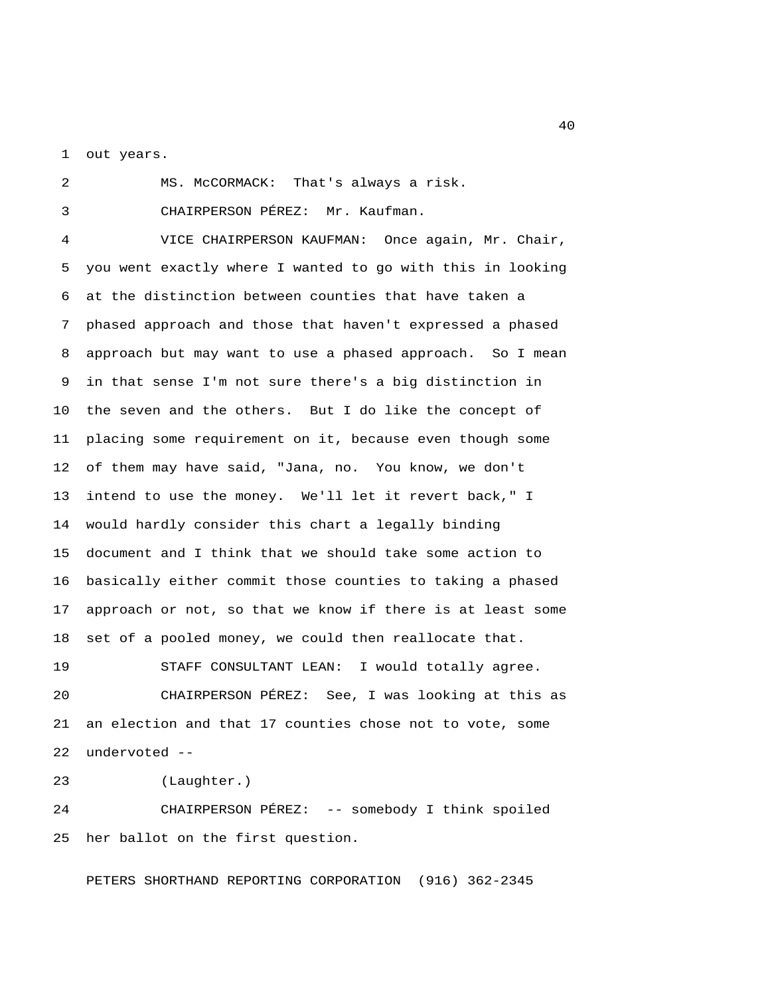1 out years.

 2 MS. McCORMACK: That's always a risk. 3 CHAIRPERSON PÉREZ: Mr. Kaufman.

 4 VICE CHAIRPERSON KAUFMAN: Once again, Mr. Chair, 5 you went exactly where I wanted to go with this in looking 6 at the distinction between counties that have taken a 7 phased approach and those that haven't expressed a phased 8 approach but may want to use a phased approach. So I mean 9 in that sense I'm not sure there's a big distinction in 10 the seven and the others. But I do like the concept of 11 placing some requirement on it, because even though some 12 of them may have said, "Jana, no. You know, we don't 13 intend to use the money. We'll let it revert back," I 14 would hardly consider this chart a legally binding 15 document and I think that we should take some action to 16 basically either commit those counties to taking a phased 17 approach or not, so that we know if there is at least some 18 set of a pooled money, we could then reallocate that.

19 STAFF CONSULTANT LEAN: I would totally agree. 20 CHAIRPERSON PÉREZ: See, I was looking at this as 21 an election and that 17 counties chose not to vote, some 22 undervoted --

23 (Laughter.)

24 CHAIRPERSON PÉREZ: -- somebody I think spoiled 25 her ballot on the first question.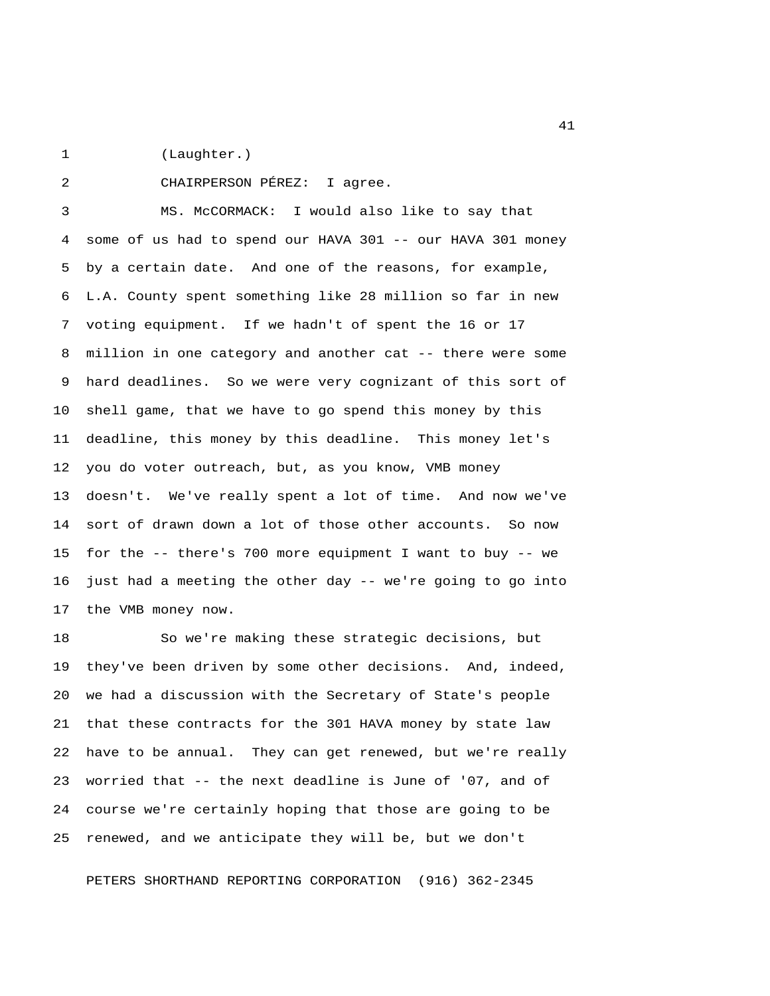1 (Laughter.)

2 CHAIRPERSON PÉREZ: I agree.

 3 MS. McCORMACK: I would also like to say that 4 some of us had to spend our HAVA 301 -- our HAVA 301 money 5 by a certain date. And one of the reasons, for example, 6 L.A. County spent something like 28 million so far in new 7 voting equipment. If we hadn't of spent the 16 or 17 8 million in one category and another cat -- there were some 9 hard deadlines. So we were very cognizant of this sort of 10 shell game, that we have to go spend this money by this 11 deadline, this money by this deadline. This money let's 12 you do voter outreach, but, as you know, VMB money 13 doesn't. We've really spent a lot of time. And now we've 14 sort of drawn down a lot of those other accounts. So now 15 for the -- there's 700 more equipment I want to buy -- we 16 just had a meeting the other day -- we're going to go into 17 the VMB money now.

18 So we're making these strategic decisions, but 19 they've been driven by some other decisions. And, indeed, 20 we had a discussion with the Secretary of State's people 21 that these contracts for the 301 HAVA money by state law 22 have to be annual. They can get renewed, but we're really 23 worried that -- the next deadline is June of '07, and of 24 course we're certainly hoping that those are going to be 25 renewed, and we anticipate they will be, but we don't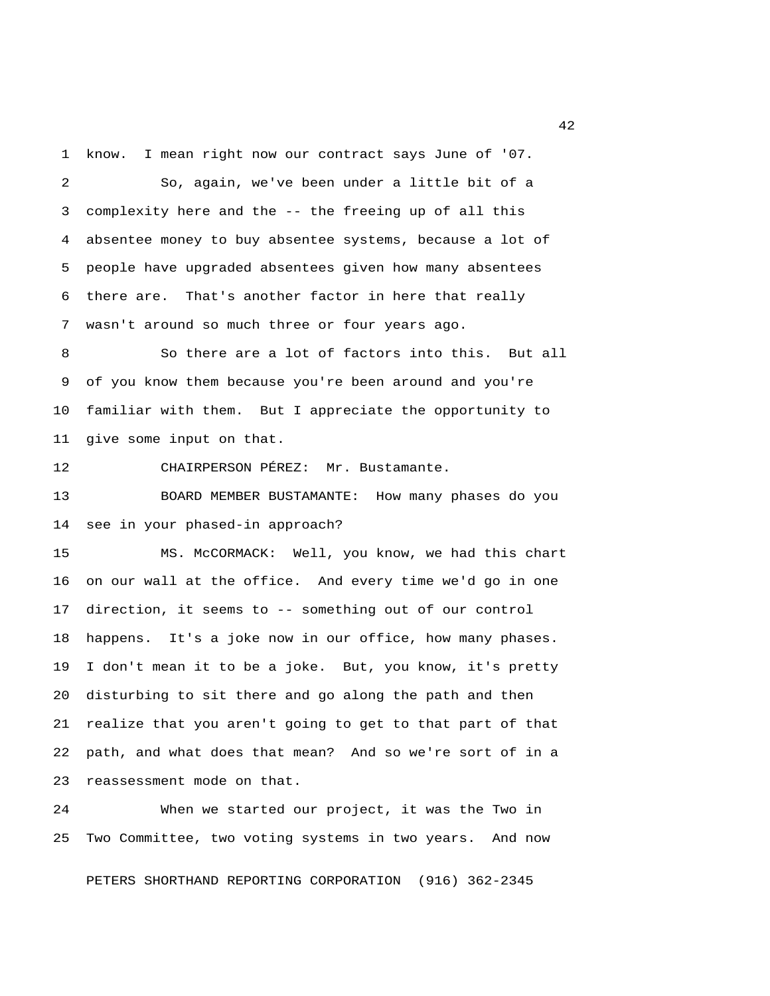1 know. I mean right now our contract says June of '07.

 2 So, again, we've been under a little bit of a 3 complexity here and the -- the freeing up of all this 4 absentee money to buy absentee systems, because a lot of 5 people have upgraded absentees given how many absentees 6 there are. That's another factor in here that really 7 wasn't around so much three or four years ago.

 8 So there are a lot of factors into this. But all 9 of you know them because you're been around and you're 10 familiar with them. But I appreciate the opportunity to 11 give some input on that.

12 CHAIRPERSON PÉREZ: Mr. Bustamante.

13 BOARD MEMBER BUSTAMANTE: How many phases do you 14 see in your phased-in approach?

15 MS. McCORMACK: Well, you know, we had this chart 16 on our wall at the office. And every time we'd go in one 17 direction, it seems to -- something out of our control 18 happens. It's a joke now in our office, how many phases. 19 I don't mean it to be a joke. But, you know, it's pretty 20 disturbing to sit there and go along the path and then 21 realize that you aren't going to get to that part of that 22 path, and what does that mean? And so we're sort of in a 23 reassessment mode on that.

24 When we started our project, it was the Two in 25 Two Committee, two voting systems in two years. And now

PETERS SHORTHAND REPORTING CORPORATION (916) 362-2345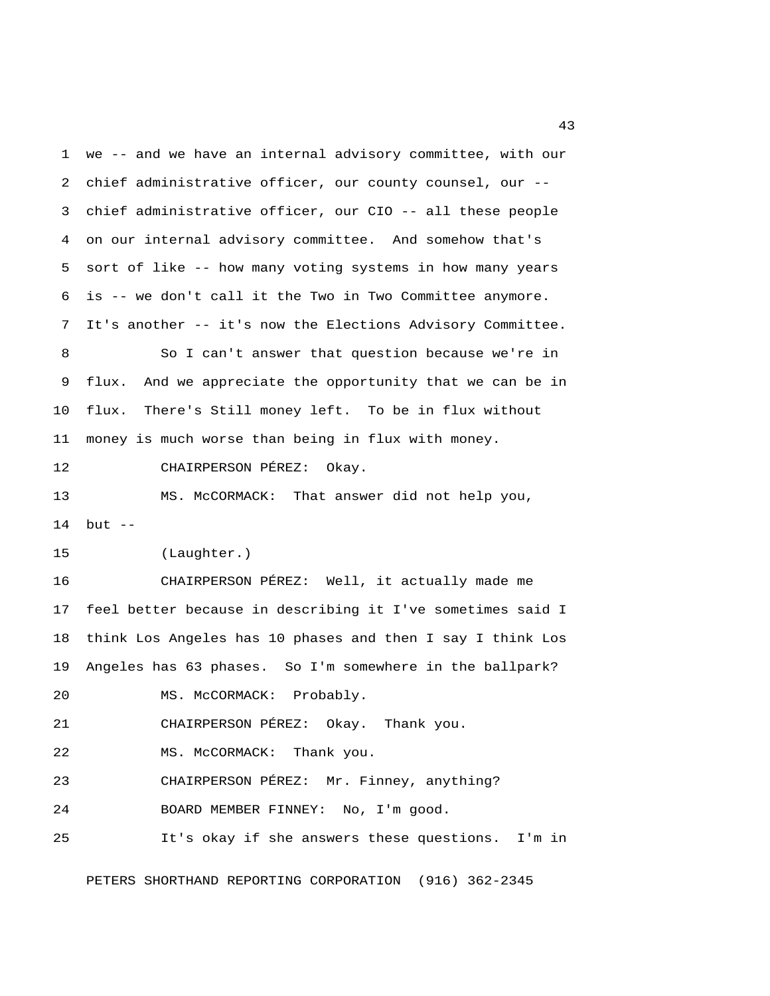1 we -- and we have an internal advisory committee, with our 2 chief administrative officer, our county counsel, our -- 3 chief administrative officer, our CIO -- all these people 4 on our internal advisory committee. And somehow that's 5 sort of like -- how many voting systems in how many years 6 is -- we don't call it the Two in Two Committee anymore. 7 It's another -- it's now the Elections Advisory Committee. 8 So I can't answer that question because we're in 9 flux. And we appreciate the opportunity that we can be in 10 flux. There's Still money left. To be in flux without 11 money is much worse than being in flux with money. 12 CHAIRPERSON PÉREZ: Okay. 13 MS. McCORMACK: That answer did not help you, 14 but -- 15 (Laughter.) 16 CHAIRPERSON PÉREZ: Well, it actually made me 17 feel better because in describing it I've sometimes said I 18 think Los Angeles has 10 phases and then I say I think Los 19 Angeles has 63 phases. So I'm somewhere in the ballpark? 20 MS. McCORMACK: Probably. 21 CHAIRPERSON PÉREZ: Okay. Thank you. 22 MS. McCORMACK: Thank you. 23 CHAIRPERSON PÉREZ: Mr. Finney, anything? 24 BOARD MEMBER FINNEY: No, I'm good. 25 It's okay if she answers these questions. I'm in

PETERS SHORTHAND REPORTING CORPORATION (916) 362-2345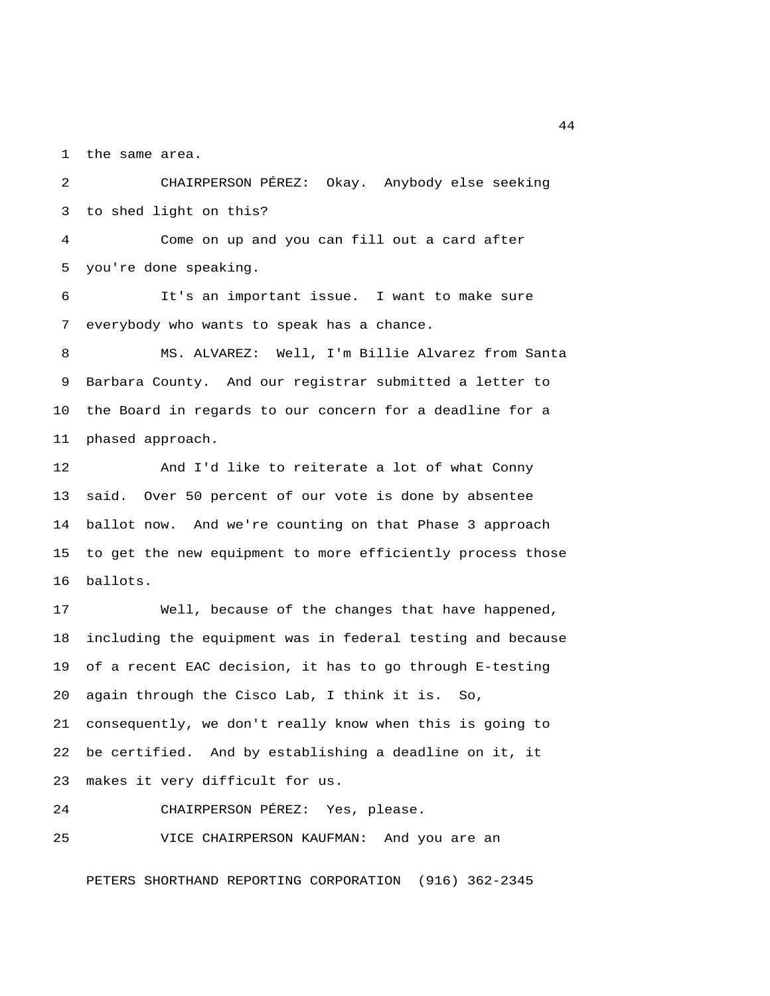1 the same area.

 2 CHAIRPERSON PÉREZ: Okay. Anybody else seeking 3 to shed light on this?

 4 Come on up and you can fill out a card after 5 you're done speaking.

 6 It's an important issue. I want to make sure 7 everybody who wants to speak has a chance.

 8 MS. ALVAREZ: Well, I'm Billie Alvarez from Santa 9 Barbara County. And our registrar submitted a letter to 10 the Board in regards to our concern for a deadline for a 11 phased approach.

12 And I'd like to reiterate a lot of what Conny 13 said. Over 50 percent of our vote is done by absentee 14 ballot now. And we're counting on that Phase 3 approach 15 to get the new equipment to more efficiently process those 16 ballots.

17 Well, because of the changes that have happened, 18 including the equipment was in federal testing and because 19 of a recent EAC decision, it has to go through E-testing 20 again through the Cisco Lab, I think it is. So, 21 consequently, we don't really know when this is going to 22 be certified. And by establishing a deadline on it, it 23 makes it very difficult for us.

24 CHAIRPERSON PÉREZ: Yes, please.

25 VICE CHAIRPERSON KAUFMAN: And you are an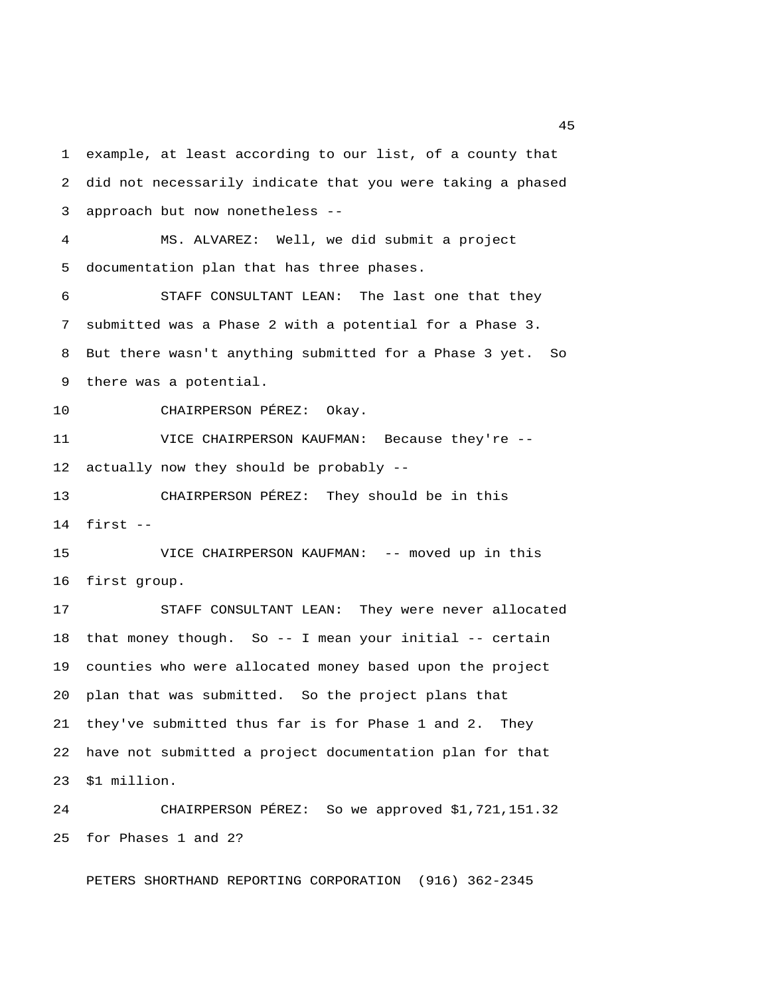1 example, at least according to our list, of a county that 2 did not necessarily indicate that you were taking a phased 3 approach but now nonetheless -- 4 MS. ALVAREZ: Well, we did submit a project 5 documentation plan that has three phases. 6 STAFF CONSULTANT LEAN: The last one that they 7 submitted was a Phase 2 with a potential for a Phase 3. 8 But there wasn't anything submitted for a Phase 3 yet. So 9 there was a potential. 10 CHAIRPERSON PÉREZ: Okay. 11 VICE CHAIRPERSON KAUFMAN: Because they're -- 12 actually now they should be probably -- 13 CHAIRPERSON PÉREZ: They should be in this 14 first -- 15 VICE CHAIRPERSON KAUFMAN: -- moved up in this 16 first group. 17 STAFF CONSULTANT LEAN: They were never allocated 18 that money though. So -- I mean your initial -- certain 19 counties who were allocated money based upon the project 20 plan that was submitted. So the project plans that 21 they've submitted thus far is for Phase 1 and 2. They 22 have not submitted a project documentation plan for that 23 \$1 million.

24 CHAIRPERSON PÉREZ: So we approved \$1,721,151.32 25 for Phases 1 and 2?

PETERS SHORTHAND REPORTING CORPORATION (916) 362-2345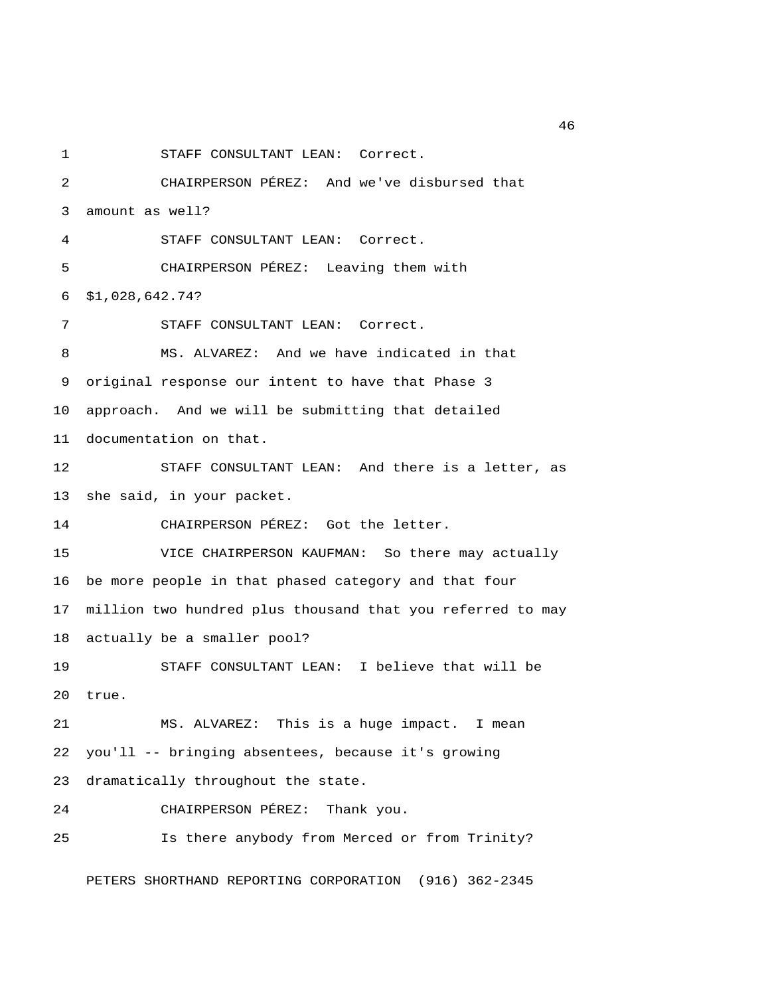1 STAFF CONSULTANT LEAN: Correct. 2 CHAIRPERSON PÉREZ: And we've disbursed that 3 amount as well? 4 STAFF CONSULTANT LEAN: Correct. 5 CHAIRPERSON PÉREZ: Leaving them with 6 \$1,028,642.74? 7 STAFF CONSULTANT LEAN: Correct. 8 MS. ALVAREZ: And we have indicated in that 9 original response our intent to have that Phase 3 10 approach. And we will be submitting that detailed 11 documentation on that. 12 STAFF CONSULTANT LEAN: And there is a letter, as 13 she said, in your packet. 14 CHAIRPERSON PÉREZ: Got the letter. 15 VICE CHAIRPERSON KAUFMAN: So there may actually 16 be more people in that phased category and that four 17 million two hundred plus thousand that you referred to may 18 actually be a smaller pool? 19 STAFF CONSULTANT LEAN: I believe that will be 20 true. 21 MS. ALVAREZ: This is a huge impact. I mean 22 you'll -- bringing absentees, because it's growing 23 dramatically throughout the state. 24 CHAIRPERSON PÉREZ: Thank you. 25 Is there anybody from Merced or from Trinity? PETERS SHORTHAND REPORTING CORPORATION (916) 362-2345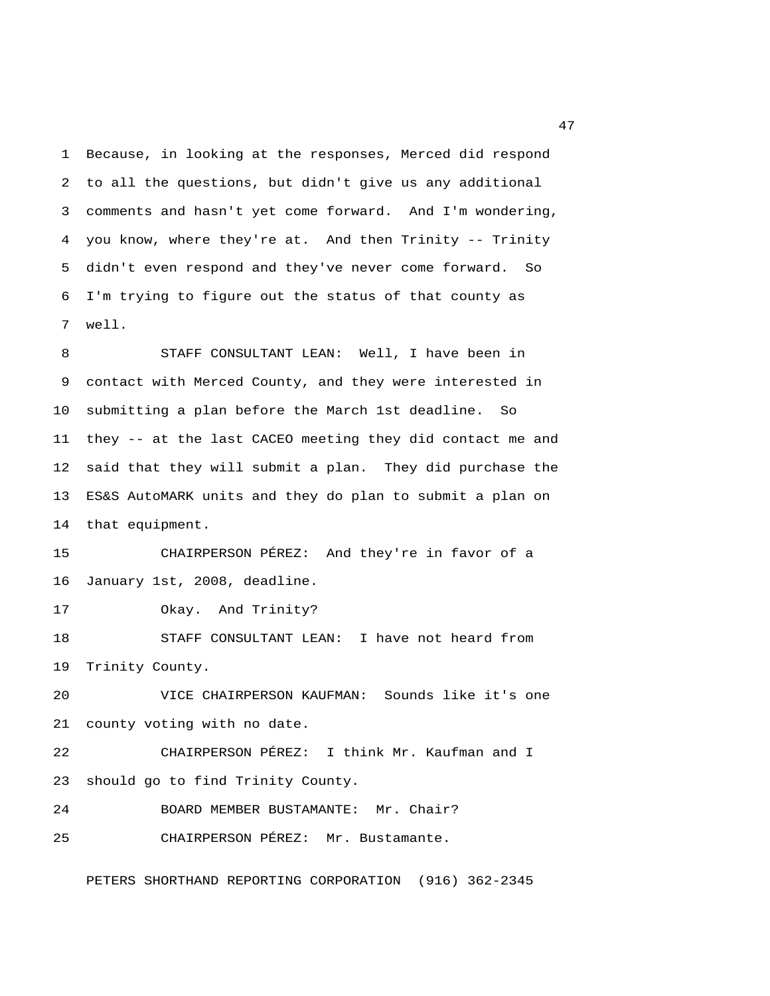1 Because, in looking at the responses, Merced did respond 2 to all the questions, but didn't give us any additional 3 comments and hasn't yet come forward. And I'm wondering, 4 you know, where they're at. And then Trinity -- Trinity 5 didn't even respond and they've never come forward. So 6 I'm trying to figure out the status of that county as 7 well.

 8 STAFF CONSULTANT LEAN: Well, I have been in 9 contact with Merced County, and they were interested in 10 submitting a plan before the March 1st deadline. So 11 they -- at the last CACEO meeting they did contact me and 12 said that they will submit a plan. They did purchase the 13 ES&S AutoMARK units and they do plan to submit a plan on 14 that equipment.

15 CHAIRPERSON PÉREZ: And they're in favor of a 16 January 1st, 2008, deadline.

17 Okay. And Trinity?

18 STAFF CONSULTANT LEAN: I have not heard from 19 Trinity County.

20 VICE CHAIRPERSON KAUFMAN: Sounds like it's one 21 county voting with no date.

22 CHAIRPERSON PÉREZ: I think Mr. Kaufman and I 23 should go to find Trinity County.

24 BOARD MEMBER BUSTAMANTE: Mr. Chair?

25 CHAIRPERSON PÉREZ: Mr. Bustamante.

PETERS SHORTHAND REPORTING CORPORATION (916) 362-2345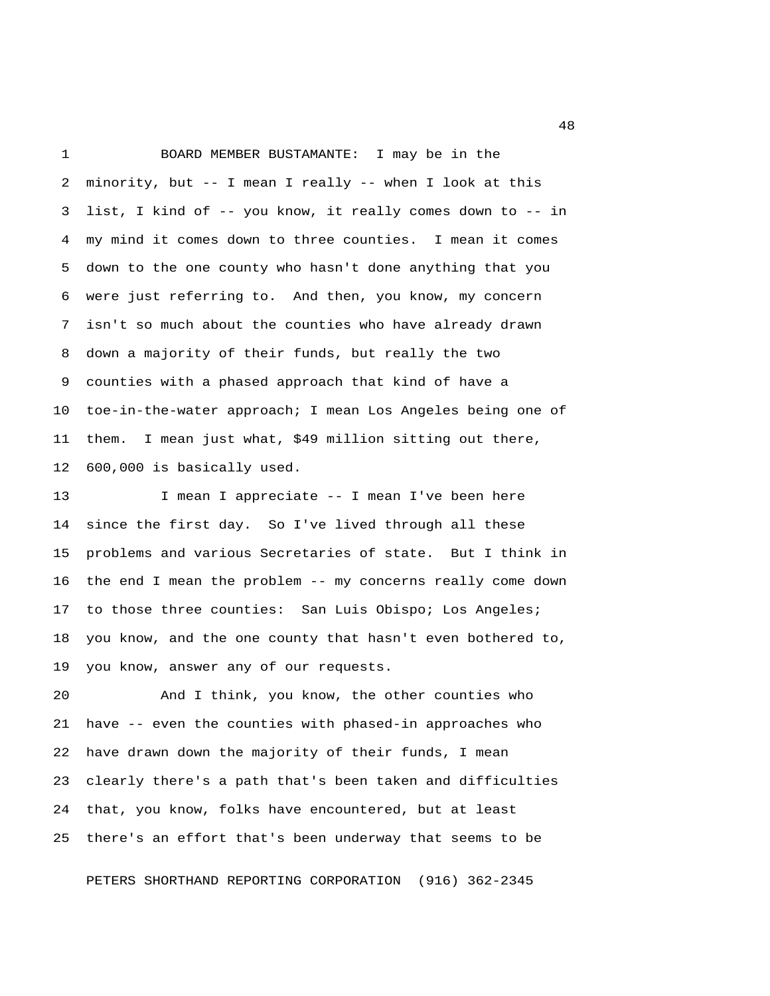1 BOARD MEMBER BUSTAMANTE: I may be in the 2 minority, but -- I mean I really -- when I look at this 3 list, I kind of -- you know, it really comes down to -- in 4 my mind it comes down to three counties. I mean it comes 5 down to the one county who hasn't done anything that you 6 were just referring to. And then, you know, my concern 7 isn't so much about the counties who have already drawn 8 down a majority of their funds, but really the two 9 counties with a phased approach that kind of have a 10 toe-in-the-water approach; I mean Los Angeles being one of 11 them. I mean just what, \$49 million sitting out there, 12 600,000 is basically used.

13 I mean I appreciate -- I mean I've been here 14 since the first day. So I've lived through all these 15 problems and various Secretaries of state. But I think in 16 the end I mean the problem -- my concerns really come down 17 to those three counties: San Luis Obispo; Los Angeles; 18 you know, and the one county that hasn't even bothered to, 19 you know, answer any of our requests.

20 And I think, you know, the other counties who 21 have -- even the counties with phased-in approaches who 22 have drawn down the majority of their funds, I mean 23 clearly there's a path that's been taken and difficulties 24 that, you know, folks have encountered, but at least 25 there's an effort that's been underway that seems to be

PETERS SHORTHAND REPORTING CORPORATION (916) 362-2345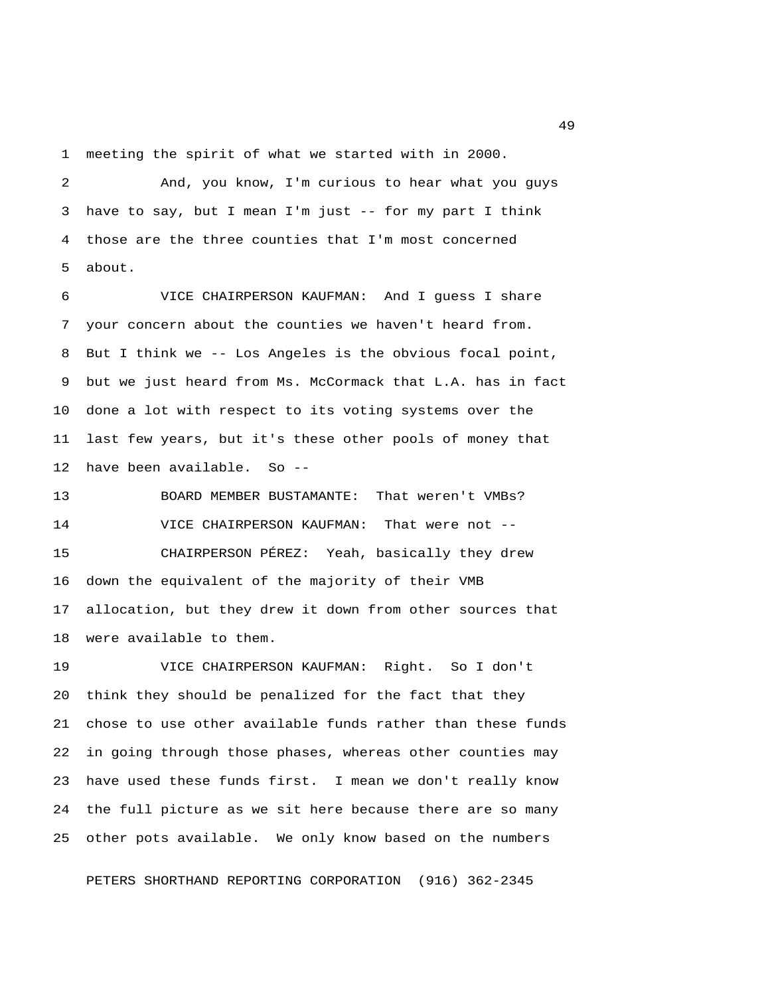1 meeting the spirit of what we started with in 2000.

 2 And, you know, I'm curious to hear what you guys 3 have to say, but I mean I'm just -- for my part I think 4 those are the three counties that I'm most concerned 5 about.

 6 VICE CHAIRPERSON KAUFMAN: And I guess I share 7 your concern about the counties we haven't heard from. 8 But I think we -- Los Angeles is the obvious focal point, 9 but we just heard from Ms. McCormack that L.A. has in fact 10 done a lot with respect to its voting systems over the 11 last few years, but it's these other pools of money that 12 have been available. So --

13 BOARD MEMBER BUSTAMANTE: That weren't VMBs? 14 VICE CHAIRPERSON KAUFMAN: That were not -- 15 CHAIRPERSON PÉREZ: Yeah, basically they drew 16 down the equivalent of the majority of their VMB 17 allocation, but they drew it down from other sources that 18 were available to them.

19 VICE CHAIRPERSON KAUFMAN: Right. So I don't 20 think they should be penalized for the fact that they 21 chose to use other available funds rather than these funds 22 in going through those phases, whereas other counties may 23 have used these funds first. I mean we don't really know 24 the full picture as we sit here because there are so many 25 other pots available. We only know based on the numbers

PETERS SHORTHAND REPORTING CORPORATION (916) 362-2345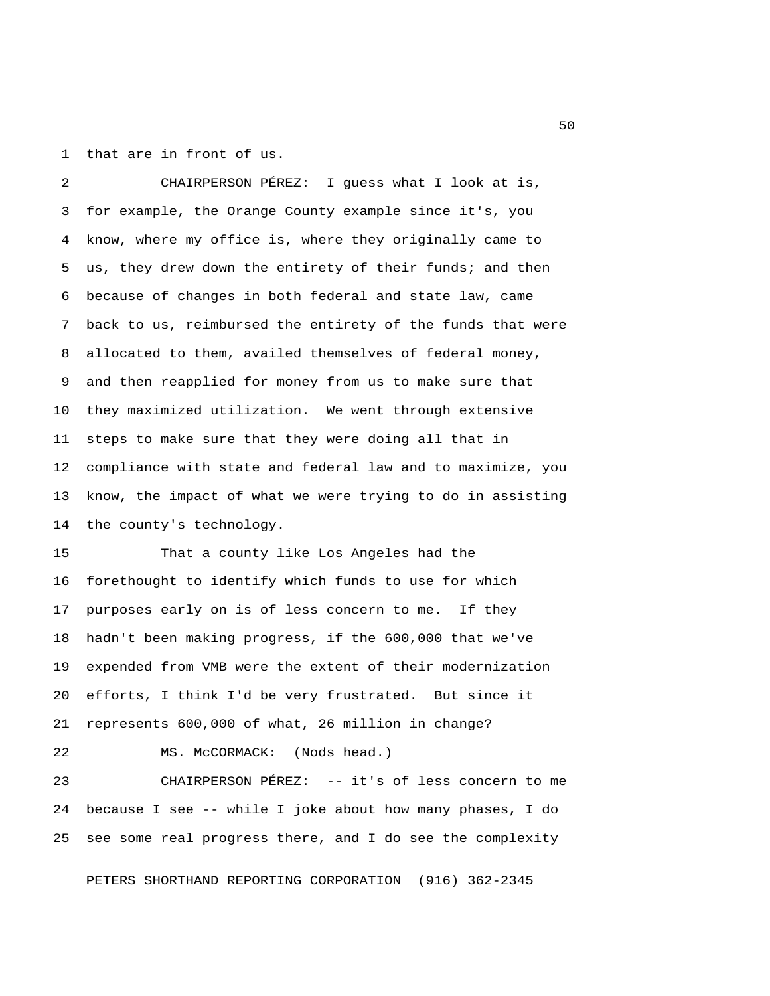1 that are in front of us.

 2 CHAIRPERSON PÉREZ: I guess what I look at is, 3 for example, the Orange County example since it's, you 4 know, where my office is, where they originally came to 5 us, they drew down the entirety of their funds; and then 6 because of changes in both federal and state law, came 7 back to us, reimbursed the entirety of the funds that were 8 allocated to them, availed themselves of federal money, 9 and then reapplied for money from us to make sure that 10 they maximized utilization. We went through extensive 11 steps to make sure that they were doing all that in 12 compliance with state and federal law and to maximize, you 13 know, the impact of what we were trying to do in assisting 14 the county's technology.

15 That a county like Los Angeles had the 16 forethought to identify which funds to use for which 17 purposes early on is of less concern to me. If they 18 hadn't been making progress, if the 600,000 that we've 19 expended from VMB were the extent of their modernization 20 efforts, I think I'd be very frustrated. But since it 21 represents 600,000 of what, 26 million in change?

22 MS. McCORMACK: (Nods head.)

23 CHAIRPERSON PÉREZ: -- it's of less concern to me 24 because I see -- while I joke about how many phases, I do 25 see some real progress there, and I do see the complexity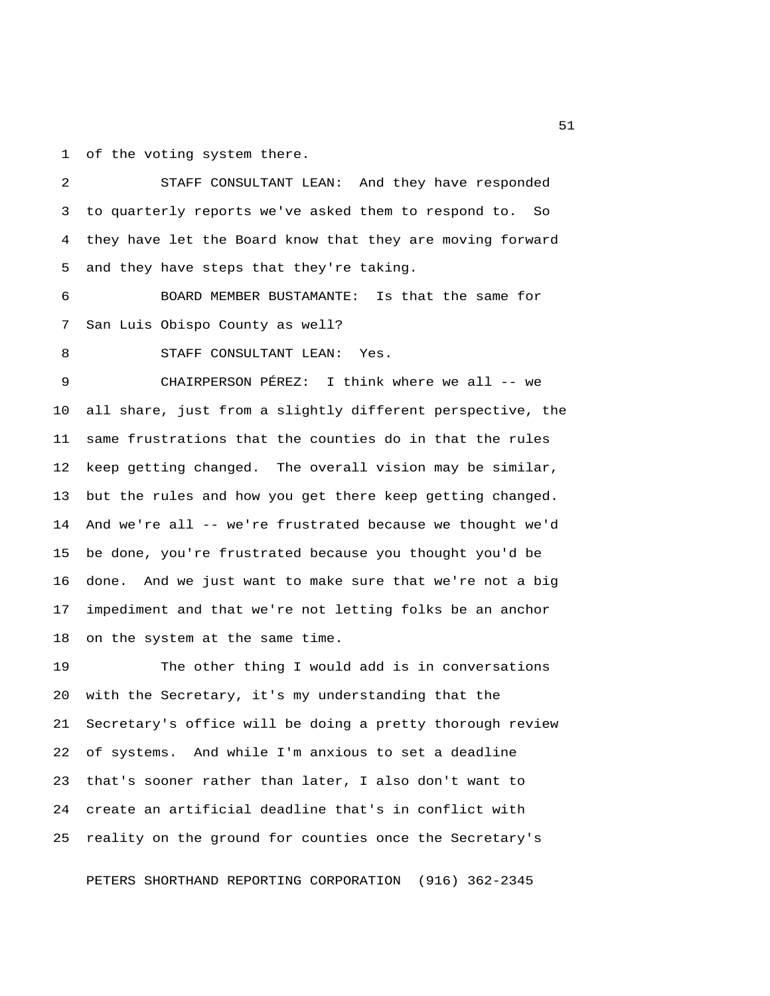1 of the voting system there.

 2 STAFF CONSULTANT LEAN: And they have responded 3 to quarterly reports we've asked them to respond to. So 4 they have let the Board know that they are moving forward 5 and they have steps that they're taking.

 6 BOARD MEMBER BUSTAMANTE: Is that the same for 7 San Luis Obispo County as well?

8 STAFF CONSULTANT LEAN: Yes.

 9 CHAIRPERSON PÉREZ: I think where we all -- we 10 all share, just from a slightly different perspective, the 11 same frustrations that the counties do in that the rules 12 keep getting changed. The overall vision may be similar, 13 but the rules and how you get there keep getting changed. 14 And we're all -- we're frustrated because we thought we'd 15 be done, you're frustrated because you thought you'd be 16 done. And we just want to make sure that we're not a big 17 impediment and that we're not letting folks be an anchor 18 on the system at the same time.

19 The other thing I would add is in conversations 20 with the Secretary, it's my understanding that the 21 Secretary's office will be doing a pretty thorough review 22 of systems. And while I'm anxious to set a deadline 23 that's sooner rather than later, I also don't want to 24 create an artificial deadline that's in conflict with 25 reality on the ground for counties once the Secretary's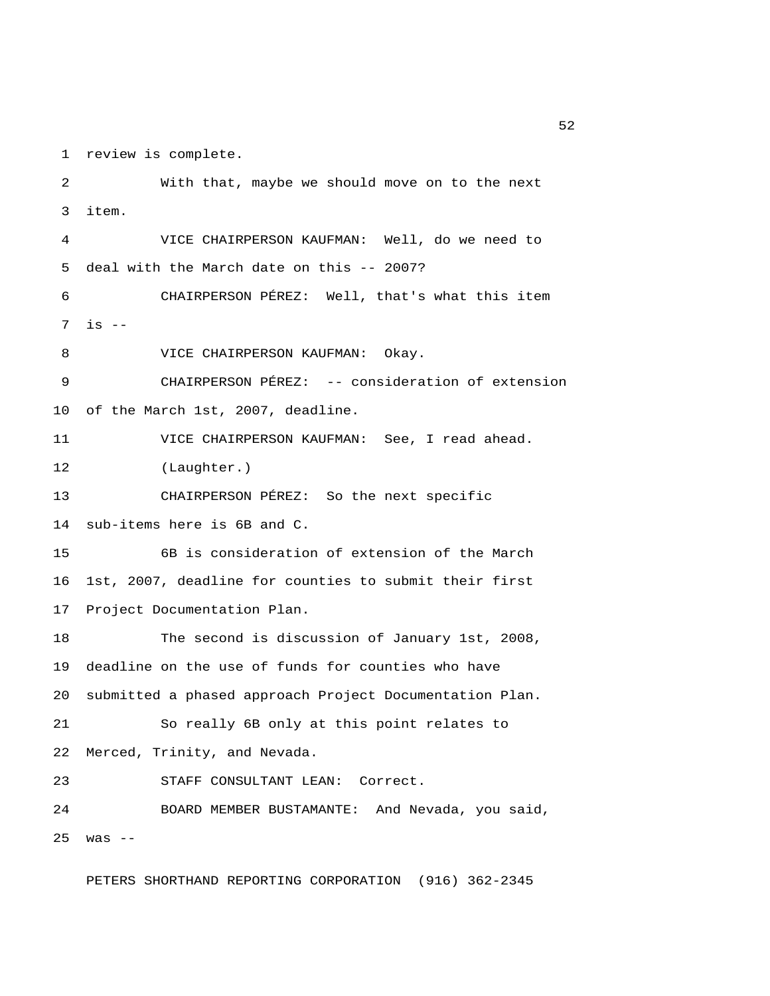1 review is complete.

 2 With that, maybe we should move on to the next 3 item. 4 VICE CHAIRPERSON KAUFMAN: Well, do we need to 5 deal with the March date on this -- 2007? 6 CHAIRPERSON PÉREZ: Well, that's what this item 7 is -- 8 VICE CHAIRPERSON KAUFMAN: Okay. 9 CHAIRPERSON PÉREZ: -- consideration of extension 10 of the March 1st, 2007, deadline. 11 VICE CHAIRPERSON KAUFMAN: See, I read ahead. 12 (Laughter.) 13 CHAIRPERSON PÉREZ: So the next specific 14 sub-items here is 6B and C. 15 6B is consideration of extension of the March 16 1st, 2007, deadline for counties to submit their first 17 Project Documentation Plan. 18 The second is discussion of January 1st, 2008, 19 deadline on the use of funds for counties who have 20 submitted a phased approach Project Documentation Plan. 21 So really 6B only at this point relates to 22 Merced, Trinity, and Nevada. 23 STAFF CONSULTANT LEAN: Correct. 24 BOARD MEMBER BUSTAMANTE: And Nevada, you said, 25 was --

PETERS SHORTHAND REPORTING CORPORATION (916) 362-2345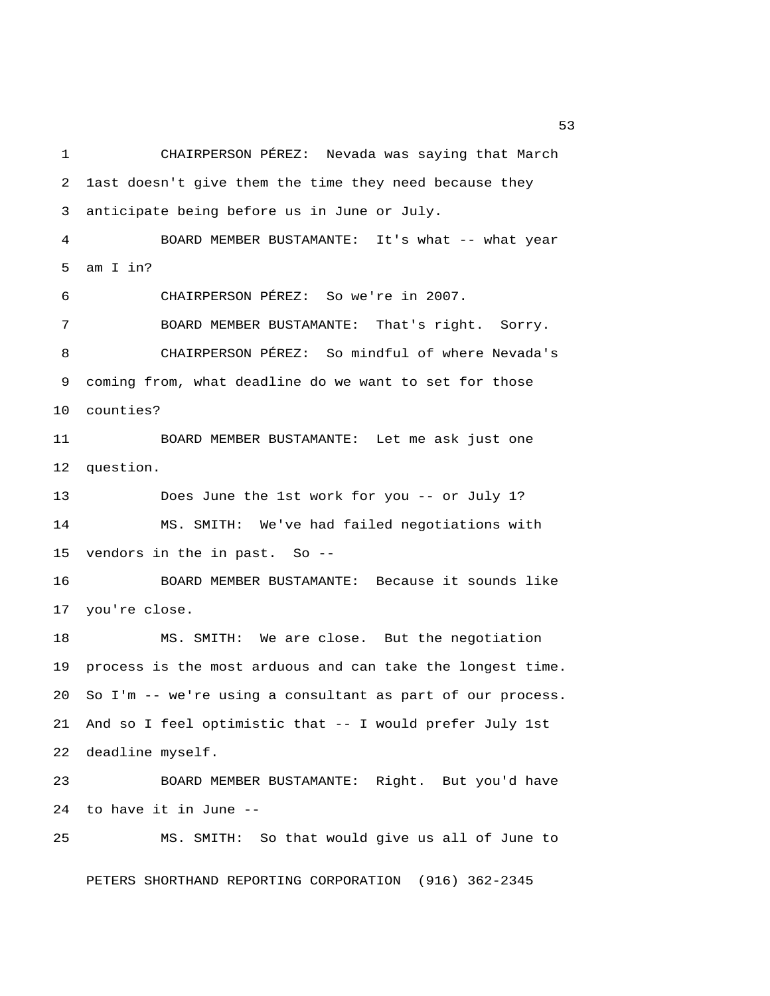1 CHAIRPERSON PÉREZ: Nevada was saying that March 2 1ast doesn't give them the time they need because they 3 anticipate being before us in June or July. 4 BOARD MEMBER BUSTAMANTE: It's what -- what year 5 am I in? 6 CHAIRPERSON PÉREZ: So we're in 2007. 7 BOARD MEMBER BUSTAMANTE: That's right. Sorry. 8 CHAIRPERSON PÉREZ: So mindful of where Nevada's 9 coming from, what deadline do we want to set for those 10 counties? 11 BOARD MEMBER BUSTAMANTE: Let me ask just one 12 question. 13 Does June the 1st work for you -- or July 1? 14 MS. SMITH: We've had failed negotiations with 15 vendors in the in past. So -- 16 BOARD MEMBER BUSTAMANTE: Because it sounds like 17 you're close. 18 MS. SMITH: We are close. But the negotiation 19 process is the most arduous and can take the longest time. 20 So I'm -- we're using a consultant as part of our process. 21 And so I feel optimistic that -- I would prefer July 1st 22 deadline myself. 23 BOARD MEMBER BUSTAMANTE: Right. But you'd have 24 to have it in June -- 25 MS. SMITH: So that would give us all of June to

PETERS SHORTHAND REPORTING CORPORATION (916) 362-2345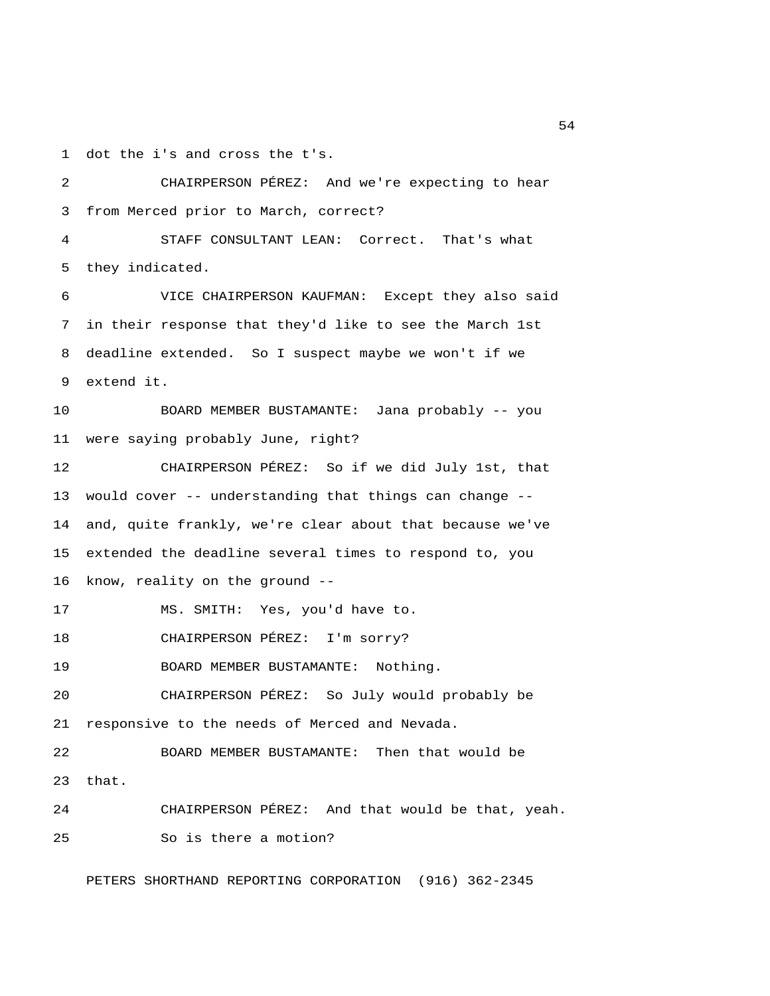1 dot the i's and cross the t's.

 2 CHAIRPERSON PÉREZ: And we're expecting to hear 3 from Merced prior to March, correct? 4 STAFF CONSULTANT LEAN: Correct. That's what 5 they indicated. 6 VICE CHAIRPERSON KAUFMAN: Except they also said 7 in their response that they'd like to see the March 1st 8 deadline extended. So I suspect maybe we won't if we 9 extend it. 10 BOARD MEMBER BUSTAMANTE: Jana probably -- you 11 were saying probably June, right? 12 CHAIRPERSON PÉREZ: So if we did July 1st, that 13 would cover -- understanding that things can change -- 14 and, quite frankly, we're clear about that because we've 15 extended the deadline several times to respond to, you 16 know, reality on the ground -- 17 MS. SMITH: Yes, you'd have to. 18 CHAIRPERSON PÉREZ: I'm sorry? 19 BOARD MEMBER BUSTAMANTE: Nothing. 20 CHAIRPERSON PÉREZ: So July would probably be 21 responsive to the needs of Merced and Nevada. 22 BOARD MEMBER BUSTAMANTE: Then that would be 23 that. 24 CHAIRPERSON PÉREZ: And that would be that, yeah. 25 So is there a motion?

PETERS SHORTHAND REPORTING CORPORATION (916) 362-2345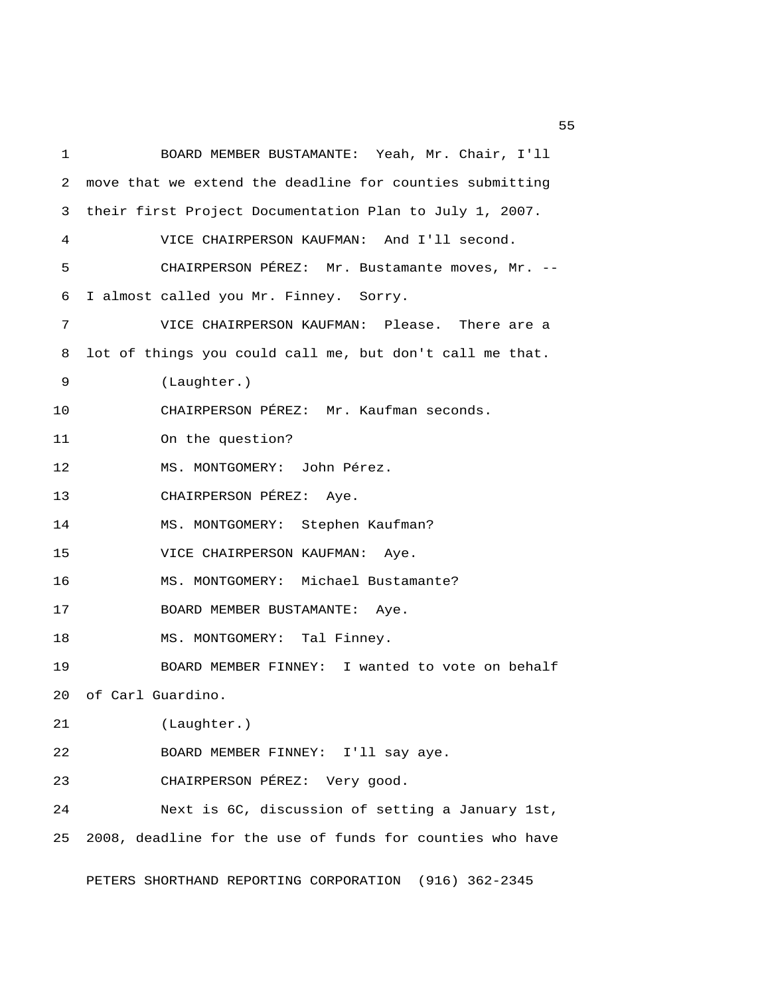1 BOARD MEMBER BUSTAMANTE: Yeah, Mr. Chair, I'll 2 move that we extend the deadline for counties submitting 3 their first Project Documentation Plan to July 1, 2007. 4 VICE CHAIRPERSON KAUFMAN: And I'll second. 5 CHAIRPERSON PÉREZ: Mr. Bustamante moves, Mr. -- 6 I almost called you Mr. Finney. Sorry. 7 VICE CHAIRPERSON KAUFMAN: Please. There are a 8 lot of things you could call me, but don't call me that. 9 (Laughter.) 10 CHAIRPERSON PÉREZ: Mr. Kaufman seconds. 11 On the question? 12 MS. MONTGOMERY: John Pérez. 13 CHAIRPERSON PÉREZ: Aye. 14 MS. MONTGOMERY: Stephen Kaufman? 15 VICE CHAIRPERSON KAUFMAN: Aye. 16 MS. MONTGOMERY: Michael Bustamante? 17 BOARD MEMBER BUSTAMANTE: Aye. 18 MS. MONTGOMERY: Tal Finney. 19 BOARD MEMBER FINNEY: I wanted to vote on behalf 20 of Carl Guardino. 21 (Laughter.) 22 BOARD MEMBER FINNEY: I'll say aye. 23 CHAIRPERSON PÉREZ: Very good. 24 Next is 6C, discussion of setting a January 1st, 25 2008, deadline for the use of funds for counties who have

PETERS SHORTHAND REPORTING CORPORATION (916) 362-2345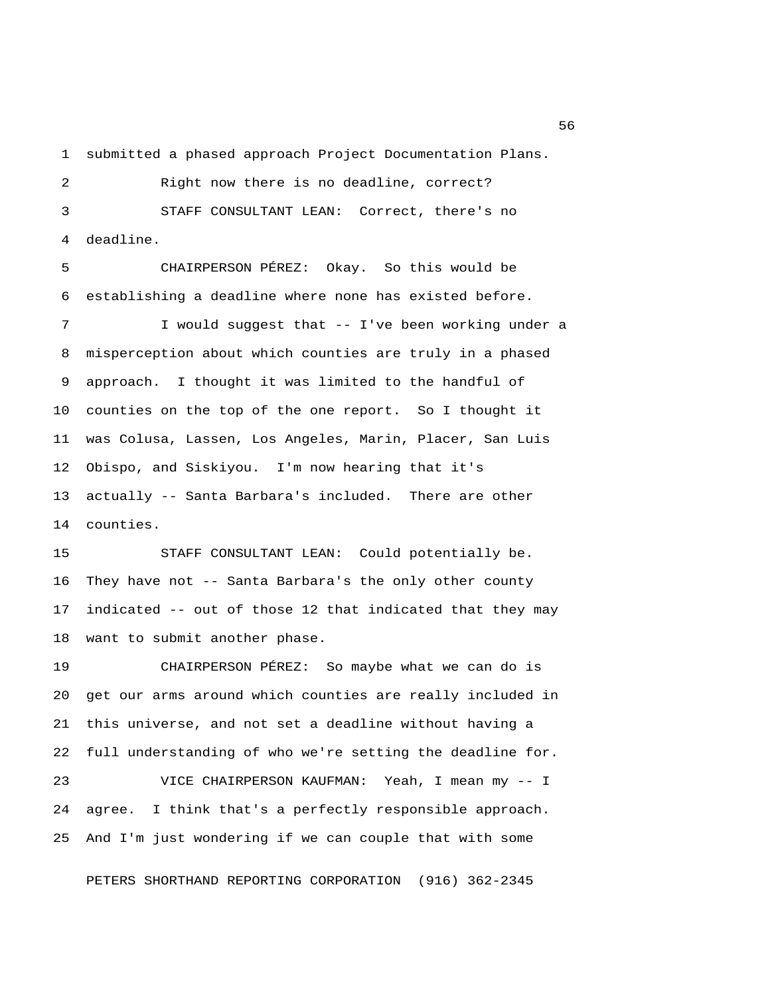1 submitted a phased approach Project Documentation Plans.

 2 Right now there is no deadline, correct? 3 STAFF CONSULTANT LEAN: Correct, there's no 4 deadline.

 5 CHAIRPERSON PÉREZ: Okay. So this would be 6 establishing a deadline where none has existed before.

 7 I would suggest that -- I've been working under a 8 misperception about which counties are truly in a phased 9 approach. I thought it was limited to the handful of 10 counties on the top of the one report. So I thought it 11 was Colusa, Lassen, Los Angeles, Marin, Placer, San Luis 12 Obispo, and Siskiyou. I'm now hearing that it's 13 actually -- Santa Barbara's included. There are other 14 counties.

15 STAFF CONSULTANT LEAN: Could potentially be. 16 They have not -- Santa Barbara's the only other county 17 indicated -- out of those 12 that indicated that they may 18 want to submit another phase.

19 CHAIRPERSON PÉREZ: So maybe what we can do is 20 get our arms around which counties are really included in 21 this universe, and not set a deadline without having a 22 full understanding of who we're setting the deadline for. 23 VICE CHAIRPERSON KAUFMAN: Yeah, I mean my -- I

24 agree. I think that's a perfectly responsible approach. 25 And I'm just wondering if we can couple that with some

PETERS SHORTHAND REPORTING CORPORATION (916) 362-2345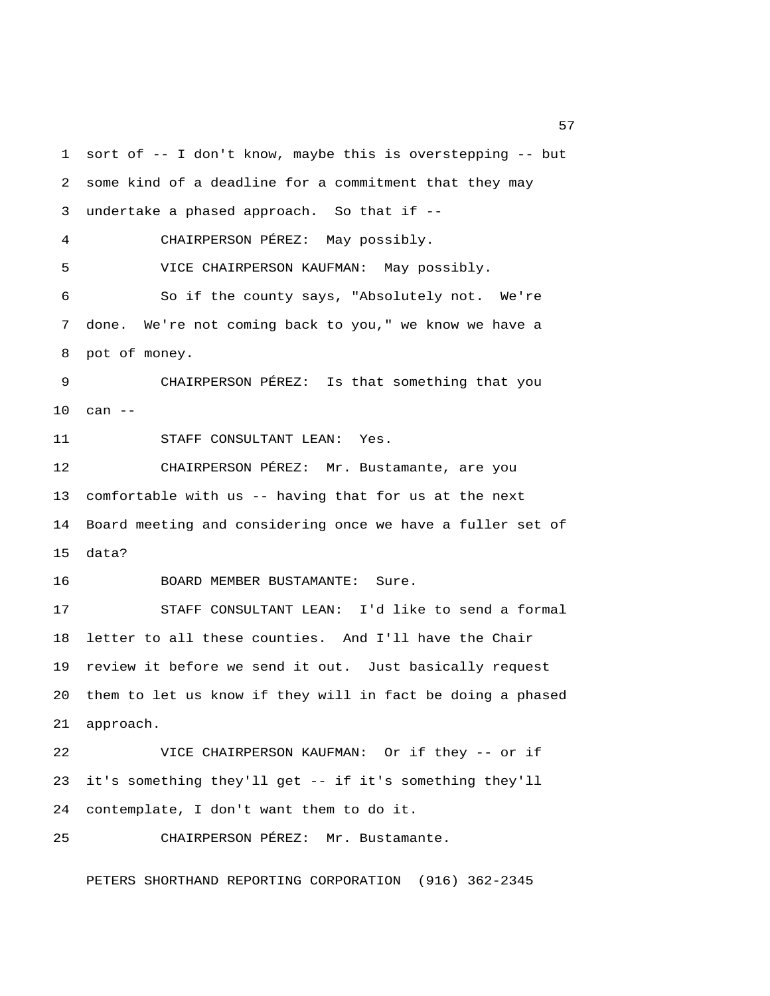1 sort of -- I don't know, maybe this is overstepping -- but 2 some kind of a deadline for a commitment that they may 3 undertake a phased approach. So that if -- 4 CHAIRPERSON PÉREZ: May possibly. 5 VICE CHAIRPERSON KAUFMAN: May possibly. 6 So if the county says, "Absolutely not. We're 7 done. We're not coming back to you," we know we have a 8 pot of money. 9 CHAIRPERSON PÉREZ: Is that something that you 10 can -- 11 STAFF CONSULTANT LEAN: Yes. 12 CHAIRPERSON PÉREZ: Mr. Bustamante, are you 13 comfortable with us -- having that for us at the next 14 Board meeting and considering once we have a fuller set of 15 data? 16 BOARD MEMBER BUSTAMANTE: Sure. 17 STAFF CONSULTANT LEAN: I'd like to send a formal 18 letter to all these counties. And I'll have the Chair 19 review it before we send it out. Just basically request 20 them to let us know if they will in fact be doing a phased 21 approach. 22 VICE CHAIRPERSON KAUFMAN: Or if they -- or if 23 it's something they'll get -- if it's something they'll 24 contemplate, I don't want them to do it. 25 CHAIRPERSON PÉREZ: Mr. Bustamante.

PETERS SHORTHAND REPORTING CORPORATION (916) 362-2345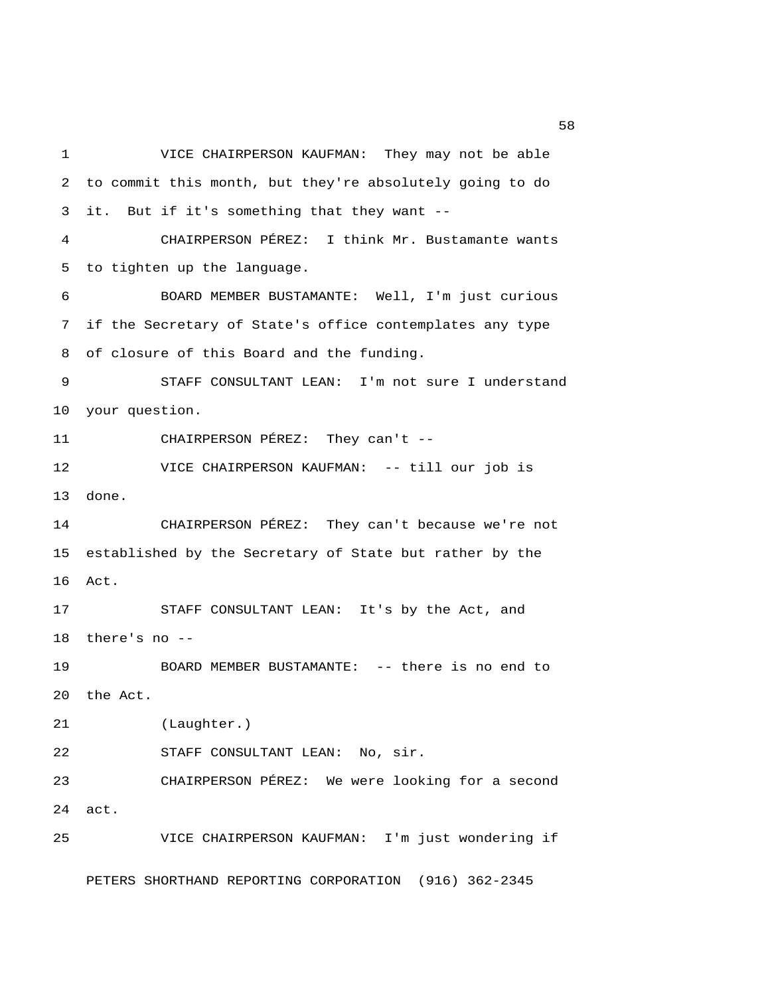1 VICE CHAIRPERSON KAUFMAN: They may not be able 2 to commit this month, but they're absolutely going to do 3 it. But if it's something that they want -- 4 CHAIRPERSON PÉREZ: I think Mr. Bustamante wants 5 to tighten up the language. 6 BOARD MEMBER BUSTAMANTE: Well, I'm just curious 7 if the Secretary of State's office contemplates any type 8 of closure of this Board and the funding. 9 STAFF CONSULTANT LEAN: I'm not sure I understand 10 your question. 11 CHAIRPERSON PÉREZ: They can't -- 12 VICE CHAIRPERSON KAUFMAN: -- till our job is 13 done. 14 CHAIRPERSON PÉREZ: They can't because we're not 15 established by the Secretary of State but rather by the 16 Act. 17 STAFF CONSULTANT LEAN: It's by the Act, and 18 there's no -- 19 BOARD MEMBER BUSTAMANTE: -- there is no end to 20 the Act. 21 (Laughter.) 22 STAFF CONSULTANT LEAN: No, sir. 23 CHAIRPERSON PÉREZ: We were looking for a second 24 act. 25 VICE CHAIRPERSON KAUFMAN: I'm just wondering if PETERS SHORTHAND REPORTING CORPORATION (916) 362-2345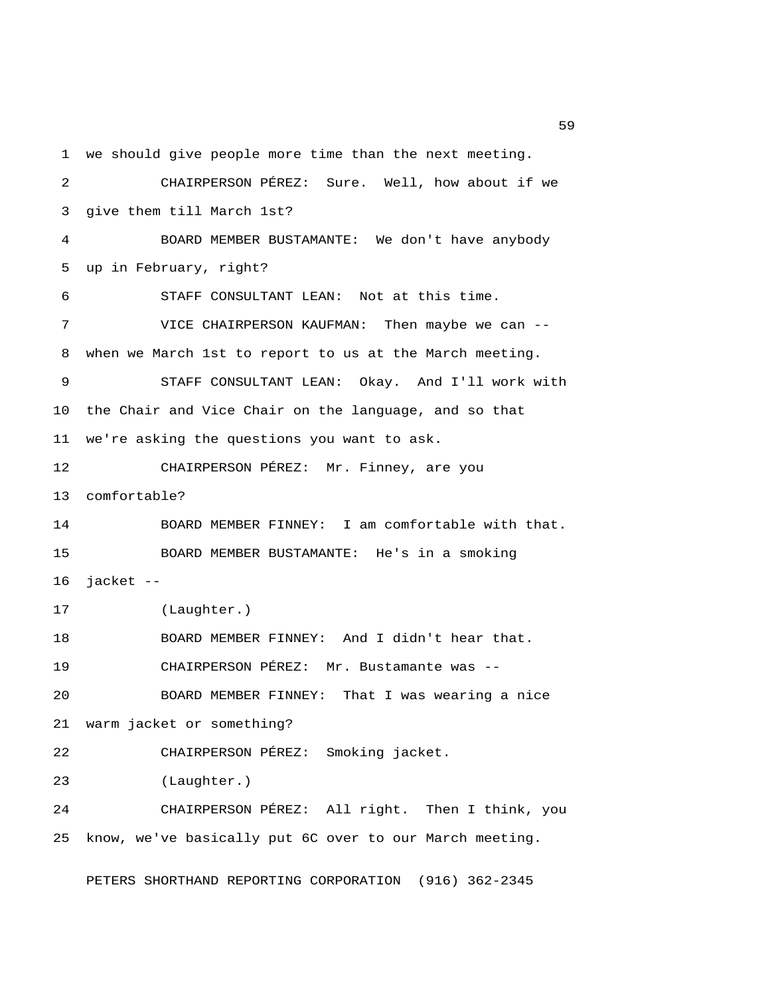1 we should give people more time than the next meeting. 2 CHAIRPERSON PÉREZ: Sure. Well, how about if we 3 give them till March 1st? 4 BOARD MEMBER BUSTAMANTE: We don't have anybody 5 up in February, right? 6 STAFF CONSULTANT LEAN: Not at this time. 7 VICE CHAIRPERSON KAUFMAN: Then maybe we can -- 8 when we March 1st to report to us at the March meeting. 9 STAFF CONSULTANT LEAN: Okay. And I'll work with 10 the Chair and Vice Chair on the language, and so that 11 we're asking the questions you want to ask. 12 CHAIRPERSON PÉREZ: Mr. Finney, are you 13 comfortable? 14 BOARD MEMBER FINNEY: I am comfortable with that. 15 BOARD MEMBER BUSTAMANTE: He's in a smoking 16 jacket -- 17 (Laughter.) 18 BOARD MEMBER FINNEY: And I didn't hear that. 19 CHAIRPERSON PÉREZ: Mr. Bustamante was -- 20 BOARD MEMBER FINNEY: That I was wearing a nice 21 warm jacket or something? 22 CHAIRPERSON PÉREZ: Smoking jacket. 23 (Laughter.) 24 CHAIRPERSON PÉREZ: All right. Then I think, you 25 know, we've basically put 6C over to our March meeting. PETERS SHORTHAND REPORTING CORPORATION (916) 362-2345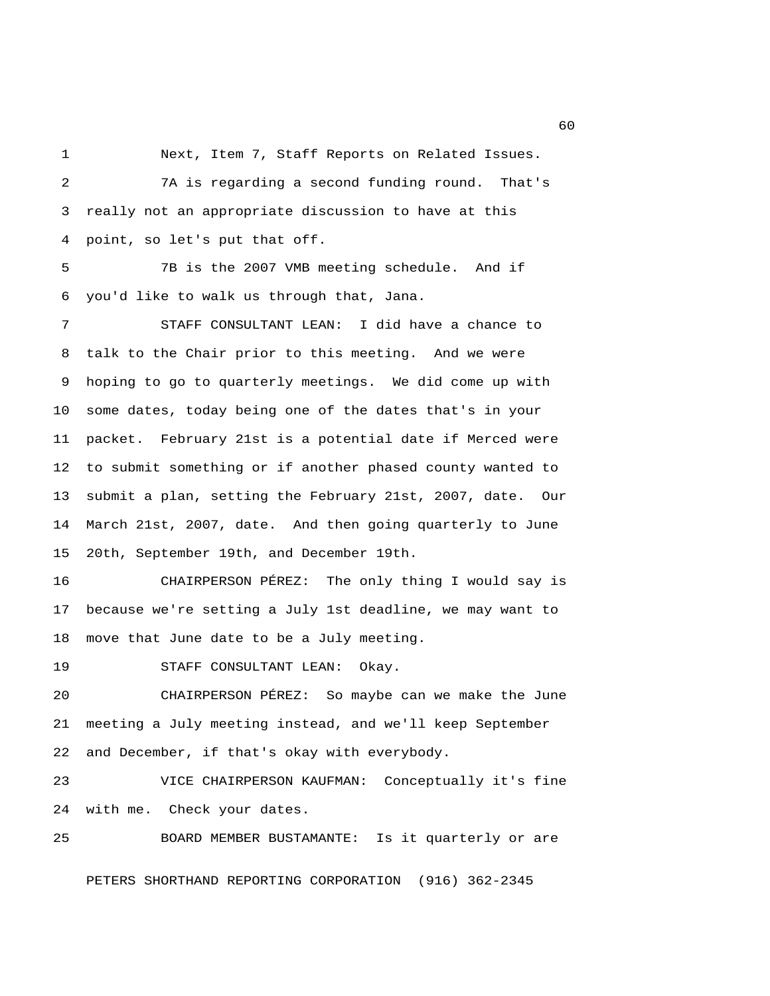1 Next, Item 7, Staff Reports on Related Issues.

 2 7A is regarding a second funding round. That's 3 really not an appropriate discussion to have at this 4 point, so let's put that off. 5 7B is the 2007 VMB meeting schedule. And if 6 you'd like to walk us through that, Jana. 7 STAFF CONSULTANT LEAN: I did have a chance to 8 talk to the Chair prior to this meeting. And we were 9 hoping to go to quarterly meetings. We did come up with 10 some dates, today being one of the dates that's in your 11 packet. February 21st is a potential date if Merced were 12 to submit something or if another phased county wanted to 13 submit a plan, setting the February 21st, 2007, date. Our 14 March 21st, 2007, date. And then going quarterly to June 15 20th, September 19th, and December 19th. 16 CHAIRPERSON PÉREZ: The only thing I would say is 17 because we're setting a July 1st deadline, we may want to 18 move that June date to be a July meeting. 19 STAFF CONSULTANT LEAN: Okay. 20 CHAIRPERSON PÉREZ: So maybe can we make the June 21 meeting a July meeting instead, and we'll keep September 22 and December, if that's okay with everybody. 23 VICE CHAIRPERSON KAUFMAN: Conceptually it's fine 24 with me. Check your dates. 25 BOARD MEMBER BUSTAMANTE: Is it quarterly or are PETERS SHORTHAND REPORTING CORPORATION (916) 362-2345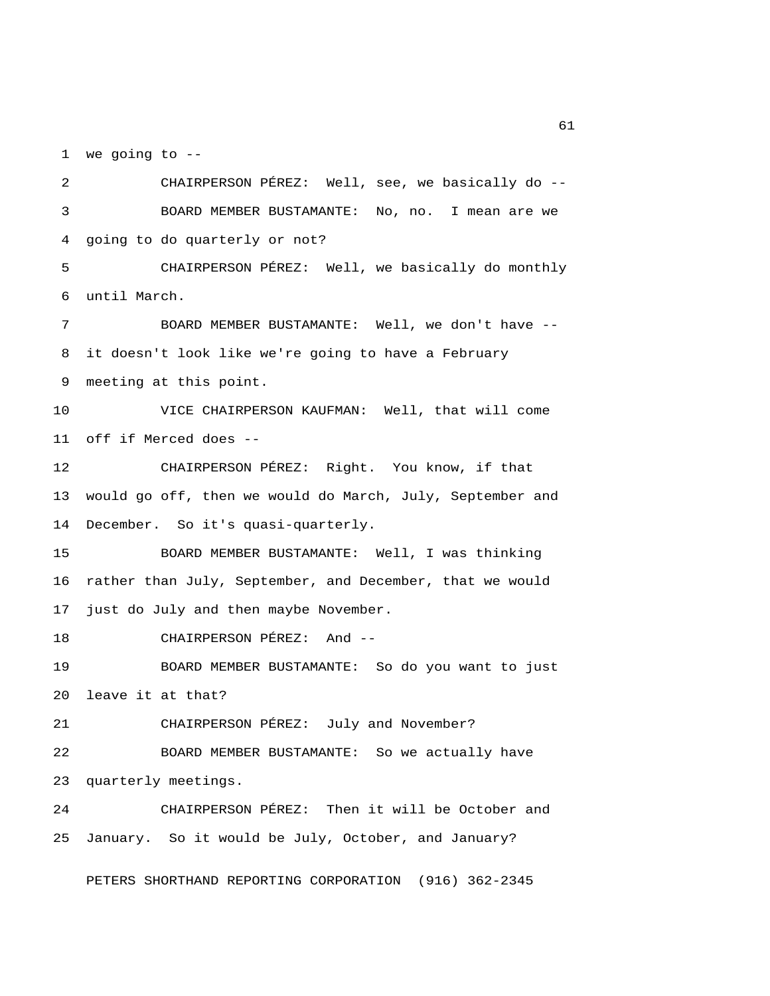1 we going to --

 2 CHAIRPERSON PÉREZ: Well, see, we basically do -- 3 BOARD MEMBER BUSTAMANTE: No, no. I mean are we 4 going to do quarterly or not? 5 CHAIRPERSON PÉREZ: Well, we basically do monthly 6 until March. 7 BOARD MEMBER BUSTAMANTE: Well, we don't have -- 8 it doesn't look like we're going to have a February 9 meeting at this point. 10 VICE CHAIRPERSON KAUFMAN: Well, that will come 11 off if Merced does -- 12 CHAIRPERSON PÉREZ: Right. You know, if that 13 would go off, then we would do March, July, September and 14 December. So it's quasi-quarterly. 15 BOARD MEMBER BUSTAMANTE: Well, I was thinking 16 rather than July, September, and December, that we would 17 just do July and then maybe November. 18 CHAIRPERSON PÉREZ: And -- 19 BOARD MEMBER BUSTAMANTE: So do you want to just 20 leave it at that? 21 CHAIRPERSON PÉREZ: July and November? 22 BOARD MEMBER BUSTAMANTE: So we actually have 23 quarterly meetings. 24 CHAIRPERSON PÉREZ: Then it will be October and 25 January. So it would be July, October, and January? PETERS SHORTHAND REPORTING CORPORATION (916) 362-2345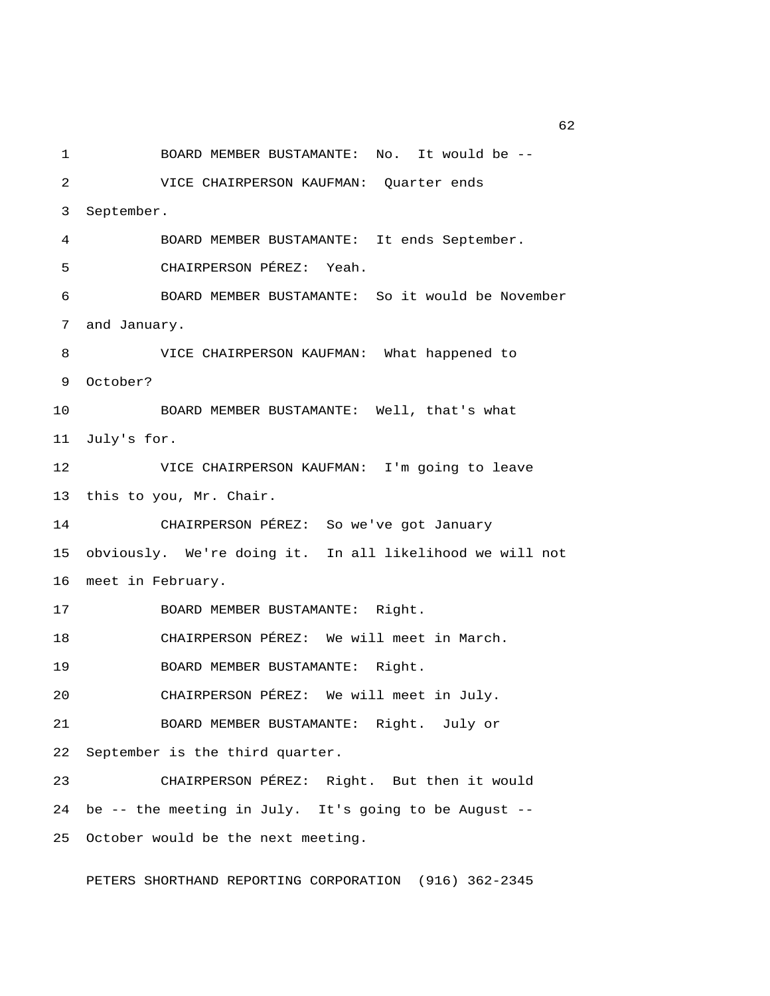1 BOARD MEMBER BUSTAMANTE: No. It would be -- 2 VICE CHAIRPERSON KAUFMAN: Quarter ends 3 September. 4 BOARD MEMBER BUSTAMANTE: It ends September. 5 CHAIRPERSON PÉREZ: Yeah. 6 BOARD MEMBER BUSTAMANTE: So it would be November 7 and January. 8 VICE CHAIRPERSON KAUFMAN: What happened to 9 October? 10 BOARD MEMBER BUSTAMANTE: Well, that's what 11 July's for. 12 VICE CHAIRPERSON KAUFMAN: I'm going to leave 13 this to you, Mr. Chair. 14 CHAIRPERSON PÉREZ: So we've got January 15 obviously. We're doing it. In all likelihood we will not 16 meet in February. 17 BOARD MEMBER BUSTAMANTE: Right. 18 CHAIRPERSON PÉREZ: We will meet in March. 19 BOARD MEMBER BUSTAMANTE: Right. 20 CHAIRPERSON PÉREZ: We will meet in July. 21 BOARD MEMBER BUSTAMANTE: Right. July or 22 September is the third quarter. 23 CHAIRPERSON PÉREZ: Right. But then it would 24 be -- the meeting in July. It's going to be August -- 25 October would be the next meeting.

PETERS SHORTHAND REPORTING CORPORATION (916) 362-2345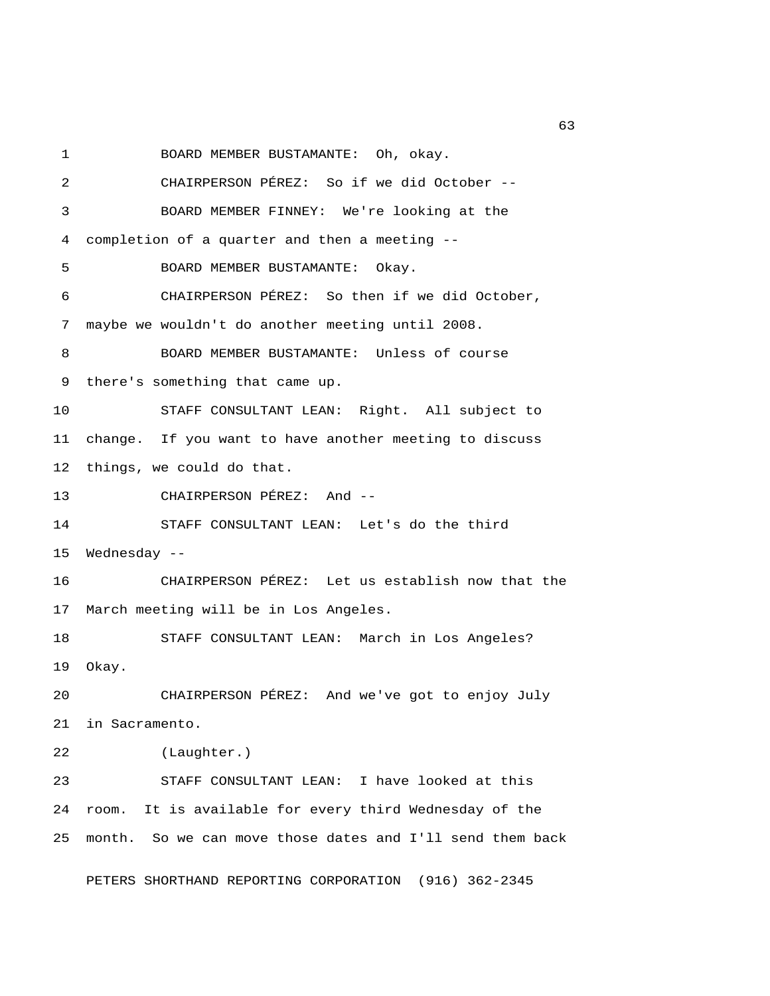1 BOARD MEMBER BUSTAMANTE: Oh, okay.

 2 CHAIRPERSON PÉREZ: So if we did October -- 3 BOARD MEMBER FINNEY: We're looking at the 4 completion of a quarter and then a meeting -- 5 BOARD MEMBER BUSTAMANTE: Okay. 6 CHAIRPERSON PÉREZ: So then if we did October, 7 maybe we wouldn't do another meeting until 2008. 8 BOARD MEMBER BUSTAMANTE: Unless of course 9 there's something that came up. 10 STAFF CONSULTANT LEAN: Right. All subject to 11 change. If you want to have another meeting to discuss 12 things, we could do that. 13 CHAIRPERSON PÉREZ: And -- 14 STAFF CONSULTANT LEAN: Let's do the third 15 Wednesday -- 16 CHAIRPERSON PÉREZ: Let us establish now that the 17 March meeting will be in Los Angeles. 18 STAFF CONSULTANT LEAN: March in Los Angeles? 19 Okay. 20 CHAIRPERSON PÉREZ: And we've got to enjoy July 21 in Sacramento. 22 (Laughter.) 23 STAFF CONSULTANT LEAN: I have looked at this 24 room. It is available for every third Wednesday of the 25 month. So we can move those dates and I'll send them back PETERS SHORTHAND REPORTING CORPORATION (916) 362-2345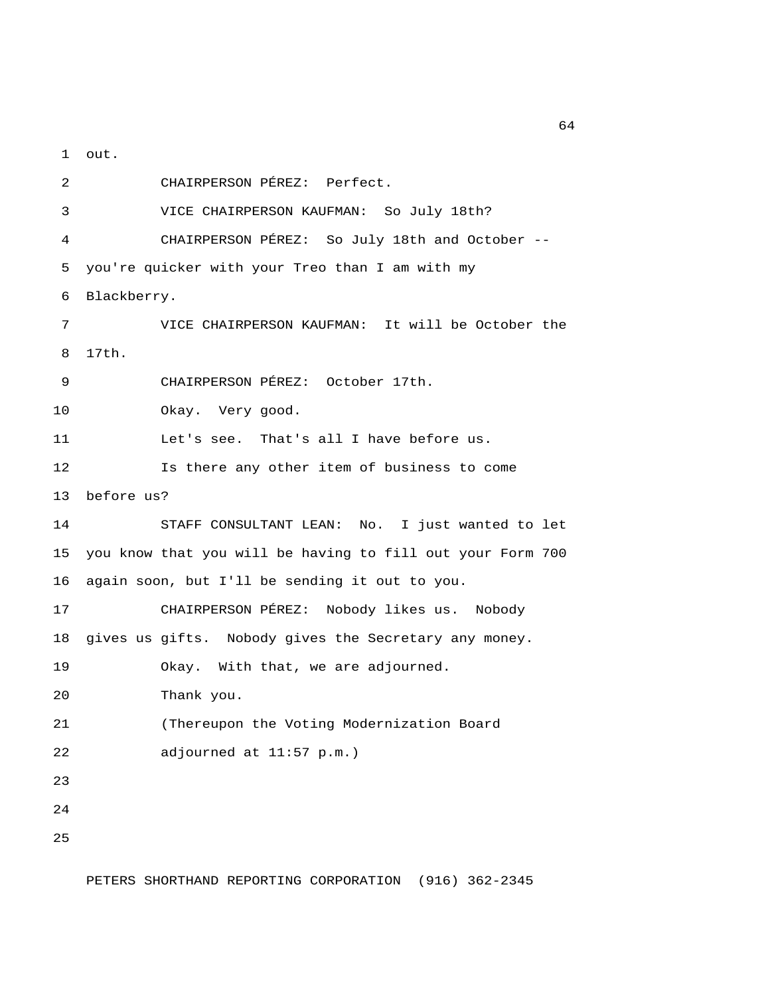1 out.

 2 CHAIRPERSON PÉREZ: Perfect. 3 VICE CHAIRPERSON KAUFMAN: So July 18th? 4 CHAIRPERSON PÉREZ: So July 18th and October -- 5 you're quicker with your Treo than I am with my 6 Blackberry. 7 VICE CHAIRPERSON KAUFMAN: It will be October the 8 17th. 9 CHAIRPERSON PÉREZ: October 17th. 10 Okay. Very good. 11 Let's see. That's all I have before us. 12 Is there any other item of business to come 13 before us? 14 STAFF CONSULTANT LEAN: No. I just wanted to let 15 you know that you will be having to fill out your Form 700 16 again soon, but I'll be sending it out to you. 17 CHAIRPERSON PÉREZ: Nobody likes us. Nobody 18 gives us gifts. Nobody gives the Secretary any money. 19 Okay. With that, we are adjourned. 20 Thank you. 21 (Thereupon the Voting Modernization Board 22 adjourned at 11:57 p.m.) 23 24 25

PETERS SHORTHAND REPORTING CORPORATION (916) 362-2345